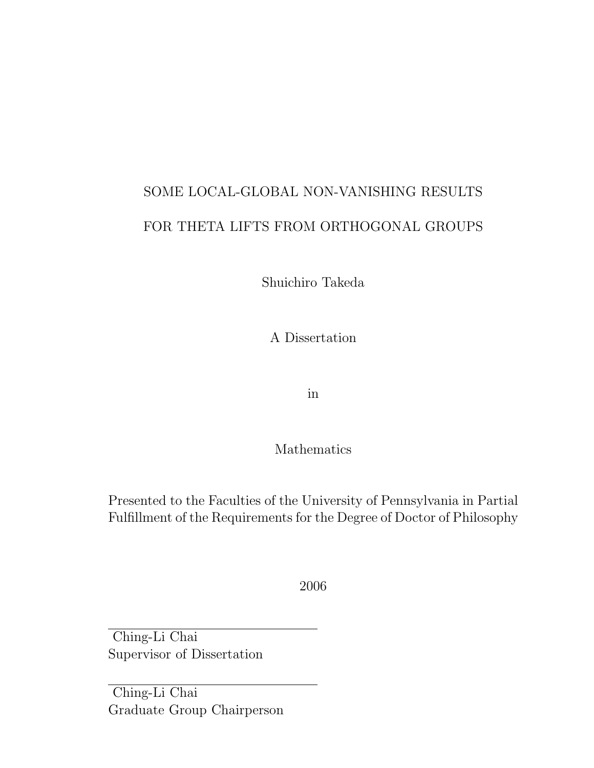# SOME LOCAL-GLOBAL NON-VANISHING RESULTS FOR THETA LIFTS FROM ORTHOGONAL GROUPS

Shuichiro Takeda

A Dissertation

in

Mathematics

Presented to the Faculties of the University of Pennsylvania in Partial Fulfillment of the Requirements for the Degree of Doctor of Philosophy

2006

Ching-Li Chai Supervisor of Dissertation

Ching-Li Chai Graduate Group Chairperson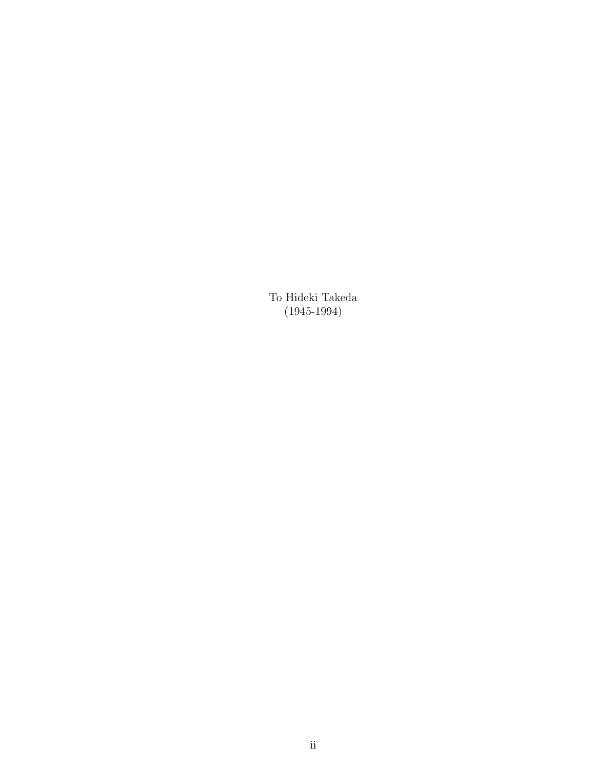To Hideki Takeda (1945-1994)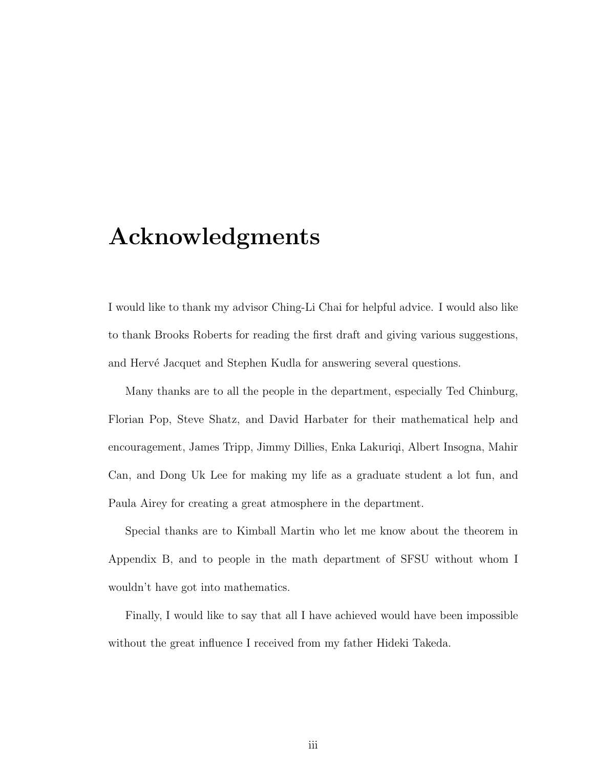## Acknowledgments

I would like to thank my advisor Ching-Li Chai for helpful advice. I would also like to thank Brooks Roberts for reading the first draft and giving various suggestions, and Hervé Jacquet and Stephen Kudla for answering several questions.

Many thanks are to all the people in the department, especially Ted Chinburg, Florian Pop, Steve Shatz, and David Harbater for their mathematical help and encouragement, James Tripp, Jimmy Dillies, Enka Lakuriqi, Albert Insogna, Mahir Can, and Dong Uk Lee for making my life as a graduate student a lot fun, and Paula Airey for creating a great atmosphere in the department.

Special thanks are to Kimball Martin who let me know about the theorem in Appendix B, and to people in the math department of SFSU without whom I wouldn't have got into mathematics.

Finally, I would like to say that all I have achieved would have been impossible without the great influence I received from my father Hideki Takeda.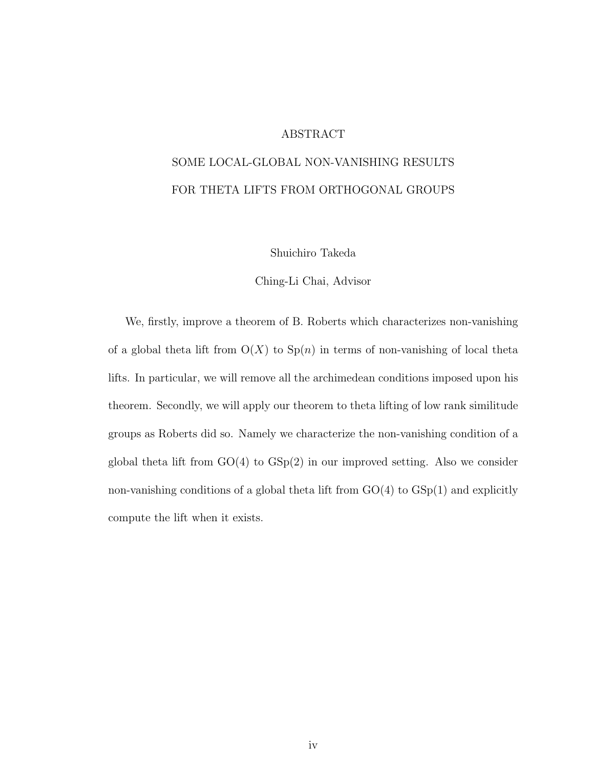#### ABSTRACT

#### SOME LOCAL-GLOBAL NON-VANISHING RESULTS FOR THETA LIFTS FROM ORTHOGONAL GROUPS

Shuichiro Takeda

Ching-Li Chai, Advisor

We, firstly, improve a theorem of B. Roberts which characterizes non-vanishing of a global theta lift from  $O(X)$  to  $Sp(n)$  in terms of non-vanishing of local theta lifts. In particular, we will remove all the archimedean conditions imposed upon his theorem. Secondly, we will apply our theorem to theta lifting of low rank similitude groups as Roberts did so. Namely we characterize the non-vanishing condition of a global theta lift from  $GO(4)$  to  $GSp(2)$  in our improved setting. Also we consider non-vanishing conditions of a global theta lift from  $GO(4)$  to  $GSp(1)$  and explicitly compute the lift when it exists.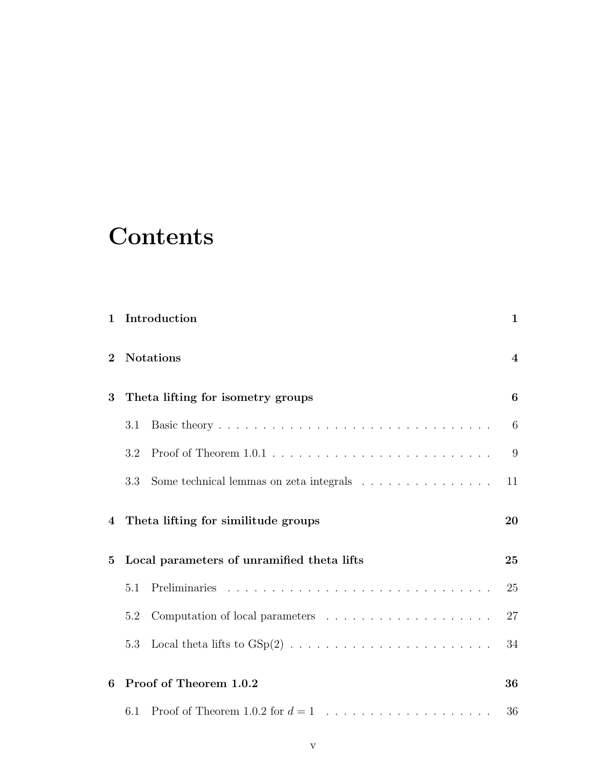# **Contents**

| 1        |     | Introduction                                                                                                                      | $\mathbf 1$    |
|----------|-----|-----------------------------------------------------------------------------------------------------------------------------------|----------------|
| $\bf{2}$ |     | <b>Notations</b>                                                                                                                  | $\overline{4}$ |
| 3        |     | Theta lifting for isometry groups                                                                                                 | 6              |
|          | 3.1 |                                                                                                                                   | 6              |
|          | 3.2 |                                                                                                                                   | 9              |
|          | 3.3 | Some technical lemmas on zeta integrals $\hfill\ldots$ $\hfill\ldots$ $\hfill\ldots$ $\hfill\ldots$ $\hfill\ldots$ $\hfill\ldots$ | 11             |
| 4        |     | Theta lifting for similitude groups                                                                                               | 20             |
| 5        |     | Local parameters of unramified theta lifts                                                                                        | 25             |
|          | 5.1 |                                                                                                                                   | 25             |
|          | 5.2 | Computation of local parameters $\ldots \ldots \ldots \ldots \ldots \ldots$                                                       | 27             |
|          | 5.3 |                                                                                                                                   | 34             |
| 6        |     | Proof of Theorem 1.0.2                                                                                                            | 36             |
|          | 6.1 |                                                                                                                                   | 36             |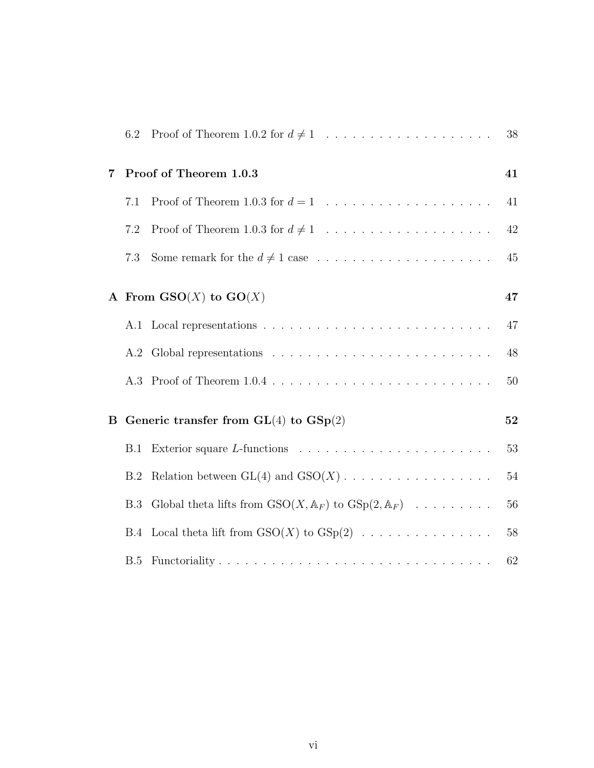|          | 6.2 | Proof of Theorem 1.0.2 for $d \neq 1$                                                      | 38     |
|----------|-----|--------------------------------------------------------------------------------------------|--------|
| 7        |     | Proof of Theorem 1.0.3                                                                     | 41     |
|          | 7.1 |                                                                                            | 41     |
|          | 7.2 | Proof of Theorem 1.0.3 for $d \neq 1$                                                      | 42     |
|          | 7.3 |                                                                                            | 45     |
|          |     | A From $\mathbf{GSO}(X)$ to $\mathbf{GO}(X)$                                               | 47     |
|          |     |                                                                                            | 47     |
|          |     |                                                                                            | 48     |
|          |     |                                                                                            | $50\,$ |
| $\bf{B}$ |     | Generic transfer from $GL(4)$ to $GSp(2)$                                                  | 52     |
|          | B.1 | Exterior square L-functions $\ldots \ldots \ldots \ldots \ldots \ldots \ldots$             | 53     |
|          | B.2 |                                                                                            | $54\,$ |
|          | B.3 | Global theta lifts from $GSO(X, \mathbb{A}_F)$ to $GSp(2, \mathbb{A}_F) \dots \dots \dots$ | 56     |
|          |     | B.4 Local theta lift from $GSO(X)$ to $GSp(2)$                                             | $58\,$ |
|          | B.5 |                                                                                            | 62     |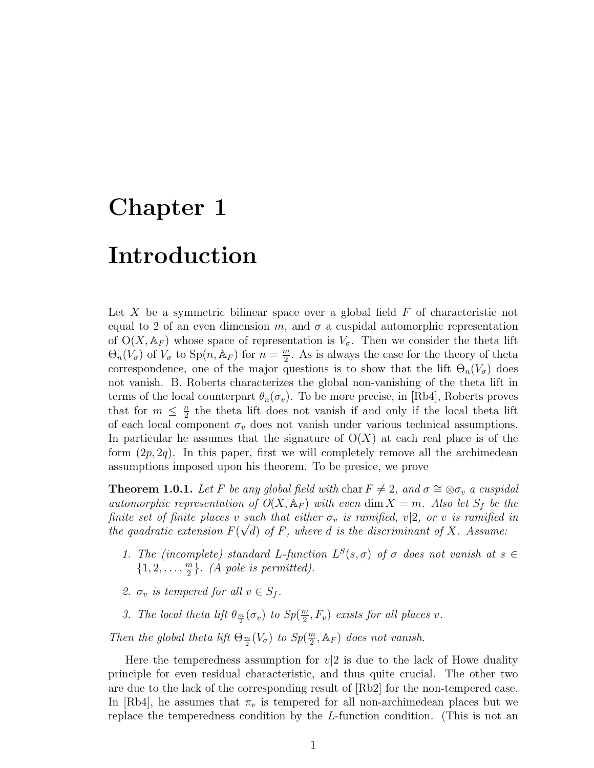## Chapter 1

### Introduction

Let X be a symmetric bilinear space over a global field  $F$  of characteristic not equal to 2 of an even dimension m, and  $\sigma$  a cuspidal automorphic representation of  $O(X, \mathbb{A}_F)$  whose space of representation is  $V_{\sigma}$ . Then we consider the theta lift  $\Theta_n(V_{\sigma})$  of  $V_{\sigma}$  to  $\text{Sp}(n, \mathbb{A}_F)$  for  $n = \frac{m}{2}$  $\frac{m}{2}$ . As is always the case for the theory of theta correspondence, one of the major questions is to show that the lift  $\Theta_n(V_{\sigma})$  does not vanish. B. Roberts characterizes the global non-vanishing of the theta lift in terms of the local counterpart  $\theta_n(\sigma_v)$ . To be more precise, in [Rb4], Roberts proves that for  $m \leq \frac{n}{2}$  $\frac{n}{2}$  the theta lift does not vanish if and only if the local theta lift of each local component  $\sigma_v$  does not vanish under various technical assumptions. In particular he assumes that the signature of  $O(X)$  at each real place is of the form  $(2p, 2q)$ . In this paper, first we will completely remove all the archimedean assumptions imposed upon his theorem. To be presice, we prove

**Theorem 1.0.1.** Let F be any global field with char  $F \neq 2$ , and  $\sigma \cong \otimes \sigma_v$  a cuspidal automorphic representation of  $O(X, A_F)$  with even dim  $X = m$ . Also let  $S_f$  be the finite set of finite places v such that either  $\sigma_v$  is ramified, v|2, or v is ramified in the quadratic extension  $F(\sqrt{d})$  of F, where d is the discriminant of X. Assume:

- 1. The (incomplete) standard L-function  $L^S(s, \sigma)$  of  $\sigma$  does not vanish at  $s \in$  $\{1, 2, \ldots, \frac{m}{2}\}$  $\frac{m}{2}$ . (A pole is permitted).
- 2.  $\sigma_v$  is tempered for all  $v \in S_f$ .
- 3. The local theta lift  $\theta_{\frac{m}{2}}(\sigma_v)$  to  $Sp(\frac{m}{2})$  $\frac{m}{2}, F_v$ ) exists for all places v.

Then the global theta lift  $\Theta_{\frac{m}{2}}(V_{\sigma})$  to  $Sp(\frac{m}{2})$  $(\frac{n}{2}, \mathbb{A}_F)$  does not vanish.

Here the temperedness assumption for  $v/2$  is due to the lack of Howe duality principle for even residual characteristic, and thus quite crucial. The other two are due to the lack of the corresponding result of [Rb2] for the non-tempered case. In [Rb4], he assumes that  $\pi_v$  is tempered for all non-archimedean places but we replace the temperedness condition by the L-function condition. (This is not an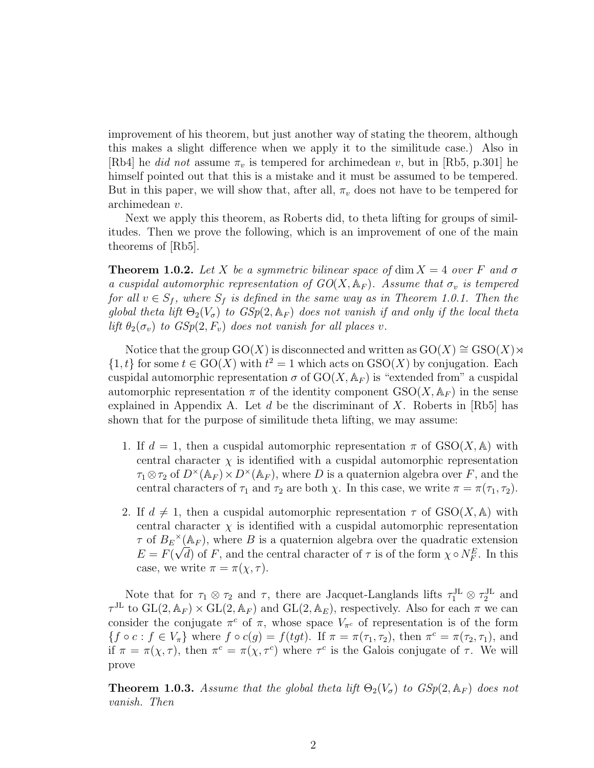improvement of his theorem, but just another way of stating the theorem, although this makes a slight difference when we apply it to the similitude case.) Also in [Rb4] he *did not* assume  $\pi_v$  is tempered for archimedean v, but in [Rb5, p.301] he himself pointed out that this is a mistake and it must be assumed to be tempered. But in this paper, we will show that, after all,  $\pi_v$  does not have to be tempered for archimedean v.

Next we apply this theorem, as Roberts did, to theta lifting for groups of similitudes. Then we prove the following, which is an improvement of one of the main theorems of [Rb5].

**Theorem 1.0.2.** Let X be a symmetric bilinear space of dim  $X = 4$  over F and  $\sigma$ a cuspidal automorphic representation of  $GO(X, \mathbb{A}_F)$ . Assume that  $\sigma_v$  is tempered for all  $v \in S_f$ , where  $S_f$  is defined in the same way as in Theorem 1.0.1. Then the global theta lift  $\Theta_2(V_{\sigma})$  to  $GSp(2, \mathbb{A}_F)$  does not vanish if and only if the local theta lift  $\theta_2(\sigma_v)$  to  $GSp(2, F_v)$  does not vanish for all places v.

Notice that the group GO(X) is disconnected and written as  $GO(X) \cong GSO(X) \rtimes$  $\{1, t\}$  for some  $t \in GO(X)$  with  $t^2 = 1$  which acts on  $GSO(X)$  by conjugation. Each cuspidal automorphic representation  $\sigma$  of  $GO(X, \mathbb{A}_F)$  is "extended from" a cuspidal automorphic representation  $\pi$  of the identity component  $GSO(X, \mathbb{A}_F)$  in the sense explained in Appendix A. Let d be the discriminant of X. Roberts in [Rb5] has shown that for the purpose of similitude theta lifting, we may assume:

- 1. If  $d = 1$ , then a cuspidal automorphic representation  $\pi$  of  $GSO(X, \mathbb{A})$  with central character  $\chi$  is identified with a cuspidal automorphic representation  $\tau_1 \otimes \tau_2$  of  $D^{\times}(\mathbb{A}_F) \times D^{\times}(\mathbb{A}_F)$ , where D is a quaternion algebra over F, and the central characters of  $\tau_1$  and  $\tau_2$  are both  $\chi$ . In this case, we write  $\pi = \pi(\tau_1, \tau_2)$ .
- 2. If  $d \neq 1$ , then a cuspidal automorphic representation  $\tau$  of  $GSO(X, A)$  with central character  $\chi$  is identified with a cuspidal automorphic representation  $\tau$  of  $B_E^{\times}(\mathbb{A}_F)$ , where B is a quaternion algebra over the quadratic extension  $E = F(\sqrt{d})$  of F, and the central character of  $\tau$  is of the form  $\chi \circ N_F^E$ . In this case, we write  $\pi = \pi(\chi, \tau)$ .

Note that for  $\tau_1 \otimes \tau_2$  and  $\tau$ , there are Jacquet-Langlands lifts  $\tau_1^{JL} \otimes \tau_2^{JL}$  and  $\tau^{\text{JL}}$  to  $GL(2, \mathbb{A}_F) \times GL(2, \mathbb{A}_F)$  and  $GL(2, \mathbb{A}_E)$ , respectively. Also for each  $\pi$  we can consider the conjugate  $\pi^c$  of  $\pi$ , whose space  $V_{\pi^c}$  of representation is of the form  $\{f \circ c : f \in V_\pi\}$  where  $f \circ c(g) = f(tgt)$ . If  $\pi = \pi(\tau_1, \tau_2)$ , then  $\pi^c = \pi(\tau_2, \tau_1)$ , and if  $\pi = \pi(\chi, \tau)$ , then  $\pi^c = \pi(\chi, \tau^c)$  where  $\tau^c$  is the Galois conjugate of  $\tau$ . We will prove

**Theorem 1.0.3.** Assume that the global theta lift  $\Theta_2(V_\sigma)$  to  $GSp(2, \mathbb{A}_F)$  does not vanish. Then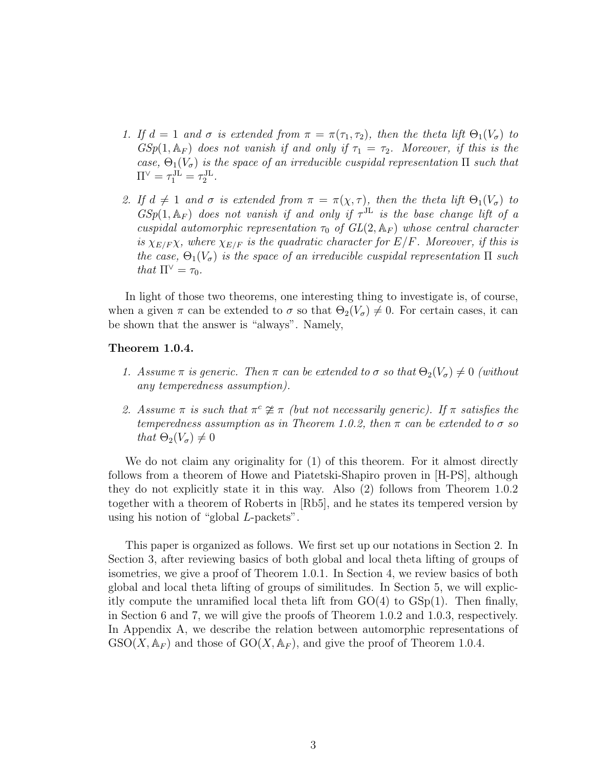- 1. If  $d = 1$  and  $\sigma$  is extended from  $\pi = \pi(\tau_1, \tau_2)$ , then the theta lift  $\Theta_1(V_{\sigma})$  to  $GSp(1, \mathbb{A}_F)$  does not vanish if and only if  $\tau_1 = \tau_2$ . Moreover, if this is the case,  $\Theta_1(V_{\sigma})$  is the space of an irreducible cuspidal representation  $\Pi$  such that  $\Pi^{\vee} = \tau_1^{\text{JL}} = \tau_2^{\text{JL}}.$
- 2. If  $d \neq 1$  and  $\sigma$  is extended from  $\pi = \pi(\chi, \tau)$ , then the theta lift  $\Theta_1(V_{\sigma})$  to  $GSp(1, \mathbb{A}_F)$  does not vanish if and only if  $\tau^{JL}$  is the base change lift of a cuspidal automorphic representation  $\tau_0$  of  $GL(2, \mathbb{A}_F)$  whose central character is  $\chi_{E/F} \chi$ , where  $\chi_{E/F}$  is the quadratic character for  $E/F$ . Moreover, if this is the case,  $\Theta_1(V_{\sigma})$  is the space of an irreducible cuspidal representation  $\Pi$  such that  $\Pi^{\vee} = \tau_0$ .

In light of those two theorems, one interesting thing to investigate is, of course, when a given  $\pi$  can be extended to  $\sigma$  so that  $\Theta_2(V_\sigma) \neq 0$ . For certain cases, it can be shown that the answer is "always". Namely,

#### Theorem 1.0.4.

- 1. Assume  $\pi$  is generic. Then  $\pi$  can be extended to  $\sigma$  so that  $\Theta_2(V_{\sigma})\neq 0$  (without any temperedness assumption).
- 2. Assume  $\pi$  is such that  $\pi^c \not\cong \pi$  (but not necessarily generic). If  $\pi$  satisfies the temperedness assumption as in Theorem 1.0.2, then  $\pi$  can be extended to  $\sigma$  so that  $\Theta_2(V_\sigma) \neq 0$

We do not claim any originality for  $(1)$  of this theorem. For it almost directly follows from a theorem of Howe and Piatetski-Shapiro proven in [H-PS], although they do not explicitly state it in this way. Also (2) follows from Theorem 1.0.2 together with a theorem of Roberts in [Rb5], and he states its tempered version by using his notion of "global L-packets".

This paper is organized as follows. We first set up our notations in Section 2. In Section 3, after reviewing basics of both global and local theta lifting of groups of isometries, we give a proof of Theorem 1.0.1. In Section 4, we review basics of both global and local theta lifting of groups of similitudes. In Section 5, we will explicitly compute the unramified local theta lift from  $GO(4)$  to  $GSp(1)$ . Then finally, in Section 6 and 7, we will give the proofs of Theorem 1.0.2 and 1.0.3, respectively. In Appendix A, we describe the relation between automorphic representations of  $GSO(X, \mathbb{A}_F)$  and those of  $GO(X, \mathbb{A}_F)$ , and give the proof of Theorem 1.0.4.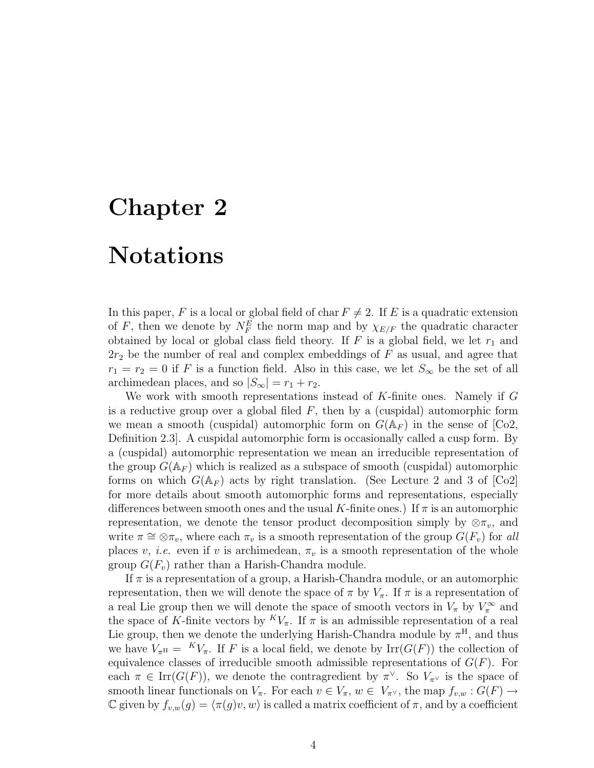## Chapter 2

#### Notations

In this paper, F is a local or global field of char  $F \neq 2$ . If E is a quadratic extension of F, then we denote by  $N_F^E$  the norm map and by  $\chi_{E/F}$  the quadratic character obtained by local or global class field theory. If  $F$  is a global field, we let  $r_1$  and  $2r_2$  be the number of real and complex embeddings of F as usual, and agree that  $r_1 = r_2 = 0$  if F is a function field. Also in this case, we let  $S_{\infty}$  be the set of all archimedean places, and so  $|S_{\infty}| = r_1 + r_2$ .

We work with smooth representations instead of K-finite ones. Namely if G is a reductive group over a global filed  $F$ , then by a (cuspidal) automorphic form we mean a smooth (cuspidal) automorphic form on  $G(\mathbb{A}_F)$  in the sense of  $|Co2\rangle$ , Definition 2.3]. A cuspidal automorphic form is occasionally called a cusp form. By a (cuspidal) automorphic representation we mean an irreducible representation of the group  $G(\mathbb{A}_F)$  which is realized as a subspace of smooth (cuspidal) automorphic forms on which  $G(\mathbb{A}_F)$  acts by right translation. (See Lecture 2 and 3 of [Co2] for more details about smooth automorphic forms and representations, especially differences between smooth ones and the usual K-finite ones.) If  $\pi$  is an automorphic representation, we denote the tensor product decomposition simply by  $\otimes \pi_v$ , and write  $\pi \cong \otimes \pi_v$ , where each  $\pi_v$  is a smooth representation of the group  $G(F_v)$  for all places v, *i.e.* even if v is archimedean,  $\pi_v$  is a smooth representation of the whole group  $G(F_v)$  rather than a Harish-Chandra module.

If  $\pi$  is a representation of a group, a Harish-Chandra module, or an automorphic representation, then we will denote the space of  $\pi$  by  $V_{\pi}$ . If  $\pi$  is a representation of a real Lie group then we will denote the space of smooth vectors in  $V_{\pi}$  by  $V_{\pi}^{\infty}$  and the space of K-finite vectors by  ${}^K V_\pi$ . If  $\pi$  is an admissible representation of a real Lie group, then we denote the underlying Harish-Chandra module by  $\pi^{\text{H}}$ , and thus we have  $V_{\pi^{\rm H}} = K V_{\pi}$ . If F is a local field, we denote by  $\text{Irr}(G(F))$  the collection of equivalence classes of irreducible smooth admissible representations of  $G(F)$ . For each  $\pi \in \text{Irr}(G(F))$ , we denote the contragredient by  $\pi^{\vee}$ . So  $V_{\pi^{\vee}}$  is the space of smooth linear functionals on  $V_{\pi}$ . For each  $v \in V_{\pi}$ ,  $w \in V_{\pi}$ , the map  $f_{v,w} : G(F) \to$ C given by  $f_{v,w}(g) = \langle \pi(g)v, w \rangle$  is called a matrix coefficient of  $\pi$ , and by a coefficient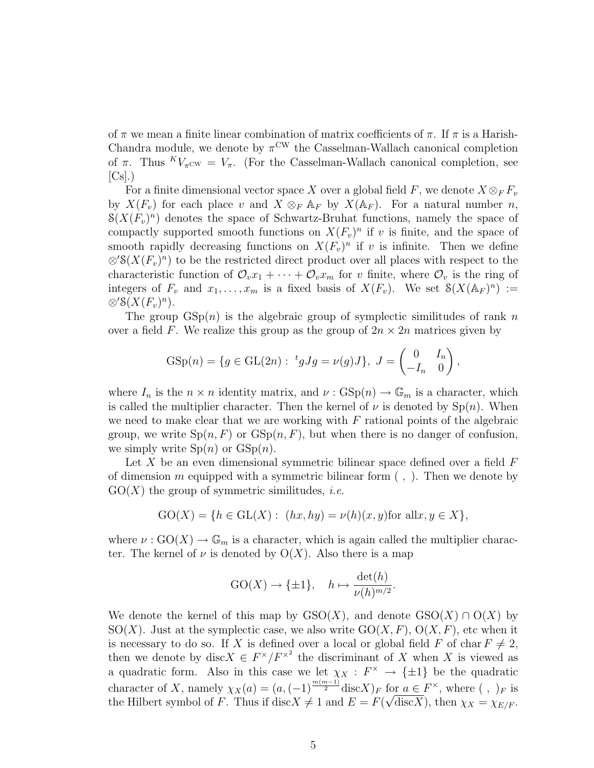of  $\pi$  we mean a finite linear combination of matrix coefficients of  $\pi$ . If  $\pi$  is a Harish-Chandra module, we denote by  $\pi^{\text{CW}}$  the Casselman-Wallach canonical completion of  $\pi$ . Thus  ${}^K V_{\pi}$ cw =  $V_{\pi}$ . (For the Casselman-Wallach canonical completion, see  $[C<sub>s</sub>]$ .)

For a finite dimensional vector space X over a global field F, we denote  $X \otimes_F F_v$ by  $X(F_v)$  for each place v and  $X \otimes_F \mathbb{A}_F$  by  $X(\mathbb{A}_F)$ . For a natural number n,  $S(X(F_v)^n)$  denotes the space of Schwartz-Bruhat functions, namely the space of compactly supported smooth functions on  $X(F_v)^n$  if v is finite, and the space of smooth rapidly decreasing functions on  $X(F_v)^n$  if v is infinite. Then we define  $\otimes^{\prime} \mathcal{S}(X(F_v)^n)$  to be the restricted direct product over all places with respect to the characteristic function of  $\mathcal{O}_v x_1 + \cdots + \mathcal{O}_v x_m$  for v finite, where  $\mathcal{O}_v$  is the ring of integers of  $F_v$  and  $x_1, \ldots, x_m$  is a fixed basis of  $X(F_v)$ . We set  $\mathcal{S}(X(\mathbb{A}_F)^n)$  :=  $\otimes^{\prime} \mathcal{S}(X(F_v)^n)$ .

The group  $GSp(n)$  is the algebraic group of symplectic similitudes of rank n over a field F. We realize this group as the group of  $2n \times 2n$  matrices given by

$$
GSp(n) = \{ g \in GL(2n) : \, ^t gJg = \nu(g)J \}, \, J = \begin{pmatrix} 0 & I_n \\ -I_n & 0 \end{pmatrix},
$$

where  $I_n$  is the  $n \times n$  identity matrix, and  $\nu : GSp(n) \to \mathbb{G}_m$  is a character, which is called the multiplier character. Then the kernel of  $\nu$  is denoted by  $\text{Sp}(n)$ . When we need to make clear that we are working with  $F$  rational points of the algebraic group, we write  $Sp(n, F)$  or  $GSp(n, F)$ , but when there is no danger of confusion, we simply write  $\mathrm{Sp}(n)$  or  $\mathrm{GSp}(n)$ .

Let X be an even dimensional symmetric bilinear space defined over a field  $F$ of dimension m equipped with a symmetric bilinear form  $($ ,  $)$ . Then we denote by  $GO(X)$  the group of symmetric similitudes, *i.e.* 

$$
GO(X) = \{ h \in GL(X) : (hx, hy) = \nu(h)(x, y) \text{for all } x, y \in X \},
$$

where  $\nu: GO(X) \to \mathbb{G}_m$  is a character, which is again called the multiplier character. The kernel of  $\nu$  is denoted by  $O(X)$ . Also there is a map

$$
GO(X) \to \{\pm 1\}, \quad h \mapsto \frac{\det(h)}{\nu(h)^{m/2}}.
$$

We denote the kernel of this map by  $GSO(X)$ , and denote  $GSO(X) \cap O(X)$  by  $SO(X)$ . Just at the symplectic case, we also write  $GO(X, F)$ ,  $O(X, F)$ , etc when it is necessary to do so. If X is defined over a local or global field F of char  $F \neq 2$ , then we denote by disc $X \in F^{\times}/F^{\times^2}$  the discriminant of X when X is viewed as a quadratic form. Also in this case we let  $\chi_X : F^{\times} \to {\pm 1}$  be the quadratic character of X, namely  $\chi_X(a) = (a, (-1)^{\frac{m(m-1)}{2}} \text{disc} X)_F$  for  $a \in F^\times$ , where  $( , )_F$  is the Hilbert symbol of F. Thus if  $\text{disc} X \neq 1$  and  $E = F(\sqrt{\text{disc} X})$ , then  $\chi_X = \chi_{E/F}$ .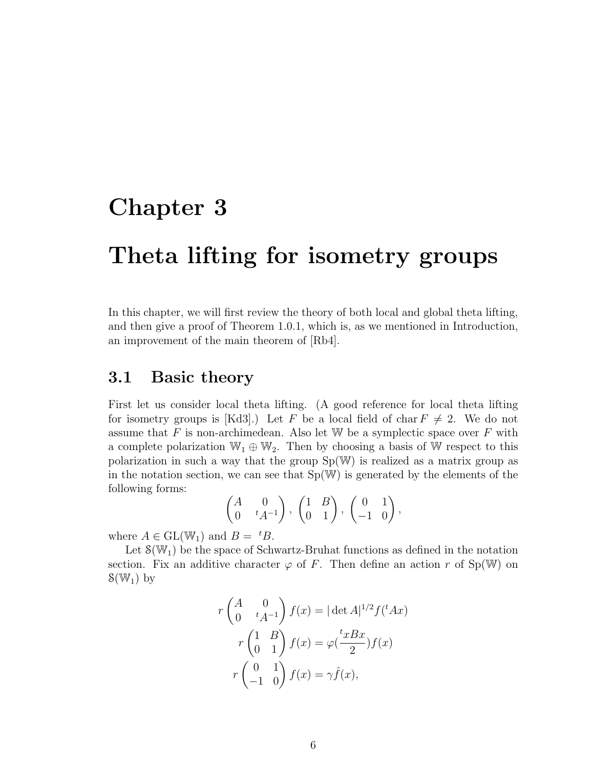### Chapter 3

### Theta lifting for isometry groups

In this chapter, we will first review the theory of both local and global theta lifting, and then give a proof of Theorem 1.0.1, which is, as we mentioned in Introduction, an improvement of the main theorem of [Rb4].

#### 3.1 Basic theory

First let us consider local theta lifting. (A good reference for local theta lifting for isometry groups is [Kd3].) Let F be a local field of char  $F \neq 2$ . We do not assume that  $F$  is non-archimedean. Also let W be a symplectic space over  $F$  with a complete polarization  $\mathbb{W}_1 \oplus \mathbb{W}_2$ . Then by choosing a basis of W respect to this polarization in such a way that the group Sp(W) is realized as a matrix group as in the notation section, we can see that  $Sp(W)$  is generated by the elements of the following forms:

$$
\begin{pmatrix} A & 0 \ 0 & t A^{-1} \end{pmatrix}, \begin{pmatrix} 1 & B \ 0 & 1 \end{pmatrix}, \begin{pmatrix} 0 & 1 \ -1 & 0 \end{pmatrix},
$$

where  $A \in GL(W_1)$  and  $B = {}^tB$ .

Let  $\mathcal{S}(\mathbb{W}_1)$  be the space of Schwartz-Bruhat functions as defined in the notation section. Fix an additive character  $\varphi$  of F. Then define an action r of Sp(W) on  $S(\mathbb{W}_1)$  by

$$
r \begin{pmatrix} A & 0 \\ 0 & {}^t A^{-1} \end{pmatrix} f(x) = |\det A|^{1/2} f({}^t A x)
$$

$$
r \begin{pmatrix} 1 & B \\ 0 & 1 \end{pmatrix} f(x) = \varphi(\frac{{}^t x B x}{2}) f(x)
$$

$$
r \begin{pmatrix} 0 & 1 \\ -1 & 0 \end{pmatrix} f(x) = \gamma \hat{f}(x),
$$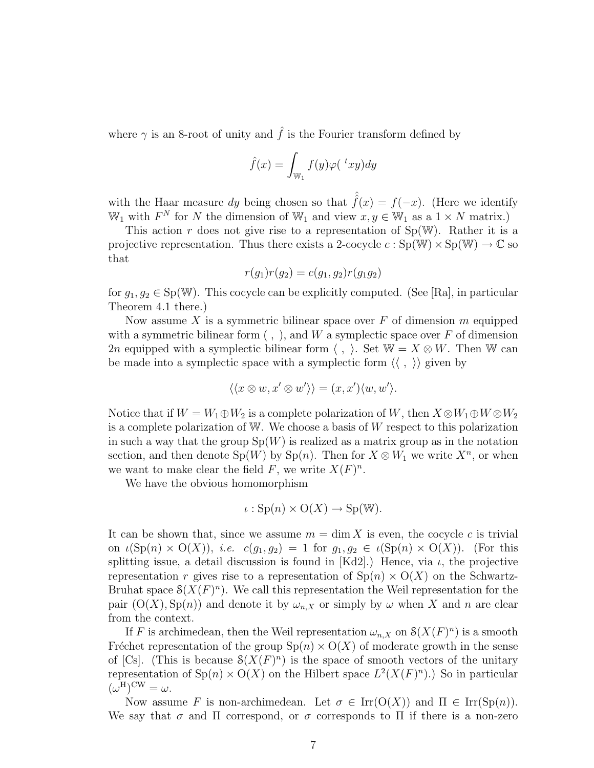where  $\gamma$  is an 8-root of unity and  $\hat{f}$  is the Fourier transform defined by

$$
\hat{f}(x) = \int_{\mathbb{W}_1} f(y) \varphi({}^t xy) dy
$$

with the Haar measure dy being chosen so that  $\hat{f}(x) = f(-x)$ . (Here we identify  $\mathbb{W}_1$  with  $F^N$  for N the dimension of  $\mathbb{W}_1$  and view  $x, y \in \mathbb{W}_1$  as a  $1 \times N$  matrix.)

This action r does not give rise to a representation of  $Sp(W)$ . Rather it is a projective representation. Thus there exists a 2-cocycle  $c : Sp(W) \times Sp(W) \to \mathbb{C}$  so that

$$
r(g_1)r(g_2) = c(g_1, g_2)r(g_1g_2)
$$

for  $g_1, g_2 \in Sp(W)$ . This cocycle can be explicitly computed. (See [Ra], in particular Theorem 4.1 there.)

Now assume X is a symmetric bilinear space over  $F$  of dimension m equipped with a symmetric bilinear form  $($ ,  $)$ , and W a symplectic space over F of dimension 2n equipped with a symplectic bilinear form  $\langle , \rangle$ . Set W =  $X \otimes W$ . Then W can be made into a symplectic space with a symplectic form  $\langle \langle , \rangle \rangle$  given by

$$
\langle\langle x\otimes w, x'\otimes w'\rangle\rangle = (x, x')\langle w, w'\rangle.
$$

Notice that if  $W = W_1 \oplus W_2$  is a complete polarization of W, then  $X \otimes W_1 \oplus W \otimes W_2$ is a complete polarization of W. We choose a basis of W respect to this polarization in such a way that the group  $Sp(W)$  is realized as a matrix group as in the notation section, and then denote  $\text{Sp}(W)$  by  $\text{Sp}(n)$ . Then for  $X \otimes W_1$  we write  $X^n$ , or when we want to make clear the field F, we write  $X(F)^n$ .

We have the obvious homomorphism

$$
\iota: \mathrm{Sp}(n) \times \mathrm{O}(X) \to \mathrm{Sp}(\mathbb{W}).
$$

It can be shown that, since we assume  $m = \dim X$  is even, the cocycle c is trivial on  $\iota(\text{Sp}(n) \times \text{O}(X))$ , *i.e.*  $c(g_1, g_2) = 1$  for  $g_1, g_2 \in \iota(\text{Sp}(n) \times \text{O}(X))$ . (For this splitting issue, a detail discussion is found in [Kd2].) Hence, via  $\iota$ , the projective representation r gives rise to a representation of  $Sp(n) \times O(X)$  on the Schwartz-Bruhat space  $\mathcal{S}(X(F)^n)$ . We call this representation the Weil representation for the pair  $(O(X), Sp(n))$  and denote it by  $\omega_{n,X}$  or simply by  $\omega$  when X and n are clear from the context.

If F is archimedean, then the Weil representation  $\omega_{n,X}$  on  $\mathcal{S}(X(F)^n)$  is a smooth Fréchet representation of the group  $Sp(n) \times O(X)$  of moderate growth in the sense of [Cs]. (This is because  $\mathcal{S}(X(F)^n)$  is the space of smooth vectors of the unitary representation of  $\text{Sp}(n) \times \text{O}(X)$  on the Hilbert space  $L^2(X(F)^n)$ .) So in particular  $(\omega^{\mathrm{H}})^{\mathrm{CW}} = \omega.$ 

Now assume F is non-archimedean. Let  $\sigma \in \text{Irr}(\text{O}(X))$  and  $\Pi \in \text{Irr}(\text{Sp}(n)).$ We say that  $\sigma$  and  $\Pi$  correspond, or  $\sigma$  corresponds to  $\Pi$  if there is a non-zero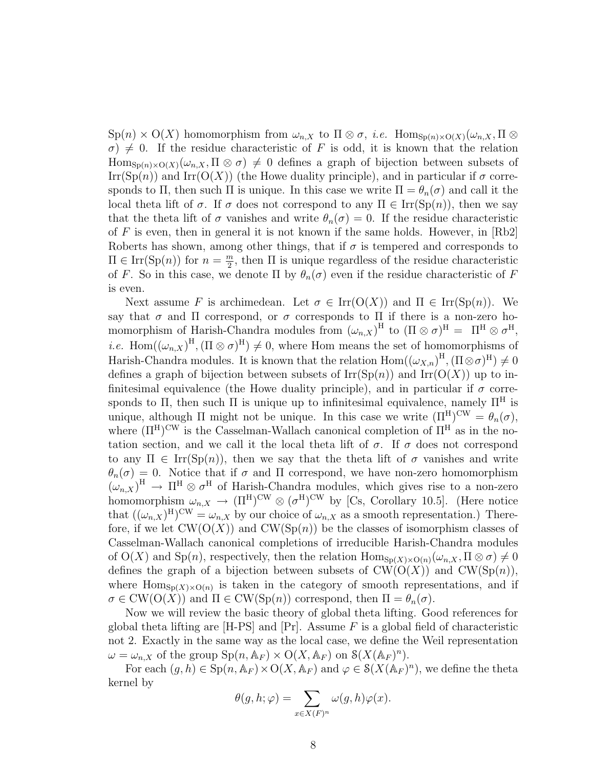$\text{Sp}(n) \times \text{O}(X)$  homomorphism from  $\omega_{n,X}$  to  $\Pi \otimes \sigma$ , *i.e.*  $\text{Hom}_{\text{Sp}(n) \times \text{O}(X)}(\omega_{n,X}, \Pi \otimes$  $\sigma$ )  $\neq$  0. If the residue characteristic of F is odd, it is known that the relation  $\text{Hom}_{\text{Sp}(n)\times \text{O}(X)}(\omega_{n,X},\Pi\otimes\sigma)\neq 0$  defines a graph of bijection between subsets of  $\text{Irr}(\text{Sp}(n))$  and  $\text{Irr}(\text{O}(X))$  (the Howe duality principle), and in particular if  $\sigma$  corresponds to Π, then such Π is unique. In this case we write  $\Pi = \theta_n(\sigma)$  and call it the local theta lift of  $\sigma$ . If  $\sigma$  does not correspond to any  $\Pi \in \text{Irr}(\text{Sp}(n))$ , then we say that the theta lift of  $\sigma$  vanishes and write  $\theta_n(\sigma) = 0$ . If the residue characteristic of F is even, then in general it is not known if the same holds. However, in  $[Rb2]$ Roberts has shown, among other things, that if  $\sigma$  is tempered and corresponds to  $\Pi \in \text{Irr}(\text{Sp}(n))$  for  $n = \frac{m}{2}$  $\frac{m}{2}$ , then  $\Pi$  is unique regardless of the residue characteristic of F. So in this case, we denote  $\Pi$  by  $\theta_n(\sigma)$  even if the residue characteristic of F is even.

Next assume F is archimedean. Let  $\sigma \in \text{Irr}(\text{O}(X))$  and  $\Pi \in \text{Irr}(\text{Sp}(n))$ . We say that  $\sigma$  and  $\Pi$  correspond, or  $\sigma$  corresponds to  $\Pi$  if there is a non-zero homomorphism of Harish-Chandra modules from  $(\omega_{n,X})^{\text{H}}$  to  $(\Pi \otimes \sigma)^{\text{H}} = \Pi^{\text{H}} \otimes \sigma^{\text{H}}$ , *i.e.* Hom $((\omega_{n,X})^{\text{H}},(\Pi\otimes\sigma)^{\text{H}})\neq 0$ , where Hom means the set of homomorphisms of Harish-Chandra modules. It is known that the relation  $Hom((\omega_{X,n})^H, (\Pi \otimes \sigma)^H) \neq 0$ defines a graph of bijection between subsets of  $\mathrm{Irr}(\mathrm{Sp}(n))$  and  $\mathrm{Irr}(\mathrm{O}(X))$  up to infinitesimal equivalence (the Howe duality principle), and in particular if  $\sigma$  corresponds to Π, then such Π is unique up to infinitesimal equivalence, namely  $\Pi^H$  is unique, although  $\Pi$  might not be unique. In this case we write  $(\Pi^H)^{\text{CW}} = \theta_n(\sigma)$ , where  $(\Pi^H)^{\text{CW}}$  is the Casselman-Wallach canonical completion of  $\Pi^H$  as in the notation section, and we call it the local theta lift of  $\sigma$ . If  $\sigma$  does not correspond to any  $\Pi \in \text{Irr}(\text{Sp}(n))$ , then we say that the theta lift of  $\sigma$  vanishes and write  $\theta_n(\sigma) = 0$ . Notice that if  $\sigma$  and  $\Pi$  correspond, we have non-zero homomorphism  $(\omega_{n,X})^H \to \Pi^H \otimes \sigma^H$  of Harish-Chandra modules, which gives rise to a non-zero homomorphism  $\omega_{n,X} \to (\Pi^H)^{\text{CW}} \otimes (\sigma^H)^{\text{CW}}$  by [Cs, Corollary 10.5]. (Here notice that  $((\omega_{n,X})^{\text{H}})^{\text{CW}} = \omega_{n,X}$  by our choice of  $\omega_{n,X}$  as a smooth representation.) Therefore, if we let  $CW(O(X))$  and  $CW(Sp(n))$  be the classes of isomorphism classes of Casselman-Wallach canonical completions of irreducible Harish-Chandra modules of  $O(X)$  and  $Sp(n)$ , respectively, then the relation  $Hom_{Sp(X)\times O(n)}(\omega_{n,X}, \Pi \otimes \sigma) \neq 0$ defines the graph of a bijection between subsets of  $CW(O(X))$  and  $CW(Sp(n)),$ where  $\text{Hom}_{\text{Sp}(X)\times \text{O}(n)}$  is taken in the category of smooth representations, and if  $\sigma \in CW(O(X))$  and  $\Pi \in CW(Sp(n))$  correspond, then  $\Pi = \theta_n(\sigma)$ .

Now we will review the basic theory of global theta lifting. Good references for global theta lifting are  $[H-PS]$  and  $[Pr]$ . Assume F is a global field of characteristic not 2. Exactly in the same way as the local case, we define the Weil representation  $\omega = \omega_{n,X}$  of the group  $\text{Sp}(n, \mathbb{A}_F) \times \text{O}(X, \mathbb{A}_F)$  on  $\mathcal{S}(X(\mathbb{A}_F)^n)$ .

For each  $(g, h) \in \mathrm{Sp}(n, \mathbb{A}_F) \times \mathrm{O}(X, \mathbb{A}_F)$  and  $\varphi \in \mathcal{S}(X(\mathbb{A}_F)^n)$ , we define the theta kernel by

$$
\theta(g, h; \varphi) = \sum_{x \in X(F)^n} \omega(g, h)\varphi(x).
$$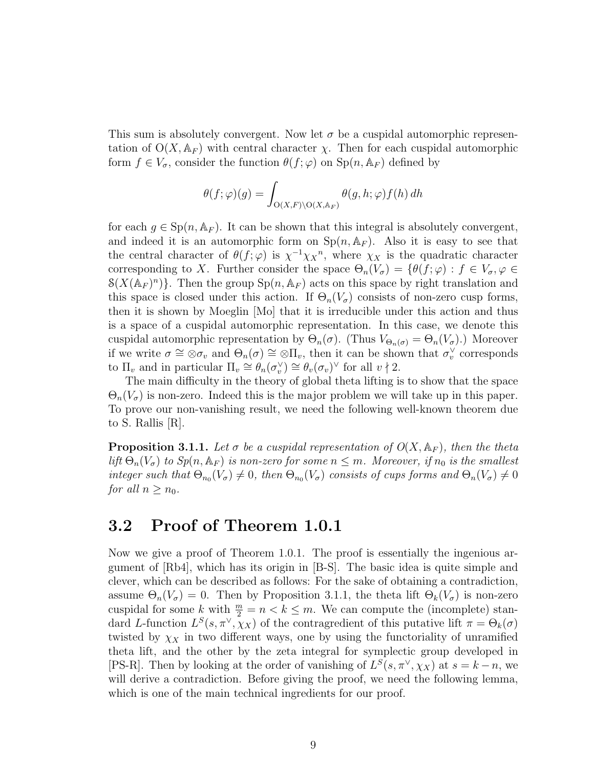This sum is absolutely convergent. Now let  $\sigma$  be a cuspidal automorphic representation of  $O(X, A_F)$  with central character  $\chi$ . Then for each cuspidal automorphic form  $f \in V_{\sigma}$ , consider the function  $\theta(f; \varphi)$  on  $\text{Sp}(n, \mathbb{A}_F)$  defined by

$$
\theta(f; \varphi)(g) = \int_{O(X,F) \backslash O(X, \mathbb{A}_F)} \theta(g, h; \varphi) f(h) dh
$$

for each  $g \in \mathrm{Sp}(n, \mathbb{A}_F)$ . It can be shown that this integral is absolutely convergent, and indeed it is an automorphic form on  $Sp(n, A_F)$ . Also it is easy to see that the central character of  $\theta(f;\varphi)$  is  $\chi^{-1}\chi_{X}^{n}$ , where  $\chi_{X}$  is the quadratic character corresponding to X. Further consider the space  $\Theta_n(V_\sigma) = \{ \theta(f; \varphi) : f \in V_\sigma, \varphi \in$  $S(X(\mathbb{A}_F)^n)$ . Then the group  $Sp(n, \mathbb{A}_F)$  acts on this space by right translation and this space is closed under this action. If  $\Theta_n(V_\sigma)$  consists of non-zero cusp forms, then it is shown by Moeglin [Mo] that it is irreducible under this action and thus is a space of a cuspidal automorphic representation. In this case, we denote this cuspidal automorphic representation by  $\Theta_n(\sigma)$ . (Thus  $V_{\Theta_n(\sigma)} = \Theta_n(V_{\sigma})$ .) Moreover if we write  $\sigma \cong \otimes \sigma_v$  and  $\Theta_n(\sigma) \cong \otimes \Pi_v$ , then it can be shown that  $\sigma_v^{\vee}$  corresponds to  $\Pi_v$  and in particular  $\Pi_v \cong \theta_n(\sigma_v^{\vee}) \cong \theta_v(\sigma_v)^{\vee}$  for all  $v \nmid 2$ .

The main difficulty in the theory of global theta lifting is to show that the space  $\Theta_n(V_\sigma)$  is non-zero. Indeed this is the major problem we will take up in this paper. To prove our non-vanishing result, we need the following well-known theorem due to S. Rallis [R].

**Proposition 3.1.1.** Let  $\sigma$  be a cuspidal representation of  $O(X, \mathbb{A}_F)$ , then the theta lift  $\Theta_n(V_{\sigma})$  to  $Sp(n, \mathbb{A}_F)$  is non-zero for some  $n \leq m$ . Moreover, if  $n_0$  is the smallest integer such that  $\Theta_{n_0}(V_\sigma) \neq 0$ , then  $\Theta_{n_0}(V_\sigma)$  consists of cups forms and  $\Theta_n(V_\sigma) \neq 0$ for all  $n \geq n_0$ .

#### 3.2 Proof of Theorem 1.0.1

Now we give a proof of Theorem 1.0.1. The proof is essentially the ingenious argument of [Rb4], which has its origin in [B-S]. The basic idea is quite simple and clever, which can be described as follows: For the sake of obtaining a contradiction, assume  $\Theta_n(V_\sigma) = 0$ . Then by Proposition 3.1.1, the theta lift  $\Theta_k(V_\sigma)$  is non-zero cuspidal for some k with  $\frac{m}{2} = n < k \leq m$ . We can compute the (incomplete) standard L-function  $L^{S}(s, \pi^{\vee}, \chi_X)$  of the contragredient of this putative lift  $\pi = \Theta_k(\sigma)$ twisted by  $\chi_X$  in two different ways, one by using the functoriality of unramified theta lift, and the other by the zeta integral for symplectic group developed in [PS-R]. Then by looking at the order of vanishing of  $L^S(s, \pi^\vee, \chi_X)$  at  $s = k - n$ , we will derive a contradiction. Before giving the proof, we need the following lemma, which is one of the main technical ingredients for our proof.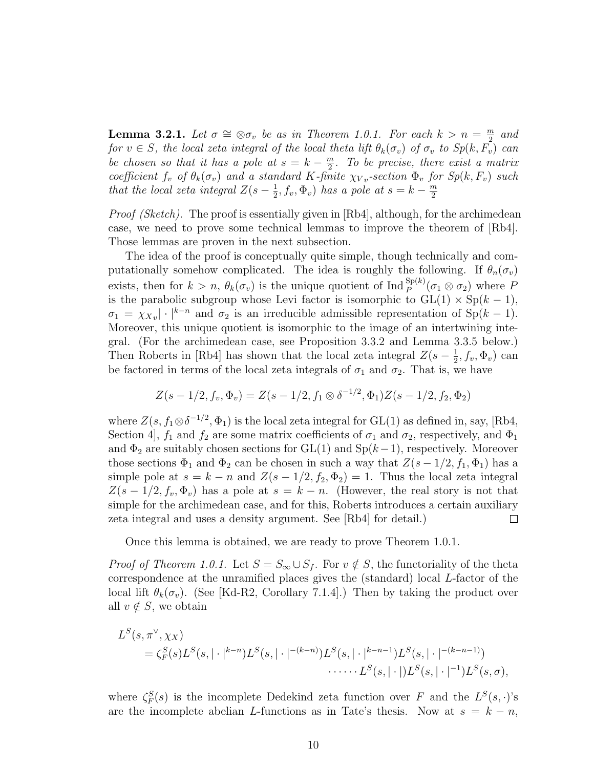**Lemma 3.2.1.** Let  $\sigma \cong \otimes \sigma_v$  be as in Theorem 1.0.1. For each  $k > n = \frac{m}{2}$  $\frac{n}{2}$  and for  $v \in S$ , the local zeta integral of the local theta lift  $\theta_k(\sigma_v)$  of  $\sigma_v$  to  $Sp(k, F_v)$  can be chosen so that it has a pole at  $s = k - \frac{m}{2}$  $\frac{m}{2}$ . To be precise, there exist a matrix coefficient  $f_v$  of  $\theta_k(\sigma_v)$  and a standard K-finite  $\chi_{Vv}$ -section  $\Phi_v$  for  $Sp(k, F_v)$  such that the local zeta integral  $Z(s-\frac{1}{2})$  $(\frac{1}{2}, f_v, \Phi_v)$  has a pole at  $s = k - \frac{m}{2}$ 2

*Proof (Sketch).* The proof is essentially given in [Rb4], although, for the archimedean case, we need to prove some technical lemmas to improve the theorem of [Rb4]. Those lemmas are proven in the next subsection.

The idea of the proof is conceptually quite simple, though technically and computationally somehow complicated. The idea is roughly the following. If  $\theta_n(\sigma_v)$ exists, then for  $k > n$ ,  $\theta_k(\sigma_v)$  is the unique quotient of  $\text{Ind}_{P}^{\text{Sp}(k)}(\sigma_1 \otimes \sigma_2)$  where P is the parabolic subgroup whose Levi factor is isomorphic to  $GL(1) \times Sp(k-1)$ ,  $\sigma_1 = \chi_{Xv}$  ·  $|^{k-n}$  and  $\sigma_2$  is an irreducible admissible representation of Sp(k – 1). Moreover, this unique quotient is isomorphic to the image of an intertwining integral. (For the archimedean case, see Proposition 3.3.2 and Lemma 3.3.5 below.) Then Roberts in [Rb4] has shown that the local zeta integral  $Z(s-\frac{1}{2})$  $\frac{1}{2}$ ,  $f_v$ ,  $\Phi_v$ ) can be factored in terms of the local zeta integrals of  $\sigma_1$  and  $\sigma_2$ . That is, we have

$$
Z(s-1/2, f_v, \Phi_v) = Z(s-1/2, f_1 \otimes \delta^{-1/2}, \Phi_1)Z(s-1/2, f_2, \Phi_2)
$$

where  $Z(s, f_1 \otimes \delta^{-1/2}, \Phi_1)$  is the local zeta integral for GL(1) as defined in, say, [Rb4, Section 4,  $f_1$  and  $f_2$  are some matrix coefficients of  $\sigma_1$  and  $\sigma_2$ , respectively, and  $\Phi_1$ and  $\Phi_2$  are suitably chosen sections for GL(1) and Sp( $k-1$ ), respectively. Moreover those sections  $\Phi_1$  and  $\Phi_2$  can be chosen in such a way that  $Z(s-1/2, f_1, \Phi_1)$  has a simple pole at  $s = k - n$  and  $Z(s - 1/2, f_2, \Phi_2) = 1$ . Thus the local zeta integral  $Z(s-1/2, f_v, \Phi_v)$  has a pole at  $s = k - n$ . (However, the real story is not that simple for the archimedean case, and for this, Roberts introduces a certain auxiliary zeta integral and uses a density argument. See [Rb4] for detail.)  $\Box$ 

Once this lemma is obtained, we are ready to prove Theorem 1.0.1.

*Proof of Theorem 1.0.1.* Let  $S = S_{\infty} \cup S_f$ . For  $v \notin S$ , the functoriality of the theta correspondence at the unramified places gives the (standard) local L-factor of the local lift  $\theta_k(\sigma_v)$ . (See [Kd-R2, Corollary 7.1.4].) Then by taking the product over all  $v \notin S$ , we obtain

$$
L^{S}(s, \pi^{\vee}, \chi_{X})
$$
  
=  $\zeta_{F}^{S}(s)L^{S}(s, |\cdot|^{k-n})L^{S}(s, |\cdot|^{-(k-n)})L^{S}(s, |\cdot|^{k-n-1})L^{S}(s, |\cdot|^{-(k-n-1)})$   
......  $L^{S}(s, |\cdot|)L^{S}(s, |\cdot|^{-1})L^{S}(s, \sigma),$ 

where  $\zeta_F^S(s)$  is the incomplete Dedekind zeta function over F and the  $L^S(s, \cdot)$ 's are the incomplete abelian L-functions as in Tate's thesis. Now at  $s = k - n$ ,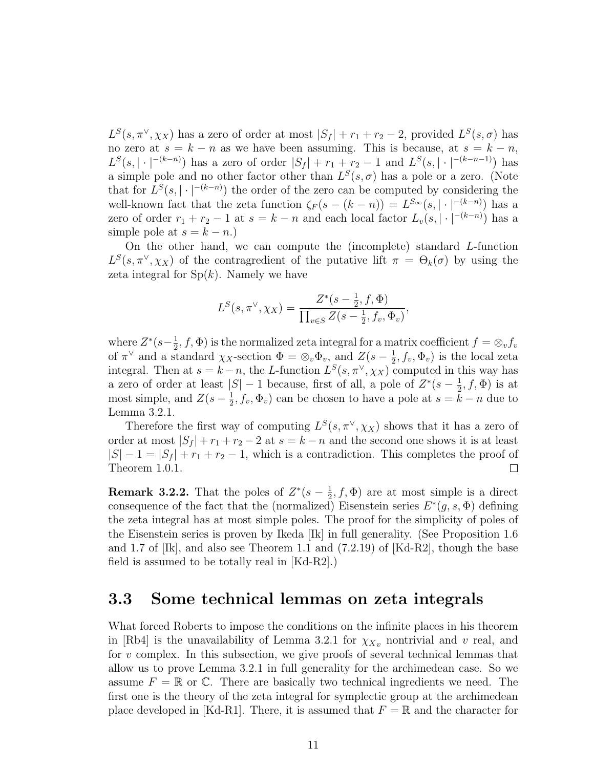$L^{S}(s, \pi^{\vee}, \chi_{X})$  has a zero of order at most  $|S_f| + r_1 + r_2 - 2$ , provided  $L^{S}(s, \sigma)$  has no zero at  $s = k - n$  as we have been assuming. This is because, at  $s = k - n$ ,  $L^{S}(s, |\cdot|^{-(k-n)})$  has a zero of order  $|S_f| + r_1 + r_2 - 1$  and  $L^{S}(s, |\cdot|^{-(k-n-1)})$  has a simple pole and no other factor other than  $L^S(s, \sigma)$  has a pole or a zero. (Note that for  $L^{S}(s, |\cdot|^{-(k-n)})$  the order of the zero can be computed by considering the well-known fact that the zeta function  $\zeta_F(s-(k-n))=L^{S_{\infty}}(s,|\cdot|^{-(k-n)})$  has a zero of order  $r_1 + r_2 - 1$  at  $s = k - n$  and each local factor  $L_v(s, |\cdot|^{-(k-n)})$  has a simple pole at  $s = k - n$ .)

On the other hand, we can compute the (incomplete) standard L-function  $L^{S}(s, \pi^{\vee}, \chi_{X})$  of the contragredient of the putative lift  $\pi = \Theta_{k}(\sigma)$  by using the zeta integral for  $Sp(k)$ . Namely we have

$$
L^{S}(s, \pi^{\vee}, \chi_{X}) = \frac{Z^{*}(s - \frac{1}{2}, f, \Phi)}{\prod_{v \in S} Z(s - \frac{1}{2}, f_{v}, \Phi_{v})},
$$

where  $Z^*(s-\frac{1}{2})$  $(\frac{1}{2}, f, \Phi)$  is the normalized zeta integral for a matrix coefficient  $f = \otimes_v f_v$ of  $\pi^{\vee}$  and a standard  $\chi_X$ -section  $\Phi = \otimes_v \Phi_v$ , and  $Z(s - \frac{1}{2})$  $(\frac{1}{2}, f_v, \Phi_v)$  is the local zeta integral. Then at  $s = k - n$ , the L-function  $L^{S}(s, \pi^{\vee}, \chi_{X})$  computed in this way has a zero of order at least  $|S| - 1$  because, first of all, a pole of  $Z^*(s - \frac{1}{2})$  $(\frac{1}{2}, f, \Phi)$  is at most simple, and  $Z(s-\frac{1}{2})$  $(\frac{1}{2}, f_v, \Phi_v)$  can be chosen to have a pole at  $s = k - n$  due to Lemma 3.2.1.

Therefore the first way of computing  $L^S(s, \pi^{\vee}, \chi_X)$  shows that it has a zero of order at most  $|S_f| + r_1 + r_2 - 2$  at  $s = k - n$  and the second one shows it is at least  $|S| - 1 = |S_f| + r_1 + r_2 - 1$ , which is a contradiction. This completes the proof of Theorem 1.0.1.  $\Box$ 

**Remark 3.2.2.** That the poles of  $Z^*(s-\frac{1}{2})$  $(\frac{1}{2}, f, \Phi)$  are at most simple is a direct consequence of the fact that the (normalized) Eisenstein series  $E^*(g, s, \Phi)$  defining the zeta integral has at most simple poles. The proof for the simplicity of poles of the Eisenstein series is proven by Ikeda [Ik] in full generality. (See Proposition 1.6 and 1.7 of [Ik], and also see Theorem 1.1 and (7.2.19) of [Kd-R2], though the base field is assumed to be totally real in [Kd-R2].)

#### 3.3 Some technical lemmas on zeta integrals

What forced Roberts to impose the conditions on the infinite places in his theorem in [Rb4] is the unavailability of Lemma 3.2.1 for  $\chi_{Xv}$  nontrivial and v real, and for v complex. In this subsection, we give proofs of several technical lemmas that allow us to prove Lemma 3.2.1 in full generality for the archimedean case. So we assume  $F = \mathbb{R}$  or  $\mathbb{C}$ . There are basically two technical ingredients we need. The first one is the theory of the zeta integral for symplectic group at the archimedean place developed in [Kd-R1]. There, it is assumed that  $F = \mathbb{R}$  and the character for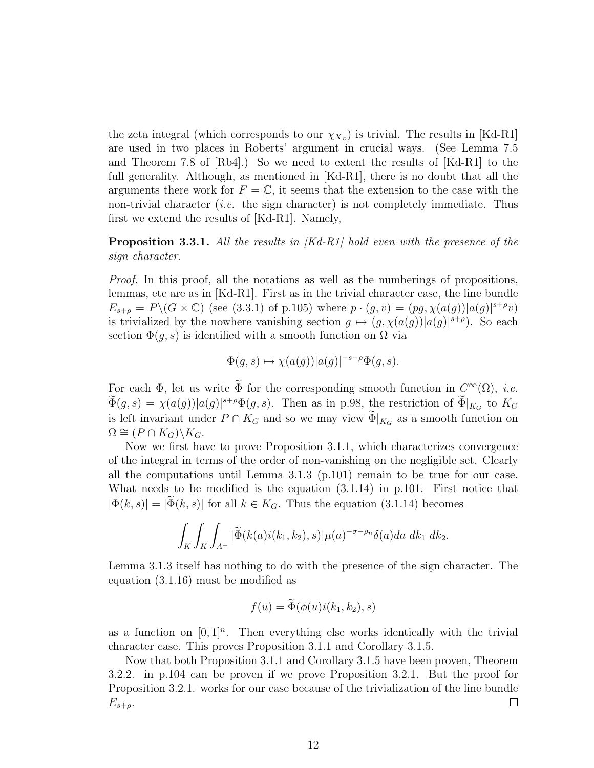the zeta integral (which corresponds to our  $\chi_{Xv}$ ) is trivial. The results in [Kd-R1] are used in two places in Roberts' argument in crucial ways. (See Lemma 7.5 and Theorem 7.8 of  $[Rb4]$ .) So we need to extent the results of  $[Kd-R1]$  to the full generality. Although, as mentioned in [Kd-R1], there is no doubt that all the arguments there work for  $F = \mathbb{C}$ , it seems that the extension to the case with the non-trivial character (*i.e.* the sign character) is not completely immediate. Thus first we extend the results of [Kd-R1]. Namely,

**Proposition 3.3.1.** All the results in  $[Kd-R1]$  hold even with the presence of the sign character.

Proof. In this proof, all the notations as well as the numberings of propositions, lemmas, etc are as in [Kd-R1]. First as in the trivial character case, the line bundle  $E_{s+\rho} = P\setminus (G \times \mathbb{C})$  (see (3.3.1) of p.105) where  $p \cdot (g, v) = (pg, \chi(a(g))|a(g)|^{s+\rho}v)$ is trivialized by the nowhere vanishing section  $g \mapsto (g, \chi(a(g))|a(g)|^{s+\rho})$ . So each section  $\Phi(q, s)$  is identified with a smooth function on  $\Omega$  via

$$
\Phi(g, s) \mapsto \chi(a(g))|a(g)|^{-s-\rho}\Phi(g, s).
$$

For each  $\Phi$ , let us write  $\tilde{\Phi}$  for the corresponding smooth function in  $C^{\infty}(\Omega)$ , *i.e.*  $\tilde{\Phi}(g,s) = \chi(a(g))|a(g)|^{s+\rho} \Phi(g,s)$ . Then as in p.98, the restriction of  $\tilde{\Phi}|_{K_G}$  to  $K_G$ is left invariant under  $P \cap K_G$  and so we may view  $\Phi|_{K_G}$  as a smooth function on  $\Omega \cong (P \cap K_G) \backslash K_G.$ 

Now we first have to prove Proposition 3.1.1, which characterizes convergence of the integral in terms of the order of non-vanishing on the negligible set. Clearly all the computations until Lemma 3.1.3 (p.101) remain to be true for our case. What needs to be modified is the equation (3.1.14) in p.101. First notice that  $|\Phi(k, s)| = |\widetilde{\Phi}(k, s)|$  for all  $k \in K_G$ . Thus the equation (3.1.14) becomes

$$
\int_K \int_K \int_{A^+} |\widetilde{\Phi}(k(a)i(k_1,k_2),s)| \mu(a)^{-\sigma-\rho_n} \delta(a) da \ dk_1 \ dk_2.
$$

Lemma 3.1.3 itself has nothing to do with the presence of the sign character. The equation (3.1.16) must be modified as

$$
f(u) = \widetilde{\Phi}(\phi(u)i(k_1, k_2), s)
$$

as a function on  $[0,1]^n$ . Then everything else works identically with the trivial character case. This proves Proposition 3.1.1 and Corollary 3.1.5.

Now that both Proposition 3.1.1 and Corollary 3.1.5 have been proven, Theorem 3.2.2. in p.104 can be proven if we prove Proposition 3.2.1. But the proof for Proposition 3.2.1. works for our case because of the trivialization of the line bundle  $\Box$  $E_{s+\rho}$ .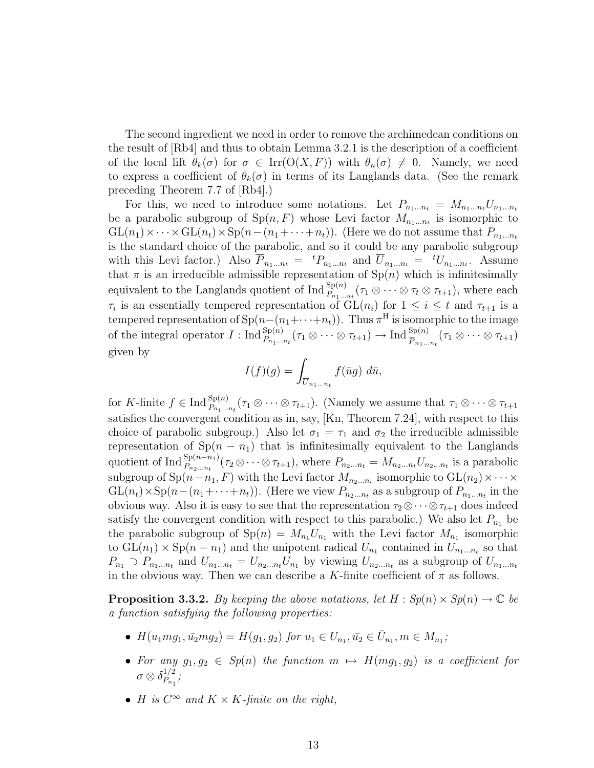The second ingredient we need in order to remove the archimedean conditions on the result of [Rb4] and thus to obtain Lemma 3.2.1 is the description of a coefficient of the local lift  $\theta_k(\sigma)$  for  $\sigma \in \text{Irr}(\mathcal{O}(X,F))$  with  $\theta_n(\sigma) \neq 0$ . Namely, we need to express a coefficient of  $\theta_k(\sigma)$  in terms of its Langlands data. (See the remark preceding Theorem 7.7 of [Rb4].)

For this, we need to introduce some notations. Let  $P_{n_1...n_t} = M_{n_1...n_t}U_{n_1...n_t}$ be a parabolic subgroup of  $Sp(n, F)$  whose Levi factor  $M_{n_1...n_t}$  is isomorphic to  $GL(n_1)\times\cdots\times GL(n_t)\times Sp(n-(n_1+\cdots+n_t)).$  (Here we do not assume that  $P_{n_1...n_t}$ ) is the standard choice of the parabolic, and so it could be any parabolic subgroup with this Levi factor.) Also  $\overline{P}_{n_1...n_t} = {}^{t}P_{n_1...n_t}$  and  $\overline{U}_{n_1...n_t} = {}^{t}U_{n_1...n_t}$ . Assume that  $\pi$  is an irreducible admissible representation of  $\text{Sp}(n)$  which is infinitesimally equivalent to the Langlands quotient of  $\text{Ind}_{P_{n_1...n_t}}^{Sp(n)}(\tau_1 \otimes \cdots \otimes \tau_t \otimes \tau_{t+1}),$  where each  $\tau_i$  is an essentially tempered representation of  $GL(n_i)$  for  $1 \leq i \leq t$  and  $\tau_{t+1}$  is a tempered representation of  $\text{Sp}(n-(n_1+\cdots+n_t))$ . Thus  $\pi^H$  is isomorphic to the image of the integral operator  $I: \text{Ind}_{P_{n_1...n_t}}^{Sp(n)}(\tau_1 \otimes \cdots \otimes \tau_{t+1}) \to \text{Ind}_{\overline{P}_{n_1...n_t}}^{Sp(n)}(\tau_1 \otimes \cdots \otimes \tau_{t+1})$ given by

$$
I(f)(g) = \int_{\overline{U}_{n_1...n_t}} f(\overline{u}g) \ d\overline{u},
$$

for K-finite  $f \in \text{Ind}_{P_{n_1...n_t}}^{Sp(n)}(\tau_1 \otimes \cdots \otimes \tau_{t+1})$ . (Namely we assume that  $\tau_1 \otimes \cdots \otimes \tau_{t+1}$ satisfies the convergent condition as in, say, [Kn, Theorem 7.24], with respect to this choice of parabolic subgroup.) Also let  $\sigma_1 = \tau_1$  and  $\sigma_2$  the irreducible admissible representation of  $Sp(n - n_1)$  that is infinitesimally equivalent to the Langlands quotient of Ind  ${}_{P_{n_2...n_t}}^{\text{Sp}(n-n_1)}(\tau_2 \otimes \cdots \otimes \tau_{t+1}),$  where  $P_{n_2...n_t} = M_{n_2...n_t} U_{n_2...n_t}$  is a parabolic subgroup of  $Sp(n - n_1, F)$  with the Levi factor  $M_{n_2...n_t}$  isomorphic to  $GL(n_2) \times \cdots \times$  $GL(n_t) \times Sp(n-(n_1+\cdots+n_t))$ . (Here we view  $P_{n_2...n_t}$  as a subgroup of  $P_{n_1...n_t}$  in the obvious way. Also it is easy to see that the representation  $\tau_2 \otimes \cdots \otimes \tau_{t+1}$  does indeed satisfy the convergent condition with respect to this parabolic.) We also let  $P_{n_1}$  be the parabolic subgroup of  $\text{Sp}(n) = M_{n_1} U_{n_1}$  with the Levi factor  $M_{n_1}$  isomorphic to  $GL(n_1) \times Sp(n - n_1)$  and the unipotent radical  $U_{n_1}$  contained in  $U_{n_1...n_t}$  so that  $P_{n_1} \supset P_{n_1...n_t}$  and  $U_{n_1...n_t} = U_{n_2...n_t}U_{n_1}$  by viewing  $U_{n_2...n_t}$  as a subgroup of  $U_{n_1...n_t}$ in the obvious way. Then we can describe a K-finite coefficient of  $\pi$  as follows.

**Proposition 3.3.2.** By keeping the above notations, let  $H : Sp(n) \times Sp(n) \to \mathbb{C}$  be a function satisfying the following properties:

- $H(u_1mg_1, \bar{u_2}mg_2) = H(g_1, g_2)$  for  $u_1 \in U_{n_1}, \bar{u_2} \in \bar{U}_{n_1}, m \in M_{n_1}$ ;
- For any  $g_1, g_2 \in Sp(n)$  the function  $m \mapsto H(mg_1, g_2)$  is a coefficient for  $\sigma\otimes \delta_{P_{\text{max}}}^{1/2}$  $\frac{1}{2}$  ;  $P_{n_1}$
- H is  $C^{\infty}$  and  $K \times K$ -finite on the right,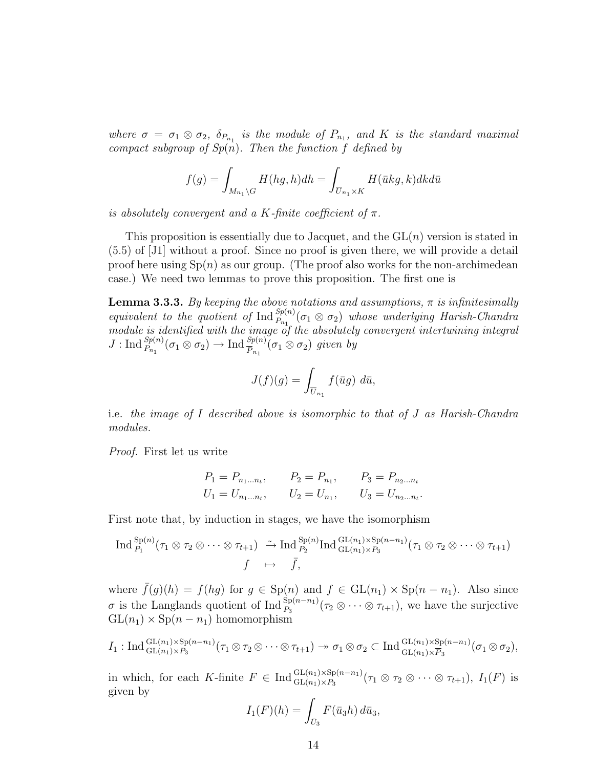where  $\sigma = \sigma_1 \otimes \sigma_2$ ,  $\delta_{P_{n_1}}$  is the module of  $P_{n_1}$ , and K is the standard maximal compact subgroup of  $Sp(n)$ . Then the function f defined by

$$
f(g) = \int_{M_{n_1} \backslash G} H(hg, h)dh = \int_{\overline{U}_{n_1} \times K} H(\overline{u}kg, k)dkd\overline{u}
$$

is absolutely convergent and a K-finite coefficient of  $\pi$ .

This proposition is essentially due to Jacquet, and the  $GL(n)$  version is stated in (5.5) of [J1] without a proof. Since no proof is given there, we will provide a detail proof here using  $Sp(n)$  as our group. (The proof also works for the non-archimedean case.) We need two lemmas to prove this proposition. The first one is

**Lemma 3.3.3.** By keeping the above notations and assumptions,  $\pi$  is infinitesimally equivalent to the quotient of  $\text{Ind}_{P_{n_1}}^{Sp(n)}(\sigma_1 \otimes \sigma_2)$  whose underlying Harish-Chandra module is identified with the image of the absolutely convergent intertwining integral  $J: \text{Ind}_{P_{n_1}}^{Sp(n)}(\sigma_1 \otimes \sigma_2) \to \text{Ind}_{\overline{P}_{n_1}}^{Sp(n)}(\sigma_1 \otimes \sigma_2)$  given by

$$
J(f)(g) = \int_{\overline{U}_{n_1}} f(\overline{u}g) \ d\overline{u},
$$

i.e. the image of I described above is isomorphic to that of J as Harish-Chandra modules.

Proof. First let us write

$$
P_1 = P_{n_1...n_t}, \t P_2 = P_{n_1}, \t P_3 = P_{n_2...n_t}
$$
  

$$
U_1 = U_{n_1...n_t}, \t U_2 = U_{n_1}, \t U_3 = U_{n_2...n_t}.
$$

First note that, by induction in stages, we have the isomorphism

$$
\operatorname{Ind}_{P_1}^{Sp(n)}(\tau_1 \otimes \tau_2 \otimes \cdots \otimes \tau_{t+1}) \stackrel{\sim}{\to} \operatorname{Ind}_{P_2}^{Sp(n)} \operatorname{Ind}_{GL(n_1) \times P_3}^{GL(n_1) \times Sp(n-n_1)}(\tau_1 \otimes \tau_2 \otimes \cdots \otimes \tau_{t+1})
$$

$$
f \mapsto \bar{f},
$$

where  $\bar{f}(g)(h) = f(hg)$  for  $g \in \text{Sp}(n)$  and  $f \in \text{GL}(n_1) \times \text{Sp}(n - n_1)$ . Also since σ is the Langlands quotient of Ind  ${}_{P_3}^{Sp(n-n_1)}(τ_2 ⊗ ⋯ ⊗ τ_{t+1}),$  we have the surjective  $GL(n_1) \times Sp(n - n_1)$  homomorphism

$$
I_1: \operatorname{Ind}_{\operatorname{GL}(n_1)\times P_3}^{\operatorname{GL}(n_1)\times \operatorname{Sp}(n-n_1)}(\tau_1\otimes \tau_2\otimes\cdots\otimes \tau_{t+1})\to \sigma_1\otimes \sigma_2\subset \operatorname{Ind}_{\operatorname{GL}(n_1)\times \overline{P}_3}^{\operatorname{GL}(n_1)\times \operatorname{Sp}(n-n_1)}(\sigma_1\otimes \sigma_2),
$$

in which, for each K-finite  $F \in \text{Ind}_{\text{GL}(n_1)\times P_3}^{\text{GL}(n_1)\times \text{Sp}(n-n_1)}(\tau_1 \otimes \tau_2 \otimes \cdots \otimes \tau_{t+1}), I_1(F)$  is given by

$$
I_1(F)(h) = \int_{\bar{U}_3} F(\bar{u}_3 h) d\bar{u}_3,
$$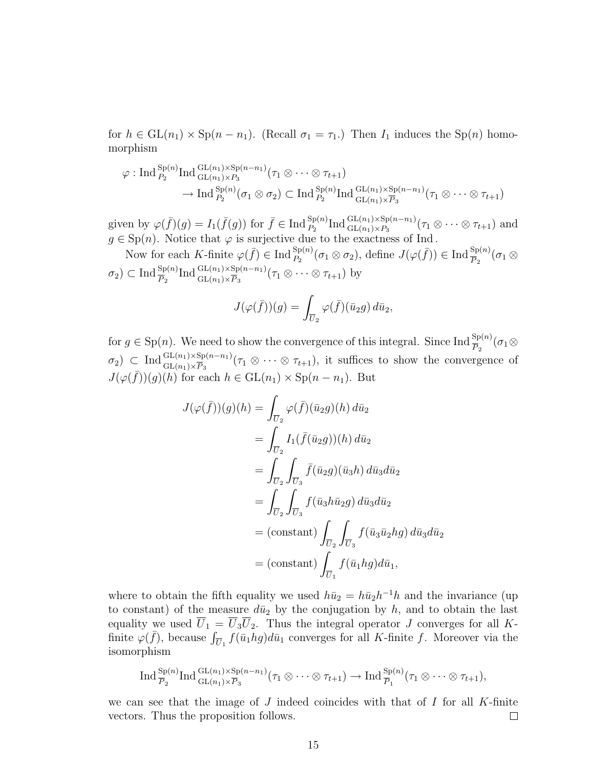for  $h \in GL(n_1) \times Sp(n - n_1)$ . (Recall  $\sigma_1 = \tau_1$ .) Then  $I_1$  induces the  $Sp(n)$  homomorphism

$$
\varphi: \text{Ind}_{P_2}^{\text{Sp}(n)} \text{Ind}_{\text{GL}(n_1)\times P_3}^{\text{GL}(n_1)\times \text{Sp}(n-n_1)}(\tau_1 \otimes \cdots \otimes \tau_{t+1})
$$

$$
\to \text{Ind}_{P_2}^{\text{Sp}(n)}(\sigma_1 \otimes \sigma_2) \subset \text{Ind}_{P_2}^{\text{Sp}(n)} \text{Ind}_{\text{GL}(n_1)\times \overline{P}_3}^{\text{GL}(n_1)\times \text{Sp}(n-n_1)}(\tau_1 \otimes \cdots \otimes \tau_{t+1})
$$

given by  $\varphi(\bar{f})(g) = I_1(\bar{f}(g))$  for  $\bar{f} \in \text{Ind}_{P_2}^{\text{Sp}(n)} \text{Ind}_{\text{GL}(n_1) \times P_3}^{\text{GL}(n_1) \times \text{Sp}(n-n_1)}(\tau_1 \otimes \cdots \otimes \tau_{t+1})$  and  $g \in \text{Sp}(n)$ . Notice that  $\varphi$  is surjective due to the exactness of Ind.

Now for each K-finite  $\varphi(\bar{f}) \in \text{Ind}_{P_2}^{\text{Sp}(n)}(\sigma_1 \otimes \sigma_2)$ , define  $J(\varphi(\bar{f})) \in \text{Ind}_{\overline{P_2}}^{\text{Sp}(n)}(\sigma_1 \otimes \sigma_2)$  $\sigma_2 \subset \text{Ind}_{\overline{P}_2}^{\text{Sp}(n)} \text{Ind}_{\text{GL}(n_1)\times \overline{P}_3}^{\text{GL}(n_1)\times \text{Sp}(n-n_1)}(\tau_1 \otimes \cdots \otimes \tau_{t+1})$  by

$$
J(\varphi(\bar f))(g) = \int_{\overline{U}_2} \varphi(\bar f)(\bar u_2 g) d\bar u_2,
$$

for  $g \in \text{Sp}(n)$ . We need to show the convergence of this integral. Since Ind  $\frac{\text{Sp}(n)}{P_0}(\sigma_1 \otimes$  $\sigma_2$ )  $\subset$  Ind  ${}_{\text{GL}(n_1)\times \text{Sp}(n-n_1)}^{GL(n_1)\times \text{Sp}(n-n_1)}(\tau_1 \otimes \cdots \otimes \tau_{t+1}),$  it suffices to show the convergence of  $J(\varphi(\bar{f}))(g)(h)$  for each  $h \in GL(n_1) \times Sp(n - n_1)$ . But

$$
J(\varphi(\bar{f}))(g)(h) = \int_{\overline{U}_2} \varphi(\bar{f})(\bar{u}_2 g)(h) d\bar{u}_2
$$
  
\n
$$
= \int_{\overline{U}_2} I_1(\bar{f}(\bar{u}_2 g))(h) d\bar{u}_2
$$
  
\n
$$
= \int_{\overline{U}_2} \int_{\overline{U}_3} \bar{f}(\bar{u}_2 g)(\bar{u}_3 h) d\bar{u}_3 d\bar{u}_2
$$
  
\n
$$
= \int_{\overline{U}_2} \int_{\overline{U}_3} f(\bar{u}_3 h \bar{u}_2 g) d\bar{u}_3 d\bar{u}_2
$$
  
\n
$$
= \text{(constant)} \int_{\overline{U}_2} \int_{\overline{U}_3} f(\bar{u}_3 \bar{u}_2 h g) d\bar{u}_3 d\bar{u}_2
$$
  
\n
$$
= \text{(constant)} \int_{\overline{U}_1} f(\bar{u}_1 h g) d\bar{u}_1,
$$

where to obtain the fifth equality we used  $h\bar{u}_2 = h\bar{u}_2h^{-1}h$  and the invariance (up to constant) of the measure  $d\bar{u}_2$  by the conjugation by h, and to obtain the last equality we used  $\overline{U}_1 = \overline{U}_3 \overline{U}_2$ . Thus the integral operator J converges for all Kfinite  $\varphi(\bar{f})$ , because  $\int_{\overline{U}_1} f(\bar{u}_1 h g) d\bar{u}_1$  converges for all K-finite f. Moreover via the isomorphism

$$
\operatorname{Ind}^{\operatorname{Sp}(n)}_{\overline{P}_2}\operatorname{Ind}^{\operatorname{GL}(n_1)\times\operatorname{Sp}(n-n_1)}_{\operatorname{GL}(n_1)\times\overline{P}_3}(\tau_1\otimes\cdots\otimes\tau_{t+1})\to\operatorname{Ind}^{\operatorname{Sp}(n)}_{\overline{P}_1}(\tau_1\otimes\cdots\otimes\tau_{t+1}),
$$

we can see that the image of J indeed coincides with that of I for all K-finite vectors. Thus the proposition follows.  $\Box$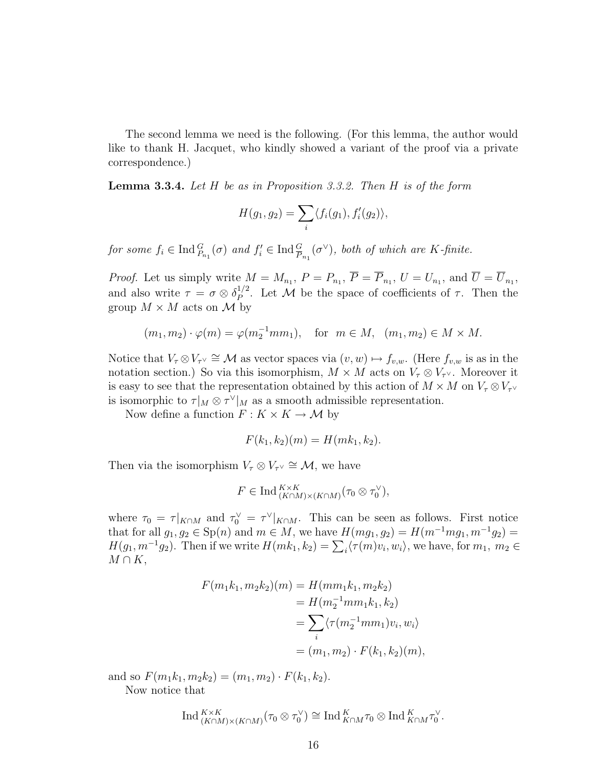The second lemma we need is the following. (For this lemma, the author would like to thank H. Jacquet, who kindly showed a variant of the proof via a private correspondence.)

**Lemma 3.3.4.** Let  $H$  be as in Proposition 3.3.2. Then  $H$  is of the form

$$
H(g_1,g_2)=\sum_i\langle f_i(g_1),f'_i(g_2)\rangle,
$$

for some  $f_i \in \text{Ind}_{P_{n_1}}^G(\sigma)$  and  $f'_i \in \text{Ind}_{P_{n_1}}^G(\sigma^{\vee})$ , both of which are K-finite.

*Proof.* Let us simply write  $M = M_{n_1}$ ,  $P = P_{n_1}$ ,  $\overline{P} = \overline{P}_{n_1}$ ,  $U = U_{n_1}$ , and  $\overline{U} = \overline{U}_{n_1}$ , and also write  $\tau = \sigma \otimes \delta_P^{1/2}$  $P_P^{1/2}$ . Let M be the space of coefficients of  $\tau$ . Then the group  $M \times M$  acts on M by

$$
(m_1, m_2) \cdot \varphi(m) = \varphi(m_2^{-1}mm_1), \text{ for } m \in M, (m_1, m_2) \in M \times M.
$$

Notice that  $V_\tau \otimes V_{\tau} \cong \mathcal{M}$  as vector spaces via  $(v, w) \mapsto f_{v,w}$ . (Here  $f_{v,w}$  is as in the notation section.) So via this isomorphism,  $M \times M$  acts on  $V_\tau \otimes V_{\tau}$ . Moreover it is easy to see that the representation obtained by this action of  $M \times M$  on  $V_\tau \otimes V_{\tau} \vee$ is isomorphic to  $\tau|_M \otimes \tau^{\vee}|_M$  as a smooth admissible representation.

Now define a function  $F: K \times K \to \mathcal{M}$  by

$$
F(k_1, k_2)(m) = H(mk_1, k_2).
$$

Then via the isomorphism  $V_\tau \otimes V_{\tau} \cong \mathcal{M}$ , we have

$$
F \in \text{Ind}_{(K \cap M) \times (K \cap M)}^{K \times K} (\tau_0 \otimes \tau_0^{\vee}),
$$

where  $\tau_0 = \tau |_{K \cap M}$  and  $\tau_0^{\vee} = \tau^{\vee} |_{K \cap M}$ . This can be seen as follows. First notice that for all  $g_1, g_2 \in \text{Sp}(n)$  and  $m \in M$ , we have  $H(mg_1, g_2) = H(m^{-1}mg_1, m^{-1}g_2) =$  $H(g_1, m^{-1}g_2)$ . Then if we write  $H(mk_1, k_2) = \sum_i \langle \tau(m)v_i, w_i \rangle$ , we have, for  $m_1, m_2 \in$  $M \cap K$ ,

$$
F(m_1k_1, m_2k_2)(m) = H(mm_1k_1, m_2k_2)
$$
  
=  $H(m_2^{-1}mm_1k_1, k_2)$   
=  $\sum_i \langle \tau(m_2^{-1}mm_1)v_i, w_i \rangle$   
=  $(m_1, m_2) \cdot F(k_1, k_2)(m),$ 

and so  $F(m_1k_1, m_2k_2) = (m_1, m_2) \cdot F(k_1, k_2)$ .

Now notice that

$$
\operatorname{Ind}_{(K\cap M)\times (K\cap M)}^{K\times K}(\tau_0\otimes \tau_0^{\vee})\cong \operatorname{Ind}_{K\cap M}^K\tau_0\otimes \operatorname{Ind}_{K\cap M}^K\tau_0^{\vee}.
$$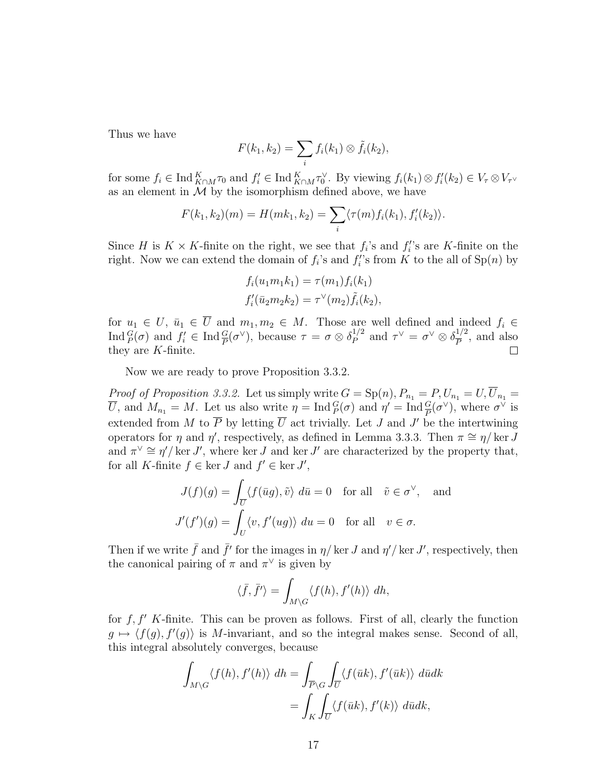Thus we have

$$
F(k_1,k_2)=\sum_i f_i(k_1)\otimes \tilde{f}_i(k_2),
$$

for some  $f_i \in \text{Ind}_{K \cap M}^K \tau_0$  and  $f'_i \in \text{Ind}_{K \cap M}^K \tau_0^{\vee}$ . By viewing  $f_i(k_1) \otimes f'_i(k_2) \in V_{\tau} \otimes V_{\tau}$ as an element in  $M$  by the isomorphism defined above, we have

$$
F(k_1, k_2)(m) = H(mk_1, k_2) = \sum_i \langle \tau(m) f_i(k_1), f'_i(k_2) \rangle.
$$

Since H is  $K \times K$ -finite on the right, we see that  $f_i$ 's and  $f_i$ 's are K-finite on the right. Now we can extend the domain of  $f_i$ 's and  $f_i$ 's from K to the all of  $\text{Sp}(n)$  by

$$
f_i(u_1m_1k_1) = \tau(m_1)f_i(k_1)
$$
  

$$
f'_i(\bar{u}_2m_2k_2) = \tau^{\vee}(m_2)\tilde{f}_i(k_2),
$$

for  $u_1 \in U$ ,  $\bar{u}_1 \in \overline{U}$  and  $m_1, m_2 \in M$ . Those are well defined and indeed  $f_i \in$ Ind  ${}_{P}^{G}(\sigma)$  and  $f'_{i} \in \text{Ind}_{P} {}_{P}^{G}(\sigma^{\vee})$ , because  $\tau = \sigma \otimes \delta_{P}^{1/2}$  $\frac{1}{p}^{\prime 2}$  and  $\tau^{\vee} = \sigma^{\vee} \otimes \delta_{\overline{P}}^{1/2}$  $\frac{1}{P}^2$ , and also they are K-finite.  $\Box$ 

Now we are ready to prove Proposition 3.3.2.

*Proof of Proposition 3.3.2.* Let us simply write  $G = \text{Sp}(n)$ ,  $P_{n_1} = P$ ,  $U_{n_1} = U$ ,  $\overline{U}_{n_1} =$  $\overline{U}$ , and  $M_{n_1} = M$ . Let us also write  $\eta = \text{Ind}_{P}^{G}(\sigma)$  and  $\eta' = \text{Ind}_{\overline{P}}^{G}(\sigma^{\vee})$ , where  $\sigma^{\vee}$  is extended from M to  $\overline{P}$  by letting  $\overline{U}$  act trivially. Let J and J' be the intertwining operators for  $\eta$  and  $\eta'$ , respectively, as defined in Lemma 3.3.3. Then  $\pi \cong \eta/\ker J$ and  $\pi^{\vee} \cong \eta' / \ker J'$ , where ker J and ker J' are characterized by the property that, for all K-finite  $f \in \text{ker } J$  and  $f' \in \text{ker } J'$ ,

$$
J(f)(g) = \int_{\overline{U}} \langle f(\overline{u}g), \tilde{v} \rangle \, d\overline{u} = 0 \quad \text{for all} \quad \tilde{v} \in \sigma^{\vee}, \quad \text{and}
$$

$$
J'(f')(g) = \int_{U} \langle v, f'(ug) \rangle \, du = 0 \quad \text{for all} \quad v \in \sigma.
$$

Then if we write  $\bar{f}$  and  $\bar{f}'$  for the images in  $\eta$ /ker J and  $\eta'$ /ker J', respectively, then the canonical pairing of  $\pi$  and  $\pi^{\vee}$  is given by

$$
\langle \bar{f}, \bar{f}' \rangle = \int_{M \setminus G} \langle f(h), f'(h) \rangle \, dh,
$$

for  $f, f'$  K-finite. This can be proven as follows. First of all, clearly the function  $g \mapsto \langle f(g), f'(g) \rangle$  is M-invariant, and so the integral makes sense. Second of all, this integral absolutely converges, because

$$
\int_{M\backslash G} \langle f(h), f'(h) \rangle \, dh = \int_{\overline{P}\backslash G} \int_{\overline{U}} \langle f(\overline{u}k), f'(\overline{u}k) \rangle \, d\overline{u} dk
$$
\n
$$
= \int_{K} \int_{\overline{U}} \langle f(\overline{u}k), f'(k) \rangle \, d\overline{u} dk,
$$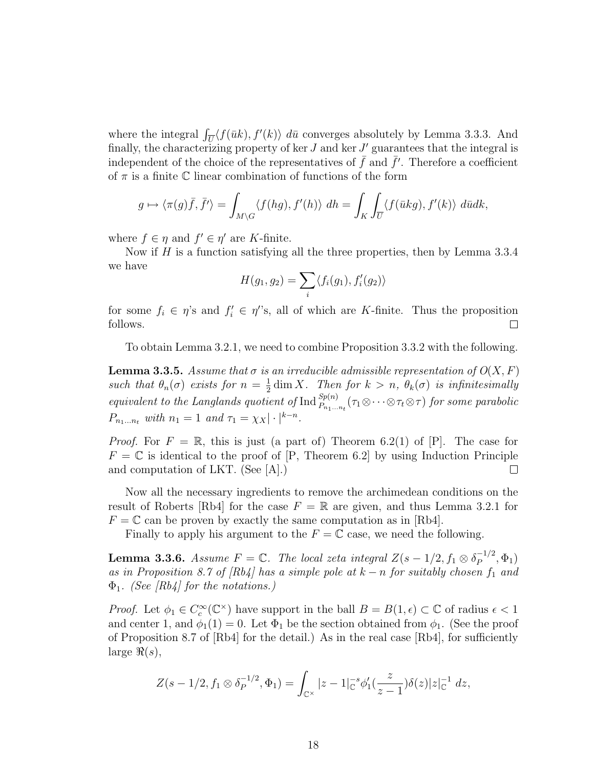where the integral  $\int_{\overline{U}} \langle f(\overline{u}k), f'(k) \rangle d\overline{u}$  converges absolutely by Lemma 3.3.3. And finally, the characterizing property of ker  $J$  and ker  $J'$  guarantees that the integral is independent of the choice of the representatives of  $\bar{f}$  and  $\bar{f}'$ . Therefore a coefficient of  $\pi$  is a finite  $\mathbb C$  linear combination of functions of the form

$$
g \mapsto \langle \pi(g)\overline{f}, \overline{f'}\rangle = \int_{M\setminus G} \langle f(hg), f'(h)\rangle \, dh = \int_K \int_{\overline{U}} \langle f(\overline{u}kg), f'(k)\rangle \, d\overline{u} dk,
$$

where  $f \in \eta$  and  $f' \in \eta'$  are K-finite.

Now if  $H$  is a function satisfying all the three properties, then by Lemma 3.3.4 we have

$$
H(g_1, g_2) = \sum_i \langle f_i(g_1), f'_i(g_2) \rangle
$$

for some  $f_i \in \eta$ 's and  $f'_i \in \eta$ ''s, all of which are K-finite. Thus the proposition follows.  $\Box$ 

To obtain Lemma 3.2.1, we need to combine Proposition 3.3.2 with the following.

**Lemma 3.3.5.** Assume that  $\sigma$  is an irreducible admissible representation of  $O(X, F)$ such that  $\theta_n(\sigma)$  exists for  $n=\frac{1}{2}$  $\frac{1}{2}$  dim X. Then for  $k > n$ ,  $\theta_k(\sigma)$  is infinitesimally equivalent to the Langlands quotient of  $\text{Ind}_{P_{n_1...n_t}}^{Sp(n)}(\tau_1\otimes\cdots\otimes\tau_t\otimes\tau)$  for some parabolic  $P_{n_1...n_t}$  with  $n_1 = 1$  and  $\tau_1 = \chi_X |\cdot|^{k-n}$ .

*Proof.* For  $F = \mathbb{R}$ , this is just (a part of) Theorem 6.2(1) of [P]. The case for  $F = \mathbb{C}$  is identical to the proof of [P, Theorem 6.2] by using Induction Principle and computation of LKT. (See [A].)  $\Box$ 

Now all the necessary ingredients to remove the archimedean conditions on the result of Roberts [Rb4] for the case  $F = \mathbb{R}$  are given, and thus Lemma 3.2.1 for  $F = \mathbb{C}$  can be proven by exactly the same computation as in [Rb4].

Finally to apply his argument to the  $F = \mathbb{C}$  case, we need the following.

**Lemma 3.3.6.** Assume  $F = \mathbb{C}$ . The local zeta integral  $Z(s - 1/2, f_1 \otimes \delta_P^{-1/2})$  $P^{-1/2}, \Phi_1)$ as in Proposition 8.7 of  $(Rb4)$  has a simple pole at  $k - n$  for suitably chosen  $f_1$  and  $\Phi_1$ . (See [Rb4] for the notations.)

*Proof.* Let  $\phi_1 \in C_c^{\infty}(\mathbb{C}^{\times})$  have support in the ball  $B = B(1, \epsilon) \subset \mathbb{C}$  of radius  $\epsilon < 1$ and center 1, and  $\phi_1(1) = 0$ . Let  $\Phi_1$  be the section obtained from  $\phi_1$ . (See the proof of Proposition 8.7 of  $[Rb4]$  for the detail.) As in the real case  $[Rb4]$ , for sufficiently large  $\Re(s)$ ,

$$
Z(s-1/2, f_1 \otimes \delta_P^{-1/2}, \Phi_1) = \int_{\mathbb{C}^\times} |z-1|_{\mathbb{C}}^{-s} \phi_1'(\frac{z}{z-1}) \delta(z) |z|_{\mathbb{C}}^{-1} dz,
$$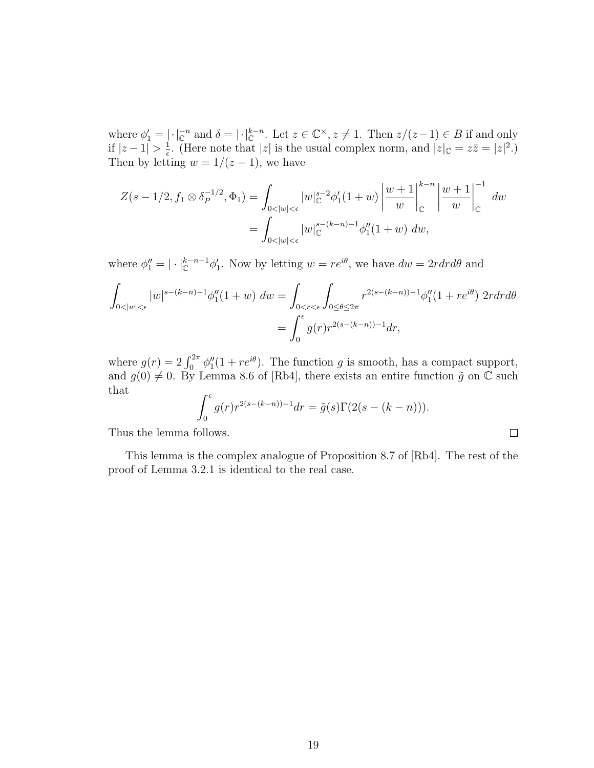where  $\phi'_1 = |\cdot|_{\mathbb{C}}^{-n}$  and  $\delta = |\cdot|_{\mathbb{C}}^{k-n}$ . Let  $z \in \mathbb{C}^\times$ ,  $z \neq 1$ . Then  $z/(z-1) \in B$  if and only if  $|z-1| > \frac{1}{\epsilon}$  $\frac{1}{\epsilon}$ . (Here note that |z| is the usual complex norm, and  $|z|_{\mathbb{C}} = z\overline{z} = |z|^2$ .) Then by letting  $w = 1/(z - 1)$ , we have

$$
Z(s - 1/2, f_1 \otimes \delta_P^{-1/2}, \Phi_1) = \int_{0 < |w| < \epsilon} |w|_{\mathbb{C}}^{s-2} \phi_1'(1+w) \left| \frac{w+1}{w} \right|_{\mathbb{C}}^{k-n} \left| \frac{w+1}{w} \right|_{\mathbb{C}}^{-1} dw
$$
  
= 
$$
\int_{0 < |w| < \epsilon} |w|_{\mathbb{C}}^{s-(k-n)-1} \phi_1''(1+w) dw,
$$

where  $\phi''_1 = |\cdot|_{\mathbb{C}}^{k-n-1} \phi'_1$ . Now by letting  $w = re^{i\theta}$ , we have  $dw = 2r dr d\theta$  and

$$
\int_{0<|w|<\epsilon} |w|^{s-(k-n)-1} \phi_1''(1+w) \ dw = \int_{0< r<\epsilon} \int_{0\le \theta \le 2\pi} r^{2(s-(k-n))-1} \phi_1''(1+re^{i\theta}) \ 2r dr d\theta
$$

$$
= \int_0^{\epsilon} g(r)r^{2(s-(k-n))-1} dr,
$$

where  $g(r) = 2 \int_0^{2\pi} \phi_1''(1 + re^{i\theta})$ . The function g is smooth, has a compact support, and  $g(0) \neq 0$ . By Lemma 8.6 of [Rb4], there exists an entire function  $\tilde{g}$  on  $\mathbb C$  such that

$$
\int_0^{\epsilon} g(r)r^{2(s-(k-n))-1}dr = \tilde{g}(s)\Gamma(2(s-(k-n))).
$$

 $\Box$ 

Thus the lemma follows.

This lemma is the complex analogue of Proposition 8.7 of [Rb4]. The rest of the proof of Lemma 3.2.1 is identical to the real case.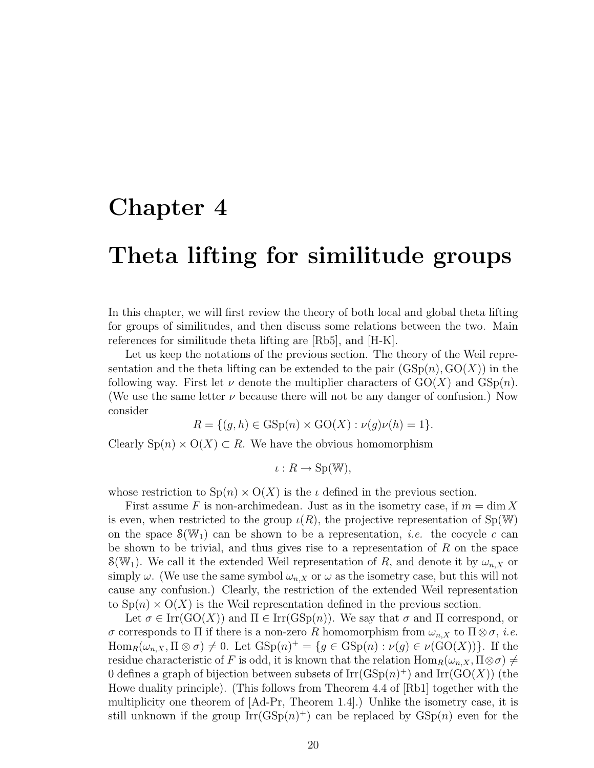### Chapter 4

### Theta lifting for similitude groups

In this chapter, we will first review the theory of both local and global theta lifting for groups of similitudes, and then discuss some relations between the two. Main references for similitude theta lifting are [Rb5], and [H-K].

Let us keep the notations of the previous section. The theory of the Weil representation and the theta lifting can be extended to the pair  $(GSp(n), GO(X))$  in the following way. First let  $\nu$  denote the multiplier characters of  $GO(X)$  and  $GSp(n)$ . (We use the same letter  $\nu$  because there will not be any danger of confusion.) Now consider

$$
R = \{(g, h) \in \text{GSp}(n) \times \text{GO}(X) : \nu(g)\nu(h) = 1\}.
$$

Clearly  $\text{Sp}(n) \times \text{O}(X) \subset R$ . We have the obvious homomorphism

$$
\iota: R \to \mathrm{Sp}(\mathbb{W}),
$$

whose restriction to  $\text{Sp}(n) \times \text{O}(X)$  is the  $\iota$  defined in the previous section.

First assume F is non-archimedean. Just as in the isometry case, if  $m = \dim X$ is even, when restricted to the group  $\iota(R)$ , the projective representation of Sp(W) on the space  $\mathcal{S}(\mathbb{W}_1)$  can be shown to be a representation, *i.e.* the cocycle c can be shown to be trivial, and thus gives rise to a representation of  $R$  on the space  $\mathcal{S}(\mathbb{W}_1)$ . We call it the extended Weil representation of R, and denote it by  $\omega_{n,X}$  or simply  $\omega$ . (We use the same symbol  $\omega_{n,X}$  or  $\omega$  as the isometry case, but this will not cause any confusion.) Clearly, the restriction of the extended Weil representation to  $\text{Sp}(n) \times \text{O}(X)$  is the Weil representation defined in the previous section.

Let  $\sigma \in \text{Irr}(\text{GO}(X))$  and  $\Pi \in \text{Irr}(\text{GSp}(n))$ . We say that  $\sigma$  and  $\Pi$  correspond, or σ corresponds to Π if there is a non-zero R homomorphism from  $ω_{n,X}$  to  $\Pi \otimes σ$ , *i.e.*  $\text{Hom}_R(\omega_{n,X}, \Pi \otimes \sigma) \neq 0.$  Let  $\text{GSp}(n)^{+} = \{g \in \text{GSp}(n) : \nu(g) \in \nu(\text{GO}(X))\}.$  If the residue characteristic of F is odd, it is known that the relation  $\text{Hom}_R(\omega_{n,X}, \Pi \otimes \sigma) \neq$ 0 defines a graph of bijection between subsets of  $\mathrm{Irr}(\mathrm{GSp}(n)^+)$  and  $\mathrm{Irr}(\mathrm{GO}(X))$  (the Howe duality principle). (This follows from Theorem 4.4 of [Rb1] together with the multiplicity one theorem of [Ad-Pr, Theorem 1.4].) Unlike the isometry case, it is still unknown if the group  $\text{Irr}(\text{GSp}(n)^+)$  can be replaced by  $\text{GSp}(n)$  even for the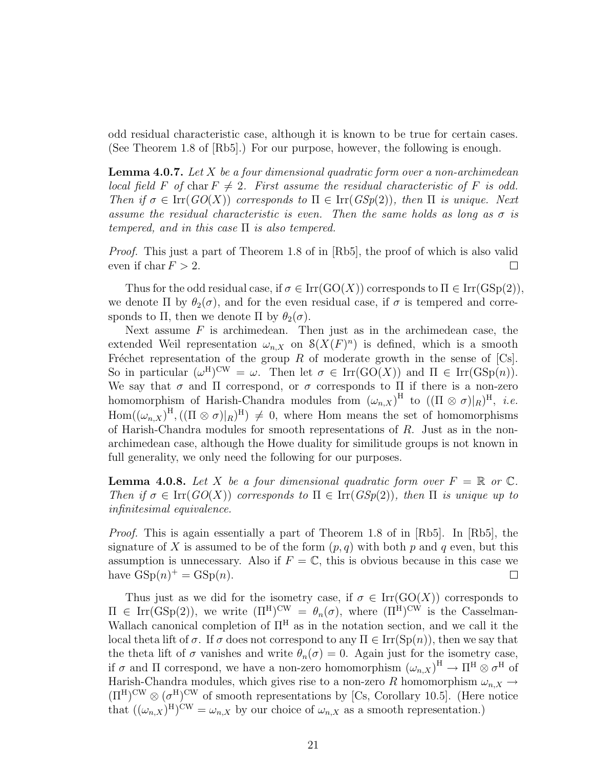odd residual characteristic case, although it is known to be true for certain cases. (See Theorem 1.8 of [Rb5].) For our purpose, however, the following is enough.

**Lemma 4.0.7.** Let  $X$  be a four dimensional quadratic form over a non-archimedean local field F of char  $F \neq 2$ . First assume the residual characteristic of F is odd. Then if  $\sigma \in \text{Irr}(GO(X))$  corresponds to  $\Pi \in \text{Irr}(GSp(2))$ , then  $\Pi$  is unique. Next assume the residual characteristic is even. Then the same holds as long as  $\sigma$  is tempered, and in this case  $\Pi$  is also tempered.

Proof. This just a part of Theorem 1.8 of in [Rb5], the proof of which is also valid even if char  $F > 2$ .  $\Box$ 

Thus for the odd residual case, if  $\sigma \in \text{Irr}(\text{GO}(X))$  corresponds to  $\Pi \in \text{Irr}(\text{GSp}(2)),$ we denote  $\Pi$  by  $\theta_2(\sigma)$ , and for the even residual case, if  $\sigma$  is tempered and corresponds to Π, then we denote Π by  $\theta_2(\sigma)$ .

Next assume  $F$  is archimedean. Then just as in the archimedean case, the extended Weil representation  $\omega_{n,X}$  on  $\mathcal{S}(X(F)^n)$  is defined, which is a smooth Fréchet representation of the group R of moderate growth in the sense of  $[C_s]$ . So in particular  $(\omega^H)^{\text{CW}} = \omega$ . Then let  $\sigma \in \text{Irr}(\text{GO}(X))$  and  $\Pi \in \text{Irr}(\text{GSp}(n))$ . We say that  $\sigma$  and  $\Pi$  correspond, or  $\sigma$  corresponds to  $\Pi$  if there is a non-zero homomorphism of Harish-Chandra modules from  $(\omega_{n,X})^{\text{H}}$  to  $((\Pi \otimes \sigma)|_R)^{\text{H}}$ , *i.e.*  $Hom((\omega_{n,X})^{\text{H}},((\Pi \otimes \sigma)|_R)^{\text{H}}) \neq 0$ , where Hom means the set of homomorphisms of Harish-Chandra modules for smooth representations of R. Just as in the nonarchimedean case, although the Howe duality for similitude groups is not known in full generality, we only need the following for our purposes.

**Lemma 4.0.8.** Let X be a four dimensional quadratic form over  $F = \mathbb{R}$  or  $\mathbb{C}$ . Then if  $\sigma \in \text{Irr}(GO(X))$  corresponds to  $\Pi \in \text{Irr}(GSp(2))$ , then  $\Pi$  is unique up to infinitesimal equivalence.

Proof. This is again essentially a part of Theorem 1.8 of in [Rb5]. In [Rb5], the signature of X is assumed to be of the form  $(p, q)$  with both p and q even, but this assumption is unnecessary. Also if  $F = \mathbb{C}$ , this is obvious because in this case we have  $GSp(n)^{+} = GSp(n)$ .  $\Box$ 

Thus just as we did for the isometry case, if  $\sigma \in \text{Irr}(\text{GO}(X))$  corresponds to  $\Pi \in \text{Irr}(\text{GSp}(2)),$  we write  $(\Pi^H)^{\text{CW}} = \theta_n(\sigma)$ , where  $(\Pi^H)^{\text{CW}}$  is the Casselman-Wallach canonical completion of  $\Pi^H$  as in the notation section, and we call it the local theta lift of  $\sigma$ . If  $\sigma$  does not correspond to any  $\Pi \in \text{Irr}(\text{Sp}(n))$ , then we say that the theta lift of  $\sigma$  vanishes and write  $\theta_n(\sigma) = 0$ . Again just for the isometry case, if  $\sigma$  and  $\Pi$  correspond, we have a non-zero homomorphism  $(\omega_{n,X})^{\text{H}} \to \Pi^{\text{H}} \otimes \sigma^{\text{H}}$  of Harish-Chandra modules, which gives rise to a non-zero R homomorphism  $\omega_{n,X} \rightarrow$  $(\Pi^H)^{\text{CW}} \otimes (\sigma^H)^{\text{CW}}$  of smooth representations by [Cs, Corollary 10.5]. (Here notice that  $((\omega_{n,X})^{\text{H}})^{\text{CW}} = \omega_{n,X}$  by our choice of  $\omega_{n,X}$  as a smooth representation.)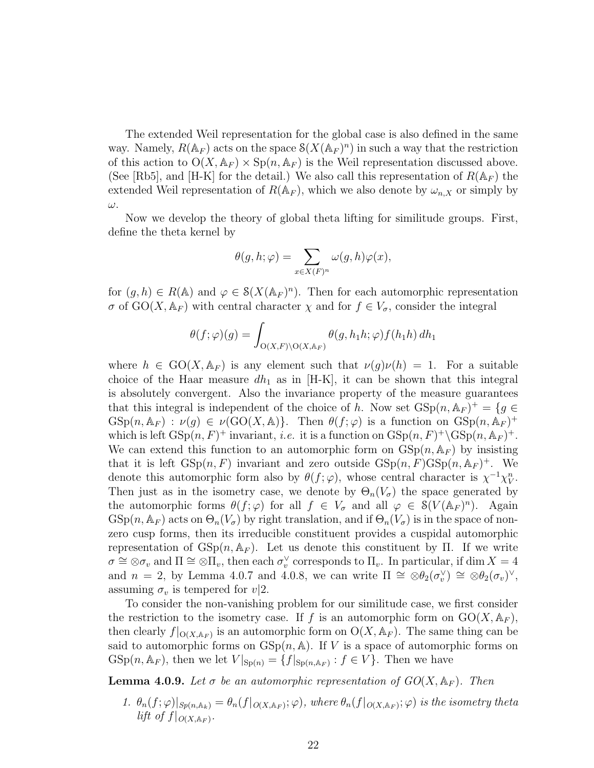The extended Weil representation for the global case is also defined in the same way. Namely,  $R(\mathbb{A}_F)$  acts on the space  $\mathcal{S}(X(\mathbb{A}_F)^n)$  in such a way that the restriction of this action to  $O(X, \mathbb{A}_F) \times Sp(n, \mathbb{A}_F)$  is the Weil representation discussed above. (See [Rb5], and [H-K] for the detail.) We also call this representation of  $R(\mathbb{A}_F)$  the extended Weil representation of  $R(\mathbb{A}_F)$ , which we also denote by  $\omega_{n,X}$  or simply by ω.

Now we develop the theory of global theta lifting for similitude groups. First, define the theta kernel by

$$
\theta(g, h; \varphi) = \sum_{x \in X(F)^n} \omega(g, h)\varphi(x),
$$

for  $(g, h) \in R(\mathbb{A})$  and  $\varphi \in \mathcal{S}(X(\mathbb{A}_F)^n)$ . Then for each automorphic representation  $\sigma$  of  $GO(X, \mathbb{A}_F)$  with central character  $\chi$  and for  $f \in V_{\sigma}$ , consider the integral

$$
\theta(f; \varphi)(g) = \int_{\mathcal{O}(X,F) \backslash \mathcal{O}(X, \mathbb{A}_F)} \theta(g, h_1 h; \varphi) f(h_1 h) dh_1
$$

where  $h \in GO(X, \mathbb{A}_F)$  is any element such that  $\nu(g)\nu(h) = 1$ . For a suitable choice of the Haar measure  $dh_1$  as in [H-K], it can be shown that this integral is absolutely convergent. Also the invariance property of the measure guarantees that this integral is independent of the choice of h. Now set  $GSp(n, A_F)^+ = \{g \in$  $GSp(n, \mathbb{A}_F) : \nu(g) \in \nu(GO(X, \mathbb{A}))$ . Then  $\theta(f; \varphi)$  is a function on  $GSp(n, \mathbb{A}_F)^+$ which is left  $GSp(n, F)^+$  invariant, *i.e.* it is a function on  $GSp(n, F)^+ \backslash GSp(n, \mathbb{A}_F)^+$ . We can extend this function to an automorphic form on  $GSp(n, A_F)$  by insisting that it is left  $GSp(n, F)$  invariant and zero outside  $GSp(n, F)GSp(n, A_F)^+$ . We denote this automorphic form also by  $\theta(f; \varphi)$ , whose central character is  $\chi^{-1} \chi_V^n$ . Then just as in the isometry case, we denote by  $\Theta_n(V_{\sigma})$  the space generated by the automorphic forms  $\theta(f;\varphi)$  for all  $f \in V_{\sigma}$  and all  $\varphi \in \mathcal{S}(V(\mathbb{A}_F)^n)$ . Again  $GSp(n, \mathbb{A}_F)$  acts on  $\Theta_n(V_\sigma)$  by right translation, and if  $\Theta_n(V_\sigma)$  is in the space of nonzero cusp forms, then its irreducible constituent provides a cuspidal automorphic representation of  $GSp(n, A_F)$ . Let us denote this constituent by Π. If we write  $\sigma \cong \otimes \sigma_v$  and  $\Pi \cong \otimes \Pi_v$ , then each  $\sigma_v^{\vee}$  corresponds to  $\Pi_v$ . In particular, if dim  $X = 4$ and  $n = 2$ , by Lemma 4.0.7 and 4.0.8, we can write  $\Pi \cong \otimes \theta_2(\sigma_v^{\vee}) \cong \otimes \theta_2(\sigma_v^{\vee})$ , assuming  $\sigma_v$  is tempered for  $v/2$ .

To consider the non-vanishing problem for our similitude case, we first consider the restriction to the isometry case. If f is an automorphic form on  $GO(X, \mathbb{A}_F)$ , then clearly  $f|_{O(X, \mathbb{A}_F)}$  is an automorphic form on  $O(X, \mathbb{A}_F)$ . The same thing can be said to automorphic forms on  $GSp(n, A)$ . If V is a space of automorphic forms on  $\mathrm{GSp}(n,\mathbb{A}_F)$ , then we let  $V|_{\mathrm{Sp}(n)} = \{f|_{\mathrm{Sp}(n,\mathbb{A}_F)} : f \in V\}$ . Then we have

**Lemma 4.0.9.** Let  $\sigma$  be an automorphic representation of  $GO(X, \mathbb{A}_F)$ . Then

1.  $\theta_n(f;\varphi)|_{Sp(n,\mathbb{A}_k)} = \theta_n(f|_{O(X,\mathbb{A}_F)};\varphi)$ , where  $\theta_n(f|_{O(X,\mathbb{A}_F)};\varphi)$  is the isometry theta lift of  $f|_{O(X, \mathbb{A}_F)}$ .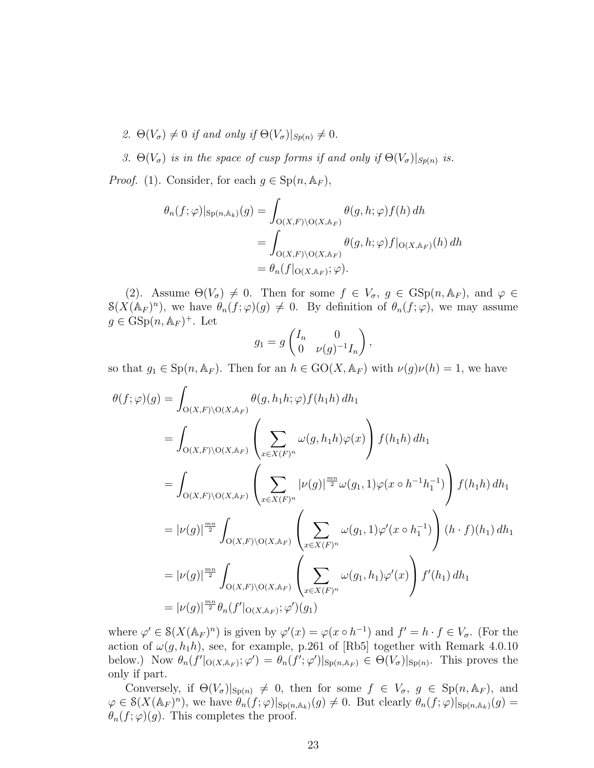- 2.  $\Theta(V_{\sigma}) \neq 0$  if and only if  $\Theta(V_{\sigma})|_{Sp(n)} \neq 0$ .
- 3.  $\Theta(V_{\sigma})$  is in the space of cusp forms if and only if  $\Theta(V_{\sigma})|_{Sp(n)}$  is.

*Proof.* (1). Consider, for each  $g \in \text{Sp}(n, \mathbb{A}_F)$ ,

$$
\theta_n(f; \varphi)|_{\text{Sp}(n, \mathbb{A}_k)}(g) = \int_{\mathcal{O}(X, F) \backslash \mathcal{O}(X, \mathbb{A}_F)} \theta(g, h; \varphi) f(h) dh
$$
  
= 
$$
\int_{\mathcal{O}(X, F) \backslash \mathcal{O}(X, \mathbb{A}_F)} \theta(g, h; \varphi) f|_{\mathcal{O}(X, \mathbb{A}_F)}(h) dh
$$
  
= 
$$
\theta_n(f|_{\mathcal{O}(X, \mathbb{A}_F)}; \varphi).
$$

(2). Assume  $\Theta(V_{\sigma}) \neq 0$ . Then for some  $f \in V_{\sigma}$ ,  $g \in \text{GSp}(n, \mathbb{A}_F)$ , and  $\varphi \in$  $\mathcal{S}(X(\mathbb{A}_F)^n)$ , we have  $\theta_n(f;\varphi)(g) \neq 0$ . By definition of  $\theta_n(f;\varphi)$ , we may assume  $g \in \text{GSp}(n, \mathbb{A}_F)^+$ . Let

$$
g_1 = g \begin{pmatrix} I_n & 0 \\ 0 & \nu(g)^{-1} I_n \end{pmatrix},
$$

so that  $g_1 \in \mathrm{Sp}(n, \mathbb{A}_F)$ . Then for an  $h \in \mathrm{GO}(X, \mathbb{A}_F)$  with  $\nu(g)\nu(h) = 1$ , we have

$$
\theta(f; \varphi)(g) = \int_{\mathcal{O}(X,F) \backslash \mathcal{O}(X,\mathbb{A}_F)} \theta(g, h_1 h; \varphi) f(h_1 h) dh_1
$$
  
\n
$$
= \int_{\mathcal{O}(X,F) \backslash \mathcal{O}(X,\mathbb{A}_F)} \left( \sum_{x \in X(F)^n} \omega(g, h_1 h) \varphi(x) \right) f(h_1 h) dh_1
$$
  
\n
$$
= \int_{\mathcal{O}(X,F) \backslash \mathcal{O}(X,\mathbb{A}_F)} \left( \sum_{x \in X(F)^n} |\nu(g)|^{\frac{mn}{2}} \omega(g_1, 1) \varphi(x \circ h^{-1} h_1^{-1}) \right) f(h_1 h) dh_1
$$
  
\n
$$
= |\nu(g)|^{\frac{mn}{2}} \int_{\mathcal{O}(X,F) \backslash \mathcal{O}(X,\mathbb{A}_F)} \left( \sum_{x \in X(F)^n} \omega(g_1, 1) \varphi'(x \circ h_1^{-1}) \right) (h \cdot f)(h_1) dh_1
$$
  
\n
$$
= |\nu(g)|^{\frac{mn}{2}} \int_{\mathcal{O}(X,F) \backslash \mathcal{O}(X,\mathbb{A}_F)} \left( \sum_{x \in X(F)^n} \omega(g_1, h_1) \varphi'(x) \right) f'(h_1) dh_1
$$
  
\n
$$
= |\nu(g)|^{\frac{mn}{2}} \theta_n(f'|_{\mathcal{O}(X,\mathbb{A}_F)}; \varphi')(g_1)
$$

where  $\varphi' \in \mathcal{S}(X(\mathbb{A}_F)^n)$  is given by  $\varphi'(x) = \varphi(x \circ h^{-1})$  and  $f' = h \cdot f \in V_\sigma$ . (For the action of  $\omega(g, h_1h)$ , see, for example, p.261 of [Rb5] together with Remark 4.0.10 below.) Now  $\theta_n(f' |_{O(X, \mathbb{A}_F)}; \varphi') = \theta_n(f'; \varphi') |_{\text{Sp}(n, \mathbb{A}_F)} \in \Theta(V_\sigma) |_{\text{Sp}(n)}$ . This proves the only if part.

Conversely, if  $\Theta(V_{\sigma})|_{\text{Sp}(n)} \neq 0$ , then for some  $f \in V_{\sigma}$ ,  $g \in \text{Sp}(n, \mathbb{A}_F)$ , and  $\varphi \in \mathcal{S}(X(\mathbb{A}_F)^n)$ , we have  $\widehat{\theta}_n(f;\varphi)|_{\text{Sp}(n,\mathbb{A}_k)}(g) \neq 0$ . But clearly  $\theta_n(f;\varphi)|_{\text{Sp}(n,\mathbb{A}_k)}(g) =$  $\theta_n(f;\varphi)(g)$ . This completes the proof.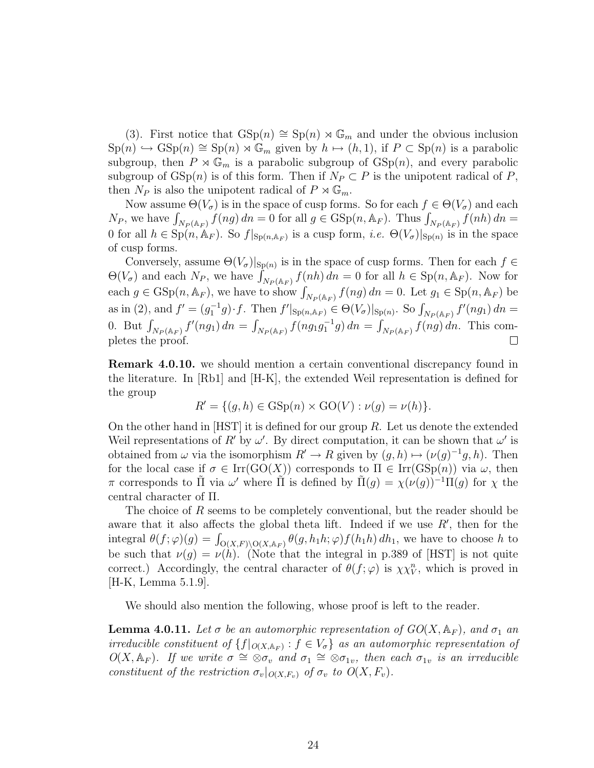(3). First notice that  $GSp(n) \cong Sp(n) \rtimes \mathbb{G}_m$  and under the obvious inclusion  $\text{Sp}(n) \hookrightarrow \text{GSp}(n) \cong \text{Sp}(n) \rtimes \mathbb{G}_m$  given by  $h \mapsto (h, 1)$ , if  $P \subset \text{Sp}(n)$  is a parabolic subgroup, then  $P \rtimes \mathbb{G}_m$  is a parabolic subgroup of  $GSp(n)$ , and every parabolic subgroup of  $GSp(n)$  is of this form. Then if  $N_P \subset P$  is the unipotent radical of P, then  $N_P$  is also the unipotent radical of  $P \rtimes \mathbb{G}_m$ .

Now assume  $\Theta(V_{\sigma})$  is in the space of cusp forms. So for each  $f \in \Theta(V_{\sigma})$  and each  $N_P$ , we have  $\int_{N_P(\mathbb{A}_F)} f(ng) dn = 0$  for all  $g \in \text{GSp}(n, \mathbb{A}_F)$ . Thus  $\int_{N_P(\mathbb{A}_F)} f(nh) dn =$ 0 for all  $h \in \mathrm{Sp}(n,\mathbb{A}_F)$ . So  $f|_{\mathrm{Sp}(n,\mathbb{A}_F)}$  is a cusp form, *i.e.*  $\Theta(V_{\sigma})|_{\mathrm{Sp}(n)}$  is in the space of cusp forms.

Conversely, assume  $\Theta(V_{\sigma})|_{\text{Sp}(n)}$  is in the space of cusp forms. Then for each  $f \in$  $\Theta(V_{\sigma})$  and each  $N_P$ , we have  $\int_{N_P(\mathbb{A}_F)} f(nh) dn = 0$  for all  $h \in \mathrm{Sp}(n, \mathbb{A}_F)$ . Now for each  $g \in \text{GSp}(n, \mathbb{A}_F)$ , we have to show  $\int_{N_P(\mathbb{A}_F)} f(ng) dn = 0$ . Let  $g_1 \in \text{Sp}(n, \mathbb{A}_F)$  be as in (2), and  $f' = (g_1^{-1}g) \cdot f$ . Then  $f'|_{Sp(n, A_F)} \in \Theta(V_\sigma)|_{Sp(n)}$ . So  $\int_{N_P(A_F)} f'(ng_1) dn =$ 0. But  $\int_{N_P(\mathbb{A}_F)} f'(ng_1) dn = \int_{N_P(\mathbb{A}_F)} f(ng_1g_1^{-1}g) dn = \int_{N_P(\mathbb{A}_F)} f(ng) dn$ . This completes the proof.  $\Box$ 

Remark 4.0.10. we should mention a certain conventional discrepancy found in the literature. In [Rb1] and [H-K], the extended Weil representation is defined for the group

$$
R' = \{ (g, h) \in \text{GSp}(n) \times \text{GO}(V) : \nu(g) = \nu(h) \}.
$$

On the other hand in  $[HST]$  it is defined for our group R. Let us denote the extended Weil representations of R' by  $\omega'$ . By direct computation, it can be shown that  $\omega'$  is obtained from  $\omega$  via the isomorphism  $R' \to R$  given by  $(g,h) \mapsto (\nu(g)^{-1}g,h)$ . Then for the local case if  $\sigma \in \text{Irr}(\text{GO}(X))$  corresponds to  $\Pi \in \text{Irr}(\text{GSp}(n))$  via  $\omega$ , then π corresponds to  $\tilde{\Pi}$  via  $\omega'$  where  $\tilde{\Pi}$  is defined by  $\tilde{\Pi}(g) = \chi(\nu(g))^{-1} \Pi(g)$  for  $\chi$  the central character of Π.

The choice of R seems to be completely conventional, but the reader should be aware that it also affects the global theta lift. Indeed if we use  $R'$ , then for the integral  $\theta(f;\varphi)(g) = \int_{O(X,F)\backslash O(X,\mathbb{A}_F)} \theta(g,h_1h;\varphi) f(h_1h) dh_1$ , we have to choose h to be such that  $\nu(g) = \nu(h)$ . (Note that the integral in p.389 of [HST] is not quite correct.) Accordingly, the central character of  $\theta(f; \varphi)$  is  $\chi \chi_V^n$ , which is proved in [H-K, Lemma 5.1.9].

We should also mention the following, whose proof is left to the reader.

**Lemma 4.0.11.** Let  $\sigma$  be an automorphic representation of  $GO(X, \mathbb{A}_F)$ , and  $\sigma_1$  an irreducible constituent of  $\{f|_{O(X, A_F)} : f \in V_{\sigma}\}\$ as an automorphic representation of  $O(X, \mathbb{A}_F)$ . If we write  $\sigma \cong \otimes \sigma_v$  and  $\sigma_1 \cong \otimes \sigma_{1v}$ , then each  $\sigma_{1v}$  is an irreducible constituent of the restriction  $\sigma_v|_{O(X,F_v)}$  of  $\sigma_v$  to  $O(X,F_v)$ .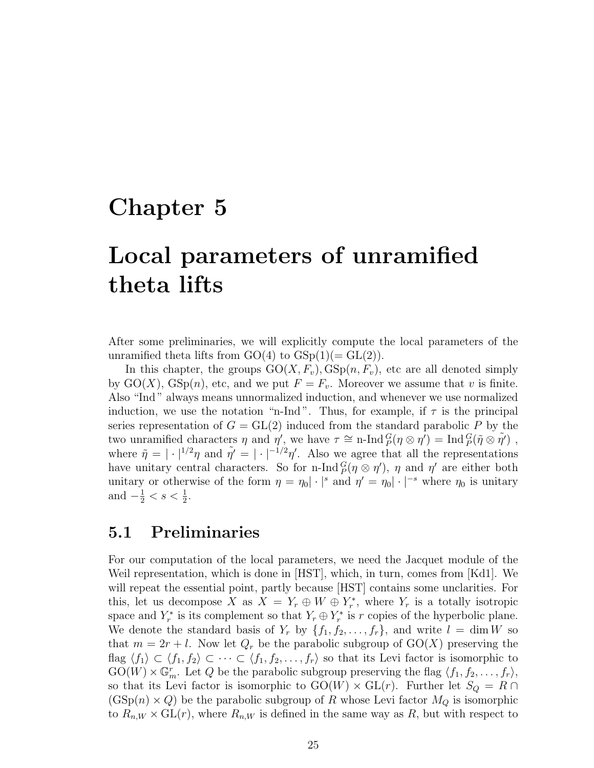#### Chapter 5

# Local parameters of unramified theta lifts

After some preliminaries, we will explicitly compute the local parameters of the unramified theta lifts from  $GO(4)$  to  $GSp(1)(= GL(2)).$ 

In this chapter, the groups  $GO(X, F_v), GSp(n, F_v)$ , etc are all denoted simply by  $GO(X)$ ,  $GSp(n)$ , etc, and we put  $F = F_v$ . Moreover we assume that v is finite. Also "Ind " always means unnormalized induction, and whenever we use normalized induction, we use the notation "n-Ind". Thus, for example, if  $\tau$  is the principal series representation of  $G = GL(2)$  induced from the standard parabolic P by the two unramified characters  $\eta$  and  $\eta'$ , we have  $\tau \cong \text{n-Ind}_{P}^G(\eta \otimes \eta') = \text{Ind}_{P}^G(\tilde{\eta} \otimes \tilde{\eta}')$ , where  $\tilde{\eta} = |\cdot|^{1/2}\eta$  and  $\tilde{\eta}' = |\cdot|^{-1/2}\eta'$ . Also we agree that all the representations have unitary central characters. So for n-Ind  $_P^G(\eta \otimes \eta')$ ,  $\eta$  and  $\eta'$  are either both unitary or otherwise of the form  $\eta = \eta_0 |\cdot|^s$  and  $\eta' = \eta_0 |\cdot|^{-s}$  where  $\eta_0$  is unitary and  $-\frac{1}{2} < s < \frac{1}{2}$ .

#### 5.1 Preliminaries

For our computation of the local parameters, we need the Jacquet module of the Weil representation, which is done in [HST], which, in turn, comes from [Kd1]. We will repeat the essential point, partly because [HST] contains some unclarities. For this, let us decompose X as  $X = Y_r \oplus W \oplus Y_r^*$ , where  $Y_r$  is a totally isotropic space and  $Y_r^*$  is its complement so that  $Y_r \oplus Y_r^*$  is r copies of the hyperbolic plane. We denote the standard basis of  $Y_r$  by  $\{f_1, f_2, \ldots, f_r\}$ , and write  $l = \dim W$  so that  $m = 2r + l$ . Now let  $Q_r$  be the parabolic subgroup of  $GO(X)$  preserving the flag  $\langle f_1 \rangle \subset \langle f_1, f_2 \rangle \subset \cdots \subset \langle f_1, f_2, \ldots, f_r \rangle$  so that its Levi factor is isomorphic to  $GO(W) \times \mathbb{G}_m^r$ . Let Q be the parabolic subgroup preserving the flag  $\langle f_1, f_2, \ldots, f_r \rangle$ , so that its Levi factor is isomorphic to  $GO(W) \times GL(r)$ . Further let  $S_Q = R \cap$  $(\text{GSp}(n) \times Q)$  be the parabolic subgroup of R whose Levi factor  $M_Q$  is isomorphic to  $R_{n,W} \times GL(r)$ , where  $R_{n,W}$  is defined in the same way as R, but with respect to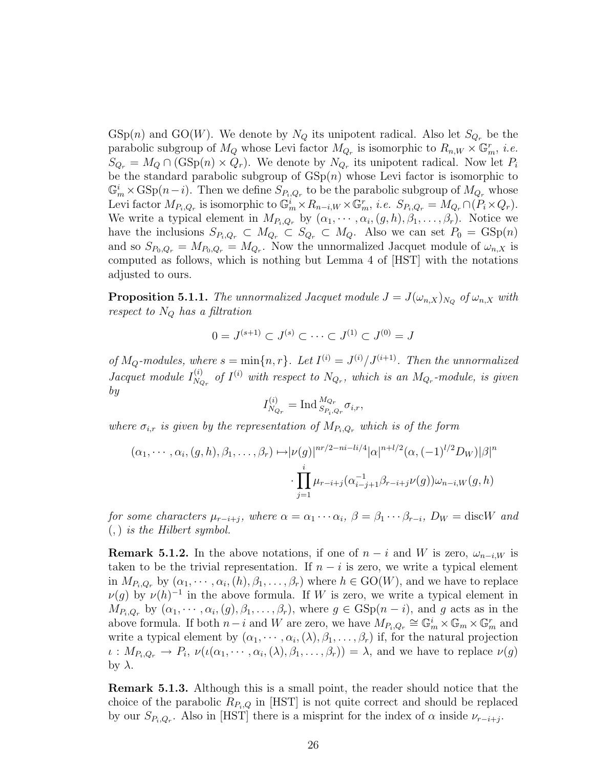$GSp(n)$  and  $GO(W)$ . We denote by  $N_Q$  its unipotent radical. Also let  $S_{Q_r}$  be the parabolic subgroup of  $M_Q$  whose Levi factor  $M_{Q_r}$  is isomorphic to  $R_{n,W}\times\mathbb{G}_m^r$ , *i.e.*  $S_{Q_r} = M_Q \cap (\text{GSp}(n) \times Q_r)$ . We denote by  $N_{Q_r}$  its unipotent radical. Now let  $P_i$ be the standard parabolic subgroup of  $GSp(n)$  whose Levi factor is isomorphic to  $\mathbb{G}_m^i \times \text{GSp}(n-i)$ . Then we define  $S_{P_i,Q_r}$  to be the parabolic subgroup of  $M_{Q_r}$  whose Levi factor  $M_{P_i,Q_r}$  is isomorphic to  $\mathbb{G}_m^i \times R_{n-i,W} \times \mathbb{G}_m^r$ , *i.e.*  $S_{P_i,Q_r} = M_{Q_r} \cap (P_i \times Q_r)$ . We write a typical element in  $M_{P_i,Q_r}$  by  $(\alpha_1, \dots, \alpha_i, (g,h), \beta_1, \dots, \beta_r)$ . Notice we have the inclusions  $S_{P_i,Q_r} \subset M_{Q_r} \subset S_{Q_r} \subset M_Q$ . Also we can set  $P_0 = \text{GSp}(n)$ and so  $S_{P_0,Q_r} = M_{P_0,Q_r} = M_{Q_r}$ . Now the unnormalized Jacquet module of  $\omega_{n,X}$  is computed as follows, which is nothing but Lemma 4 of [HST] with the notations adjusted to ours.

**Proposition 5.1.1.** The unnormalized Jacquet module  $J = J(\omega_{n,X})_{N_Q}$  of  $\omega_{n,X}$  with respect to  $N_Q$  has a filtration

$$
0 = J^{(s+1)} \subset J^{(s)} \subset \cdots \subset J^{(1)} \subset J^{(0)} = J
$$

of  $M_Q$ -modules, where  $s = \min\{n, r\}$ . Let  $I^{(i)} = J^{(i)}/J^{(i+1)}$ . Then the unnormalized Jacquet module  $I_{N_c}^{(i)}$  $N_{Q_r}$  of  $I^{(i)}$  with respect to  $N_{Q_r}$ , which is an  $M_{Q_r}$ -module, is given by

$$
I_{N_{Q_r}}^{(i)} = \text{Ind}_{S_{P_i,Q_r}}^{M_{Q_r}} \sigma_{i,r},
$$

where  $\sigma_{i,r}$  is given by the representation of  $M_{P_i,Q_r}$  which is of the form

$$
(\alpha_1, \cdots, \alpha_i, (g, h), \beta_1, \ldots, \beta_r) \mapsto |\nu(g)|^{nr/2 - ni - li/4} |\alpha|^{n + l/2} (\alpha, (-1)^{l/2} D_W) |\beta|^n
$$

$$
\cdot \prod_{j=1}^i \mu_{r-i+j} (\alpha_{i-j+1}^{-1} \beta_{r-i+j} \nu(g)) \omega_{n-i,W}(g, h)
$$

for some characters  $\mu_{r-i+j}$ , where  $\alpha = \alpha_1 \cdots \alpha_i$ ,  $\beta = \beta_1 \cdots \beta_{r-i}$ ,  $D_W = \text{disc}W$  and  $(,)$  is the Hilbert symbol.

**Remark 5.1.2.** In the above notations, if one of  $n - i$  and W is zero,  $\omega_{n-i,W}$  is taken to be the trivial representation. If  $n - i$  is zero, we write a typical element in  $M_{P_i,Q_r}$  by  $(\alpha_1,\dots,\alpha_i,(h),\beta_1,\dots,\beta_r)$  where  $h\in\mathrm{GO}(W)$ , and we have to replace  $\nu(g)$  by  $\nu(h)^{-1}$  in the above formula. If W is zero, we write a typical element in  $M_{P_i,Q_r}$  by  $(\alpha_1,\dots,\alpha_i,(g),\beta_1,\dots,\beta_r)$ , where  $g \in \text{GSp}(n-i)$ , and g acts as in the above formula. If both  $n-i$  and W are zero, we have  $M_{P_i,Q_r} \cong \mathbb{G}_m^i \times \mathbb{G}_m \times \mathbb{G}_m^r$  and write a typical element by  $(\alpha_1, \dots, \alpha_i, (\lambda), \beta_1, \dots, \beta_r)$  if, for the natural projection  $\iota: M_{P_i,Q_r} \to P_i, \nu(\iota(\alpha_1, \dots, \alpha_i,(\lambda), \beta_1, \dots, \beta_r)) = \lambda$ , and we have to replace  $\nu(g)$ by  $\lambda$ .

Remark 5.1.3. Although this is a small point, the reader should notice that the choice of the parabolic  $R_{P_i,Q}$  in [HST] is not quite correct and should be replaced by our  $S_{P_i,Q_r}$ . Also in [HST] there is a misprint for the index of  $\alpha$  inside  $\nu_{r-i+j}$ .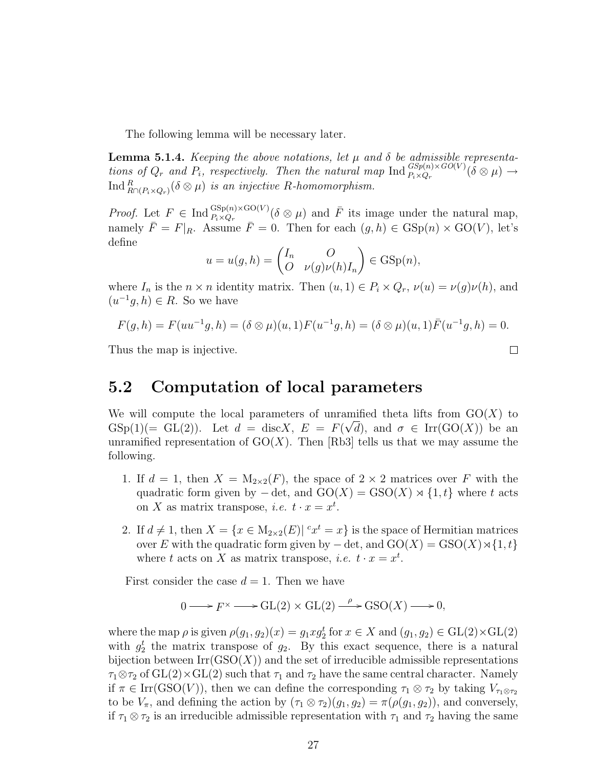The following lemma will be necessary later.

**Lemma 5.1.4.** Keeping the above notations, let  $\mu$  and  $\delta$  be admissible representations of  $Q_r$  and  $P_i$ , respectively. Then the natural map  $\text{Ind}_{P_i \times Q_r}^{GSp(n) \times GO(V)}(\delta \otimes \mu) \to$  $\operatorname{Ind}_{R\cap (P_i\times Q_r)}^R (\delta\otimes\mu)$  is an injective R-homomorphism.

*Proof.* Let  $F \in \text{Ind}_{P_i \times Q_r}^{\text{GSp}(n) \times \text{GO}(V)}(\delta \otimes \mu)$  and  $\overline{F}$  its image under the natural map, namely  $\bar{F} = F|_{R}$ . Assume  $\bar{F} = 0$ . Then for each  $(g, h) \in \text{GSp}(n) \times \text{GO}(V)$ , let's define

$$
u = u(g, h) = \begin{pmatrix} I_n & O \\ O & \nu(g)\nu(h)I_n \end{pmatrix} \in \text{GSp}(n),
$$

where  $I_n$  is the  $n \times n$  identity matrix. Then  $(u, 1) \in P_i \times Q_r$ ,  $\nu(u) = \nu(g)\nu(h)$ , and  $(u^{-1}g, h) \in R$ . So we have

$$
F(g, h) = F(uu^{-1}g, h) = (\delta \otimes \mu)(u, 1)F(u^{-1}g, h) = (\delta \otimes \mu)(u, 1)\overline{F}(u^{-1}g, h) = 0.
$$

Thus the map is injective.

#### 5.2 Computation of local parameters

We will compute the local parameters of unramified theta lifts from  $GO(X)$  to  $\text{GSp}(1)(=\text{GL}(2)).$  Let  $d = \text{disc}X$ ,  $E = F(\sqrt{d})$ , and  $\sigma \in \text{Irr}(\text{GO}(X))$  be an unramified representation of  $GO(X)$ . Then [Rb3] tells us that we may assume the following.

- 1. If  $d = 1$ , then  $X = M_{2 \times 2}(F)$ , the space of  $2 \times 2$  matrices over F with the quadratic form given by  $-\det$ , and  $GO(X) = GSO(X) \rtimes \{1, t\}$  where t acts on X as matrix transpose, *i.e.*  $t \cdot x = x^t$ .
- 2. If  $d \neq 1$ , then  $X = \{x \in M_{2 \times 2}(E) | x^t = x\}$  is the space of Hermitian matrices over E with the quadratic form given by  $-\det$ , and  $GO(X) = GSO(X) \rtimes \{1, t\}$ where t acts on X as matrix transpose, *i.e.*  $t \cdot x = x^t$ .

First consider the case  $d = 1$ . Then we have

$$
0 \longrightarrow F^{\times} \longrightarrow GL(2) \times GL(2) \stackrel{\rho}{\longrightarrow} GSO(X) \longrightarrow 0,
$$

where the map  $\rho$  is given  $\rho(g_1, g_2)(x) = g_1 x g_2^t$  for  $x \in X$  and  $(g_1, g_2) \in GL(2) \times GL(2)$ with  $g_2^t$  the matrix transpose of  $g_2$ . By this exact sequence, there is a natural bijection between  $\mathrm{Irr}(\mathrm{GSO}(X))$  and the set of irreducible admissible representations  $\tau_1 \otimes \tau_2$  of  $GL(2) \times GL(2)$  such that  $\tau_1$  and  $\tau_2$  have the same central character. Namely if  $\pi \in \text{Irr}(\text{GSO}(V))$ , then we can define the corresponding  $\tau_1 \otimes \tau_2$  by taking  $V_{\tau_1 \otimes \tau_2}$ to be  $V_{\pi}$ , and defining the action by  $(\tau_1 \otimes \tau_2)(g_1, g_2) = \pi(\rho(g_1, g_2))$ , and conversely, if  $\tau_1 \otimes \tau_2$  is an irreducible admissible representation with  $\tau_1$  and  $\tau_2$  having the same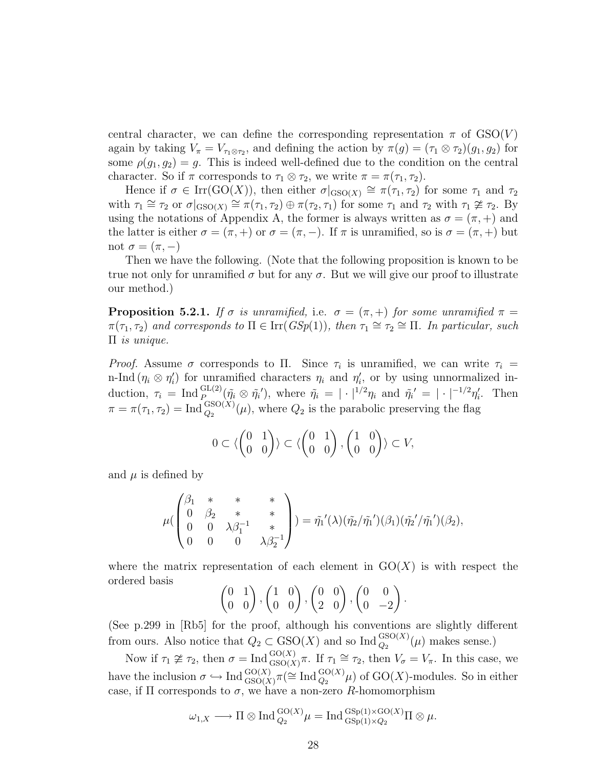central character, we can define the corresponding representation  $\pi$  of  $GSO(V)$ again by taking  $V_{\pi} = V_{\tau_1 \otimes \tau_2}$ , and defining the action by  $\pi(g) = (\tau_1 \otimes \tau_2)(g_1, g_2)$  for some  $\rho(g_1, g_2) = g$ . This is indeed well-defined due to the condition on the central character. So if  $\pi$  corresponds to  $\tau_1 \otimes \tau_2$ , we write  $\pi = \pi(\tau_1, \tau_2)$ .

Hence if  $\sigma \in \text{Irr}(\text{GO}(X))$ , then either  $\sigma|_{\text{GSO}(X)} \cong \pi(\tau_1, \tau_2)$  for some  $\tau_1$  and  $\tau_2$ with  $\tau_1 \cong \tau_2$  or  $\sigma|_{\text{GSO}(X)} \cong \pi(\tau_1, \tau_2) \oplus \pi(\tau_2, \tau_1)$  for some  $\tau_1$  and  $\tau_2$  with  $\tau_1 \ncong \tau_2$ . By using the notations of Appendix A, the former is always written as  $\sigma = (\pi, +)$  and the latter is either  $\sigma = (\pi, +)$  or  $\sigma = (\pi, -)$ . If  $\pi$  is unramified, so is  $\sigma = (\pi, +)$  but not  $\sigma = (\pi, -)$ 

Then we have the following. (Note that the following proposition is known to be true not only for unramified  $\sigma$  but for any  $\sigma$ . But we will give our proof to illustrate our method.)

**Proposition 5.2.1.** If  $\sigma$  is unramified, i.e.  $\sigma = (\pi, +)$  for some unramified  $\pi =$  $\pi(\tau_1, \tau_2)$  and corresponds to  $\Pi \in \text{Irr}(GSp(1))$ , then  $\tau_1 \cong \tau_2 \cong \Pi$ . In particular, such Π is unique.

*Proof.* Assume  $\sigma$  corresponds to  $\Pi$ . Since  $\tau_i$  is unramified, we can write  $\tau_i$ n-Ind  $(\eta_i \otimes \eta'_i)$  for unramified characters  $\eta_i$  and  $\eta'_i$ , or by using unnormalized induction,  $\tau_i = \text{Ind}_P^{\text{GL}(2)}(\tilde{\eta}_i \otimes \tilde{\eta}_i'),$  where  $\tilde{\eta}_i = |\cdot|^{1/2} \eta_i$  and  $\tilde{\eta}_i' = |\cdot|^{-1/2} \eta_i'.$  Then  $\pi = \pi(\tau_1, \tau_2) = \text{Ind}_{Q_2}^{\text{GSO}(X)}(\mu)$ , where  $Q_2$  is the parabolic preserving the flag

$$
0 \subset \langle \begin{pmatrix} 0 & 1 \\ 0 & 0 \end{pmatrix} \rangle \subset \langle \begin{pmatrix} 0 & 1 \\ 0 & 0 \end{pmatrix}, \begin{pmatrix} 1 & 0 \\ 0 & 0 \end{pmatrix} \rangle \subset V,
$$

and  $\mu$  is defined by

$$
\mu(\begin{pmatrix} \beta_1 & * & * & * \\ 0 & \beta_2 & * & * \\ 0 & 0 & \lambda \beta_1^{-1} & * \\ 0 & 0 & 0 & \lambda \beta_2^{-1} \end{pmatrix}) = \tilde{\eta_1}'(\lambda)(\tilde{\eta_2}/\tilde{\eta_1}')(\beta_1)(\tilde{\eta_2}'/\tilde{\eta_1}')(\beta_2),
$$

where the matrix representation of each element in  $GO(X)$  is with respect the ordered basis

$$
\begin{pmatrix} 0 & 1 \ 0 & 0 \end{pmatrix}, \begin{pmatrix} 1 & 0 \ 0 & 0 \end{pmatrix}, \begin{pmatrix} 0 & 0 \ 2 & 0 \end{pmatrix}, \begin{pmatrix} 0 & 0 \ 0 & -2 \end{pmatrix}.
$$

(See p.299 in [Rb5] for the proof, although his conventions are slightly different from ours. Also notice that  $Q_2 \subset \text{GSO}(X)$  and so  $\text{Ind}_{Q_2}^{\text{GSO}(X)}(\mu)$  makes sense.)

Now if  $\tau_1 \ncong \tau_2$ , then  $\sigma = \text{Ind}_{GSO(X)}^{GO(X)}\pi$ . If  $\tau_1 \cong \tau_2$ , then  $V_{\sigma} = V_{\pi}$ . In this case, we have the inclusion  $\sigma \hookrightarrow \text{Ind}_{\text{GSO}(X)}^{\text{GO}(X)} \pi (\cong \text{Ind}_{Q_2}^{\text{GO}(X)} \mu)$  of  $\text{GO}(X)$ -modules. So in either case, if  $\Pi$  corresponds to  $\sigma$ , we have a non-zero R-homomorphism

$$
\omega_{1,X} \longrightarrow \Pi \otimes \text{Ind}_{Q_2}^{\text{GO}(X)} \mu = \text{Ind}_{\text{GSp}(1)\times Q_2}^{\text{GSp}(1)\times \text{GO}(X)} \Pi \otimes \mu.
$$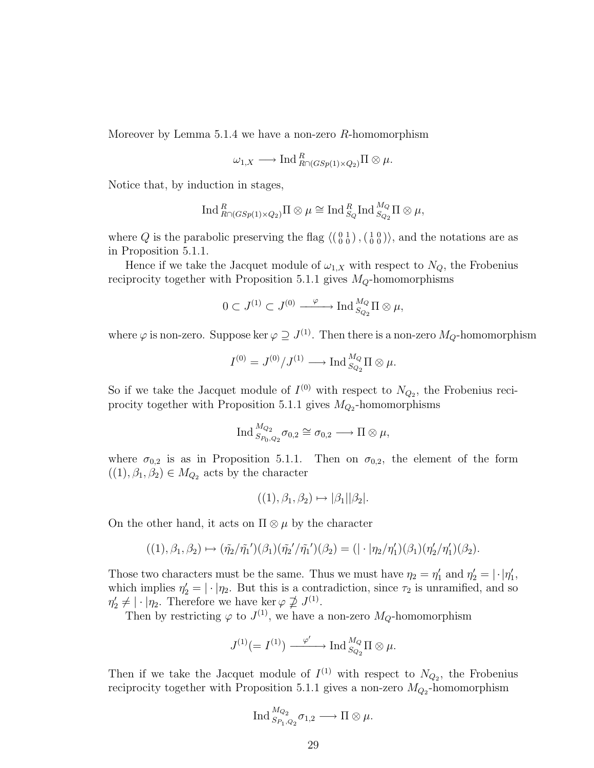Moreover by Lemma 5.1.4 we have a non-zero  $R$ -homomorphism

$$
\omega_{1,X} \longrightarrow \text{Ind}_{R\cap (GSp(1)\times Q_2)}^R \Pi \otimes \mu.
$$

Notice that, by induction in stages,

$$
\operatorname{Ind}^R_{R\cap (GSp(1)\times Q_2)}\Pi\otimes \mu\cong \operatorname{Ind}^R_{S_Q}\operatorname{Ind}^{M_Q}_{S_{Q_2}}\Pi\otimes \mu,
$$

where Q is the parabolic preserving the flag  $\langle \begin{pmatrix} 0 & 1 \\ 0 & 0 \end{pmatrix}, \begin{pmatrix} 1 & 0 \\ 0 & 0 \end{pmatrix} \rangle$ , and the notations are as in Proposition 5.1.1.

Hence if we take the Jacquet module of  $\omega_{1,X}$  with respect to  $N_Q$ , the Frobenius reciprocity together with Proposition 5.1.1 gives  $M_Q$ -homomorphisms

$$
0\subset J^{(1)}\subset J^{(0)}\xrightarrow{\qquad\varphi\qquad\qquad \operatorname{Ind}_{S_{Q_2}}^{M_Q}\Pi\otimes\mu,
$$

where  $\varphi$  is non-zero. Suppose ker  $\varphi \supseteq J^{(1)}$ . Then there is a non-zero  $M_Q$ -homomorphism

$$
I^{(0)} = J^{(0)}/J^{(1)} \longrightarrow \text{Ind}_{S_{Q_2}}^{M_Q} \Pi \otimes \mu.
$$

So if we take the Jacquet module of  $I^{(0)}$  with respect to  $N_{Q_2}$ , the Frobenius reciprocity together with Proposition 5.1.1 gives  $M_{Q_2}$ -homomorphisms

$$
\operatorname{Ind}_{S_{P_0,Q_2}}^{M_{Q_2}} \sigma_{0,2} \cong \sigma_{0,2} \longrightarrow \Pi \otimes \mu,
$$

where  $\sigma_{0,2}$  is as in Proposition 5.1.1. Then on  $\sigma_{0,2}$ , the element of the form  $((1), \beta_1, \beta_2) \in M_{Q_2}$  acts by the character

$$
((1), \beta_1, \beta_2) \mapsto |\beta_1||\beta_2|.
$$

On the other hand, it acts on  $\Pi \otimes \mu$  by the character

$$
((1),\beta_1,\beta_2)\mapsto (\tilde{\eta_2}/\tilde{\eta_1}')(\beta_1)(\tilde{\eta_2}'/\tilde{\eta_1}')(\beta_2)=(|\cdot|\eta_2/\eta_1')(\beta_1)(\eta_2'/\eta_1')(\beta_2).
$$

Those two characters must be the same. Thus we must have  $\eta_2 = \eta'_1$  and  $\eta'_2 = |\cdot|\eta'_1$ , which implies  $\eta_2' = |\cdot|\eta_2$ . But this is a contradiction, since  $\tau_2$  is unramified, and so  $\eta'_2 \neq |\cdot|\eta_2$ . Therefore we have ker  $\varphi \not\supseteq J^{(1)}$ .

Then by restricting  $\varphi$  to  $J^{(1)}$ , we have a non-zero  $M_Q$ -homomorphism

$$
J^{(1)}(=I^{(1)}) \xrightarrow{\varphi'} \text{Ind}_{S_{Q_2}}^{M_Q} \Pi \otimes \mu.
$$

Then if we take the Jacquet module of  $I^{(1)}$  with respect to  $N_{Q_2}$ , the Frobenius reciprocity together with Proposition 5.1.1 gives a non-zero  $M_{Q_2}$ -homomorphism

$$
\operatorname{Ind}_{S_{P_1,Q_2}}^{M_{Q_2}} \sigma_{1,2} \longrightarrow \Pi \otimes \mu.
$$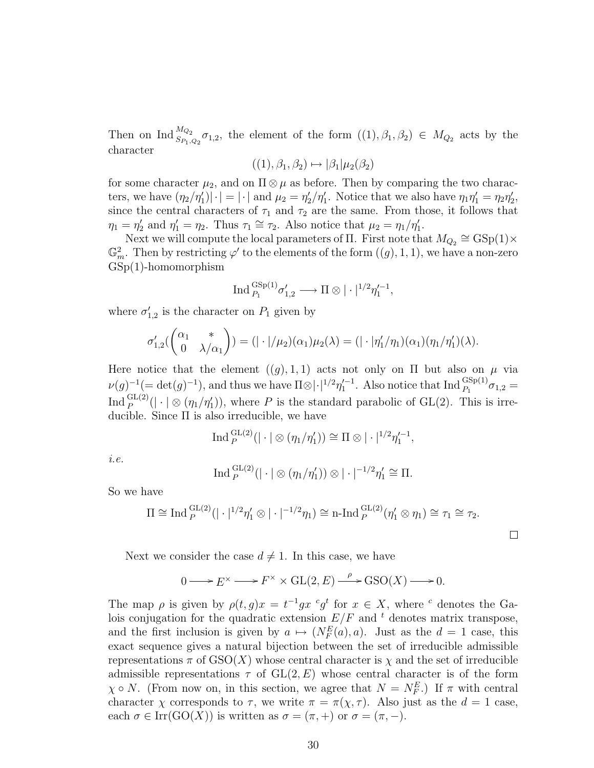Then on Ind  $_{S_{P_1,Q_2}}^{M_{Q_2}}\sigma_{1,2}$ , the element of the form  $((1),\beta_1,\beta_2) \in M_{Q_2}$  acts by the character

$$
((1), \beta_1, \beta_2) \mapsto |\beta_1|\mu_2(\beta_2)
$$

for some character  $\mu_2$ , and on  $\Pi \otimes \mu$  as before. Then by comparing the two characters, we have  $(\eta_2/\eta_1')|\cdot| = |\cdot|$  and  $\mu_2 = \eta_2'/\eta_1'$ . Notice that we also have  $\eta_1\eta_1' = \eta_2\eta_2'$ , since the central characters of  $\tau_1$  and  $\tau_2$  are the same. From those, it follows that  $\eta_1 = \eta_2'$  and  $\eta_1' = \eta_2$ . Thus  $\tau_1 \cong \tau_2$ . Also notice that  $\mu_2 = \eta_1/\eta_1'.$ 

Next we will compute the local parameters of  $\Pi$ . First note that  $M_{Q_2} \cong \text{GSp}(1) \times$  $\mathbb{G}_m^2$ . Then by restricting  $\varphi'$  to the elements of the form  $((g), 1, 1)$ , we have a non-zero GSp(1)-homomorphism

$$
\operatorname{Ind}_{P_1}^{\operatorname{GSp}(1)} \sigma'_{1,2} \longrightarrow \Pi \otimes |\cdot|^{1/2} \eta'^{-1}_1,
$$

where  $\sigma'_{1,2}$  is the character on  $P_1$  given by

$$
\sigma'_{1,2}(\begin{pmatrix} \alpha_1 & * \\ 0 & \lambda/\alpha_1 \end{pmatrix}) = (|\cdot|/\mu_2)(\alpha_1)\mu_2(\lambda) = (|\cdot|\eta'_1/\eta_1)(\alpha_1)(\eta_1/\eta'_1)(\lambda).
$$

Here notice that the element  $((g), 1, 1)$  acts not only on  $\Pi$  but also on  $\mu$  via  $\nu(g)^{-1} (= \det(g)^{-1}),$  and thus we have  $\Pi \otimes |\cdot|^{1/2} \eta_1'^{-1}$ . Also notice that  $\text{Ind}_{P_1}^{GSp(1)} \sigma_{1,2} =$ Ind  $_P^{\text{GL}(2)}(|\cdot| \otimes (\eta_1/\eta_1'))$ , where P is the standard parabolic of GL(2). This is irreducible. Since Π is also irreducible, we have

$$
\operatorname{Ind}_{P}^{\operatorname{GL}(2)}(|\cdot| \otimes (\eta_1/\eta'_1)) \cong \Pi \otimes |\cdot|^{1/2}\eta'^{-1}_1,
$$

i.e.

$$
\operatorname{Ind}_{P}^{\operatorname{GL}(2)}(|\cdot| \otimes (\eta_1/\eta_1')) \otimes |\cdot|^{-1/2}\eta_1' \cong \Pi.
$$

So we have

$$
\Pi \cong \text{Ind}_{P}^{\text{GL}(2)}(|\cdot|^{1/2}\eta_1' \otimes |\cdot|^{-1/2}\eta_1) \cong \text{n-Ind}_{P}^{\text{GL}(2)}(\eta_1' \otimes \eta_1) \cong \tau_1 \cong \tau_2.
$$

 $\Box$ 

Next we consider the case  $d \neq 1$ . In this case, we have

$$
0 \longrightarrow E^{\times} \longrightarrow F^{\times} \times GL(2, E) \xrightarrow{\rho} GSO(X) \longrightarrow 0.
$$

The map  $\rho$  is given by  $\rho(t,g)x = t^{-1}gx^{c}g^{t}$  for  $x \in X$ , where <sup>c</sup> denotes the Galois conjugation for the quadratic extension  $E/F$  and  $t$  denotes matrix transpose, and the first inclusion is given by  $a \mapsto (N_F^E(a), a)$ . Just as the  $d = 1$  case, this exact sequence gives a natural bijection between the set of irreducible admissible representations  $\pi$  of  $GSO(X)$  whose central character is  $\chi$  and the set of irreducible admissible representations  $\tau$  of  $GL(2, E)$  whose central character is of the form  $\chi \circ N$ . (From now on, in this section, we agree that  $N = N_F^E$ .) If  $\pi$  with central character  $\chi$  corresponds to  $\tau$ , we write  $\pi = \pi(\chi, \tau)$ . Also just as the  $d = 1$  case, each  $\sigma \in \text{Irr}(\text{GO}(X))$  is written as  $\sigma = (\pi, +)$  or  $\sigma = (\pi, -)$ .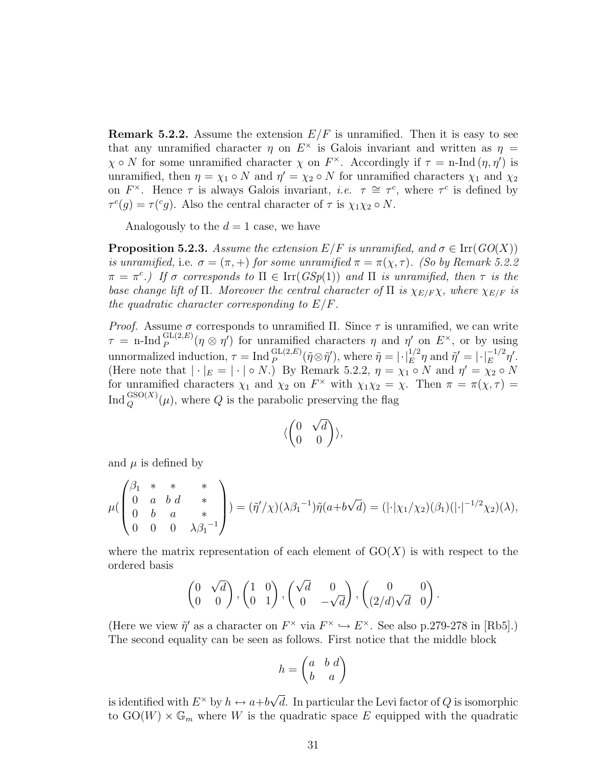**Remark 5.2.2.** Assume the extension  $E/F$  is unramified. Then it is easy to see that any unramified character  $\eta$  on  $E^{\times}$  is Galois invariant and written as  $\eta$  =  $\chi \circ N$  for some unramified character  $\chi$  on  $F^{\times}$ . Accordingly if  $\tau = \text{n-Ind}(\eta, \eta')$  is unramified, then  $\eta = \chi_1 \circ N$  and  $\eta' = \chi_2 \circ N$  for unramified characters  $\chi_1$  and  $\chi_2$ on  $F^{\times}$ . Hence  $\tau$  is always Galois invariant, *i.e.*  $\tau \cong \tau^{c}$ , where  $\tau^{c}$  is defined by  $\tau^c(g) = \tau^c(g)$ . Also the central character of  $\tau$  is  $\chi_1 \chi_2 \circ N$ .

Analogously to the  $d = 1$  case, we have

**Proposition 5.2.3.** Assume the extension  $E/F$  is unramified, and  $\sigma \in \text{Irr}(GO(X))$ is unramified, i.e.  $\sigma = (\pi, +)$  for some unramified  $\pi = \pi(\chi, \tau)$ . (So by Remark 5.2.2)  $\pi = \pi^c$ .) If  $\sigma$  corresponds to  $\Pi \in \text{Irr}(GSp(1))$  and  $\Pi$  is unramified, then  $\tau$  is the base change lift of  $\Pi$ . Moreover the central character of  $\Pi$  is  $\chi_{E/F} \chi$ , where  $\chi_{E/F}$  is the quadratic character corresponding to  $E/F$ .

*Proof.* Assume  $\sigma$  corresponds to unramified Π. Since  $\tau$  is unramified, we can write  $\tau = \text{n-Ind}_{P}^{\text{GL}(2,E)}(\eta \otimes \eta')$  for unramified characters  $\eta$  and  $\eta'$  on  $E^{\times}$ , or by using unnormalized induction,  $\tau = \text{Ind}_{P}^{\text{GL}(2,E)}(\tilde{\eta} \otimes \tilde{\eta}')$ , where  $\tilde{\eta} = |\cdot|_{E}^{1/2} \eta$  and  $\tilde{\eta}' = |\cdot|_{E}^{-1/2} \eta'$ . (Here note that  $|\cdot|_E = |\cdot| \circ N$ .) By Remark 5.2.2,  $\eta = \chi_1 \circ N$  and  $\eta' = \chi_2 \circ N$ for unramified characters  $\chi_1$  and  $\chi_2$  on  $F^{\times}$  with  $\chi_1\chi_2 = \chi$ . Then  $\pi = \pi(\chi, \tau)$  $\text{Ind}_Q^{\text{GSO}(X)}(\mu)$ , where Q is the parabolic preserving the flag

$$
\langle \begin{pmatrix} 0 & \sqrt{d} \\ 0 & 0 \end{pmatrix} \rangle,
$$

and  $\mu$  is defined by

$$
\mu(\begin{pmatrix} \beta_1 & * & * & * \\ 0 & a & b & d & * \\ 0 & b & a & * \\ 0 & 0 & 0 & \lambda \beta_1^{-1} \end{pmatrix}) = (\tilde{\eta}'/\chi)(\lambda \beta_1^{-1})\tilde{\eta}(a+b\sqrt{d}) = (|\cdot|\chi_1/\chi_2)(\beta_1)(|\cdot|^{-1/2}\chi_2)(\lambda),
$$

where the matrix representation of each element of  $GO(X)$  is with respect to the ordered basis

$$
\begin{pmatrix} 0 & \sqrt{d} \\ 0 & 0 \end{pmatrix}, \begin{pmatrix} 1 & 0 \\ 0 & 1 \end{pmatrix}, \begin{pmatrix} \sqrt{d} & 0 \\ 0 & -\sqrt{d} \end{pmatrix}, \begin{pmatrix} 0 & 0 \\ (2/d)\sqrt{d} & 0 \end{pmatrix}
$$

.

(Here we view  $\tilde{\eta}'$  as a character on  $F^{\times}$  via  $F^{\times} \hookrightarrow E^{\times}$ . See also p.279-278 in [Rb5].) The second equality can be seen as follows. First notice that the middle block

$$
h = \begin{pmatrix} a & b & d \\ b & a \end{pmatrix}
$$

is identified with  $E^{\times}$  by  $h \leftrightarrow a+b$ √ d. In particular the Levi factor of  $Q$  is isomorphic to  $GO(W) \times \mathbb{G}_m$  where W is the quadratic space E equipped with the quadratic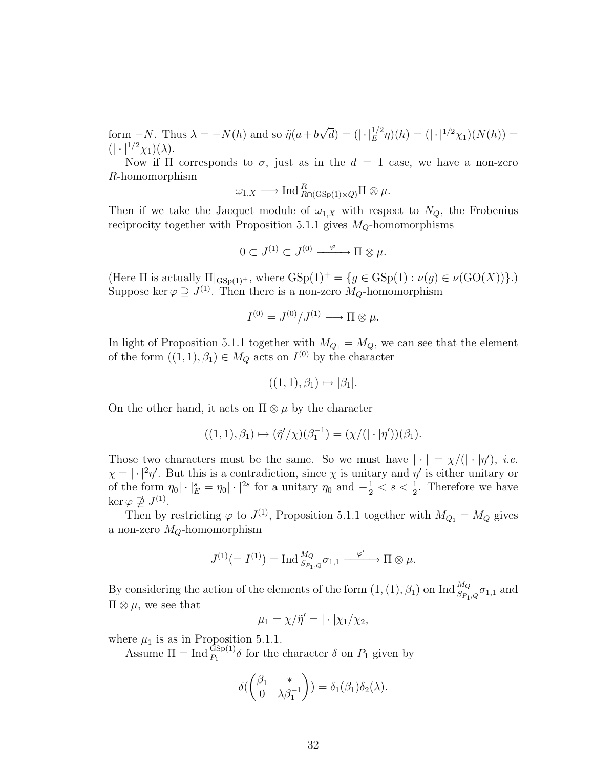form  $-N$ . Thus  $\lambda = -N(h)$  and so  $\tilde{\eta}(a+b)$  $\sqrt{d}$ ) =  $(|\cdot|_E^{1/2}\eta)(h) = (|\cdot|^{1/2}\chi_1)(N(h)) =$  $(|\cdot|^{1/2}\chi_1)(\lambda).$ 

Now if  $\Pi$  corresponds to  $\sigma$ , just as in the  $d = 1$  case, we have a non-zero R-homomorphism

$$
\omega_{1,X} \longrightarrow \text{Ind}_{R\cap(\text{GSp}(1)\times Q)}^R\Pi \otimes \mu.
$$

Then if we take the Jacquet module of  $\omega_{1,X}$  with respect to  $N_Q$ , the Frobenius reciprocity together with Proposition 5.1.1 gives  $M_Q$ -homomorphisms

$$
0\subset J^{(1)}\subset J^{(0)}\xrightarrow{\varphi} \Pi\otimes\mu.
$$

(Here  $\Pi$  is actually  $\Pi|_{\text{GSp}(1)^+}$ , where  $\text{GSp}(1)^+ = \{g \in \text{GSp}(1) : \nu(g) \in \nu(\text{GO}(X))\}.$ ) Suppose ker  $\varphi \supseteq J^{(1)}$ . Then there is a non-zero  $M_Q$ -homomorphism

$$
I^{(0)} = J^{(0)}/J^{(1)} \longrightarrow \Pi \otimes \mu.
$$

In light of Proposition 5.1.1 together with  $M_{Q_1} = M_Q$ , we can see that the element of the form  $((1,1), \beta_1) \in M_Q$  acts on  $I^{(0)}$  by the character

$$
((1,1),\beta_1)\mapsto |\beta_1|.
$$

On the other hand, it acts on  $\Pi \otimes \mu$  by the character

$$
((1,1),\beta_1) \mapsto (\tilde{\eta}'/\chi)(\beta_1^{-1}) = (\chi/((\cdot | \eta'))(\beta_1).
$$

Those two characters must be the same. So we must have  $|\cdot| = \chi/(|\cdot|\eta')$ , *i.e.*  $\chi = |\cdot|^2 \eta'$ . But this is a contradiction, since  $\chi$  is unitary and  $\eta'$  is either unitary or of the form  $\eta_0 |\cdot |_E^s = \eta_0 |\cdot|^{2s}$  for a unitary  $\eta_0$  and  $-\frac{1}{2} < s < \frac{1}{2}$ . Therefore we have ker  $\varphi \not\supseteq J^{(1)}$ .

Then by restricting  $\varphi$  to  $J^{(1)}$ , Proposition 5.1.1 together with  $M_{Q_1} = M_Q$  gives a non-zero  $M_Q$ -homomorphism

$$
J^{(1)}(=I^{(1)})=\operatorname{Ind}_{S_{P_1,Q}}^{M_Q}\sigma_{1,1}\xrightarrow{\varphi'}\Pi\otimes\mu.
$$

By considering the action of the elements of the form  $(1,(1),\beta_1)$  on  $\text{Ind}_{S_{P_1,Q}}^{M_Q}\sigma_{1,1}$  and  $\Pi \otimes \mu$ , we see that

$$
\mu_1 = \chi/\tilde{\eta}' = |\cdot|\chi_1/\chi_2,
$$

where  $\mu_1$  is as in Proposition 5.1.1.

Assume  $\Pi = \text{Ind}_{P_1}^{\text{GSp}(1)} \delta$  for the character  $\delta$  on  $P_1$  given by

$$
\delta(\begin{pmatrix} \beta_1 & * \\ 0 & \lambda \beta_1^{-1} \end{pmatrix}) = \delta_1(\beta_1) \delta_2(\lambda).
$$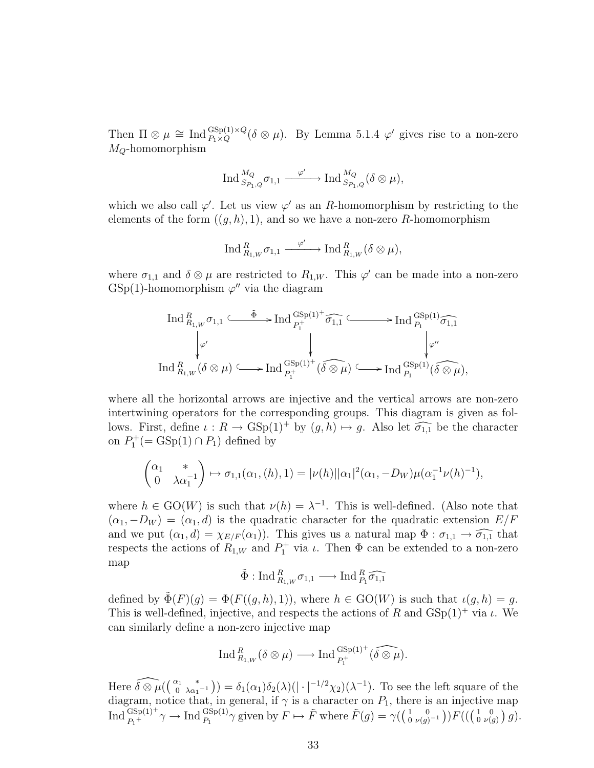Then  $\Pi \otimes \mu \cong \text{Ind}_{P_1 \times Q}^{\text{GSp}(1) \times Q} (\delta \otimes \mu)$ . By Lemma 5.1.4  $\varphi'$  gives rise to a non-zero  $M_Q$ -homomorphism

$$
\operatorname{Ind}_{S_{P_1,Q}}^{M_Q} \sigma_{1,1} \xrightarrow{\varphi'} \operatorname{Ind}_{S_{P_1,Q}}^{M_Q} (\delta \otimes \mu),
$$

which we also call  $\varphi'$ . Let us view  $\varphi'$  as an R-homomorphism by restricting to the elements of the form  $((g, h), 1)$ , and so we have a non-zero R-homomorphism

$$
\operatorname{Ind}^R_{R_{1,W}} \sigma_{1,1} \xrightarrow{\varphi'} \operatorname{Ind}^R_{R_{1,W}} (\delta \otimes \mu),
$$

where  $\sigma_{1,1}$  and  $\delta \otimes \mu$  are restricted to  $R_{1,W}$ . This  $\varphi'$  can be made into a non-zero  $GSp(1)$ -homomorphism  $\varphi''$  via the diagram

$$
\operatorname{Ind}_{R_{1,W}}^R \sigma_{1,1} \xrightarrow{\tilde{\Phi}} \operatorname{Ind}_{P_1^+}^{GSp(1)^+} \widehat{\sigma_{1,1}} \xrightarrow{\qquad \qquad} \operatorname{Ind}_{P_1}^{GSp(1)} \widehat{\sigma_{1,1}} \\
\downarrow^{\varphi'} \qquad \qquad \downarrow^{\qquad \qquad} \qquad \qquad \downarrow^{\varphi''} \\
\operatorname{Ind}_{R_{1,W}}^R (\delta \otimes \mu) \xrightarrow{\qquad \qquad} \operatorname{Ind}_{P_1^+}^{GSp(1)^+} (\widehat{\delta \otimes \mu}) \xrightarrow{\qquad \qquad} \operatorname{Ind}_{P_1}^{GSp(1)} (\widehat{\delta \otimes \mu}),
$$

where all the horizontal arrows are injective and the vertical arrows are non-zero intertwining operators for the corresponding groups. This diagram is given as follows. First, define  $\iota : R \to \text{GSp}(1)^+$  by  $(g, h) \mapsto g$ . Also let  $\widehat{\sigma_{1,1}}$  be the character on  $P_1^+$ (= GSp(1)  $\cap$   $P_1$ ) defined by

$$
\begin{pmatrix} \alpha_1 & * \\ 0 & \lambda \alpha_1^{-1} \end{pmatrix} \mapsto \sigma_{1,1}(\alpha_1, (h), 1) = |\nu(h)| |\alpha_1|^2 (\alpha_1, -D_W) \mu(\alpha_1^{-1} \nu(h)^{-1}),
$$

where  $h \in GO(W)$  is such that  $\nu(h) = \lambda^{-1}$ . This is well-defined. (Also note that  $(\alpha_1, -D_W) = (\alpha_1, d)$  is the quadratic character for the quadratic extension  $E/F$ and we put  $(\alpha_1, d) = \chi_{E/F}(\alpha_1)$ . This gives us a natural map  $\Phi : \sigma_{1,1} \to \widehat{\sigma_{1,1}}$  that respects the actions of  $R_{1,W}$  and  $P_1^+$  via  $\iota$ . Then  $\Phi$  can be extended to a non-zero map

 $\tilde{\Phi} : \text{Ind}_{R_{1,W}}^R \sigma_{1,1} \longrightarrow \text{Ind}_{P_1}^R \widehat{\sigma_{1,1}}$ 

defined by  $\tilde{\Phi}(F)(g) = \Phi(F((g,h), 1)),$  where  $h \in GO(W)$  is such that  $\iota(g, h) = g$ . This is well-defined, injective, and respects the actions of R and  $GSp(1)^+$  via  $\iota$ . We can similarly define a non-zero injective map

$$
\operatorname{Ind}^R_{R_{1,W}}(\delta\otimes\mu)\longrightarrow\operatorname{Ind}^{\operatorname{GSp}(1)^+}_{P_1^+}(\widehat{\delta\otimes\mu}).
$$

Here  $\widehat{\delta\otimes\mu}(\left(\begin{array}{cc} \alpha_1 & * \\ 0 & \lambda\alpha_1^{-1} \end{array}\right)) = \delta_1(\alpha_1)\delta_2(\lambda)(|\cdot|^{-1/2}\chi_2)(\lambda^{-1}).$  To see the left square of the diagram, notice that, in general, if  $\gamma$  is a character on  $P_1$ , there is an injective map  $\text{Ind}_{P_1^+}^{\text{GSp}(1)^+} \gamma \to \text{Ind}_{P_1}^{\text{GSp}(1)} \gamma \text{ given by } F \mapsto \tilde{F} \text{ where } \tilde{F}(g) = \gamma \left( \begin{pmatrix} 1 & 0 \\ 0 & \nu(g)^{-1} \end{pmatrix} \right) F \left( \left( \begin{pmatrix} 1 & 0 \\ 0 & \nu(g) \end{pmatrix} g \right) \right)$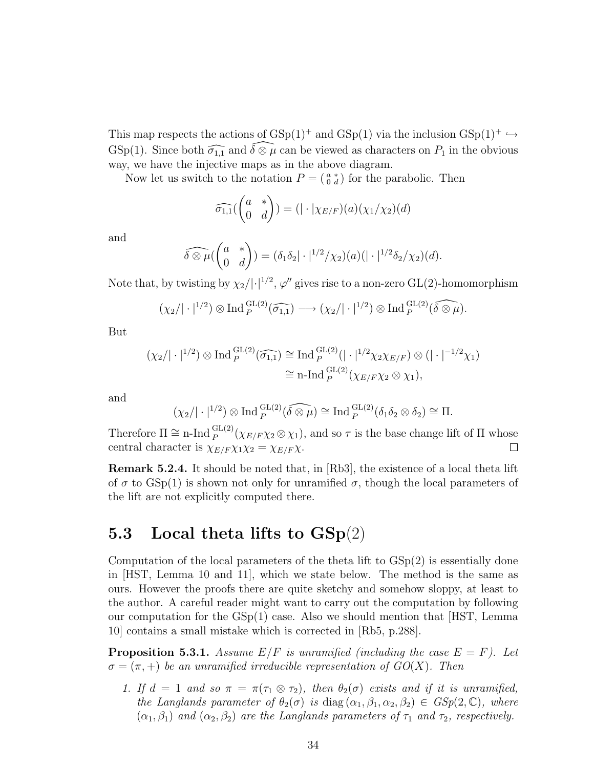This map respects the actions of  $GSp(1)^+$  and  $GSp(1)$  via the inclusion  $GSp(1)^+ \hookrightarrow$ GSp(1). Since both  $\widehat{\sigma_{1,1}}$  and  $\widehat{\delta\otimes\mu}$  can be viewed as characters on  $P_1$  in the obvious way, we have the injective maps as in the above diagram.

Now let us switch to the notation  $P = \begin{pmatrix} a & * \\ 0 & d \end{pmatrix}$  for the parabolic. Then

$$
\widehat{\sigma_{1,1}}\begin{pmatrix} a & * \\ 0 & d \end{pmatrix} = (|\cdot|\chi_{E/F})(a)(\chi_1/\chi_2)(d)
$$

and

$$
\widehat{\delta\otimes\mu}(\begin{pmatrix} a & * \\ 0 & d \end{pmatrix}) = (\delta_1\delta_2|\cdot|^{1/2}/\chi_2)(a)(|\cdot|^{1/2}\delta_2/\chi_2)(d).
$$

Note that, by twisting by  $\chi_2/|\cdot|^{1/2}$ ,  $\varphi''$  gives rise to a non-zero GL(2)-homomorphism

$$
(\chi_2/\vert \cdot \vert^{1/2}) \otimes \text{Ind}_{P}^{\text{GL}(2)}(\widehat{\sigma_{1,1}}) \longrightarrow (\chi_2/\vert \cdot \vert^{1/2}) \otimes \text{Ind}_{P}^{\text{GL}(2)}(\widehat{\delta \otimes \mu}).
$$

But

$$
(\chi_2/|\cdot|^{1/2}) \otimes \operatorname{Ind}_{P}^{\operatorname{GL}(2)}(\widehat{\sigma_{1,1}}) \cong \operatorname{Ind}_{P}^{\operatorname{GL}(2)}(|\cdot|^{1/2}\chi_2\chi_{E/F}) \otimes (|\cdot|^{-1/2}\chi_1)
$$

$$
\cong \operatorname{n-Ind}_{P}^{\operatorname{GL}(2)}(\chi_{E/F}\chi_2 \otimes \chi_1),
$$

and

$$
(\chi_2/|\cdot|^{1/2}) \otimes \text{Ind}_{P}^{\text{GL}(2)}(\widehat{\delta \otimes \mu}) \cong \text{Ind}_{P}^{\text{GL}(2)}(\delta_1 \delta_2 \otimes \delta_2) \cong \Pi.
$$

Therefore  $\Pi \cong \text{n-Ind}_{P}^{\text{GL}(2)}(\chi_{E/F} \chi_2 \otimes \chi_1)$ , and so  $\tau$  is the base change lift of  $\Pi$  whose central character is  $\chi_{E/F} \chi_1 \chi_2 = \chi_{E/F} \chi$ .  $\Box$ 

Remark 5.2.4. It should be noted that, in [Rb3], the existence of a local theta lift of  $\sigma$  to GSp(1) is shown not only for unramified  $\sigma$ , though the local parameters of the lift are not explicitly computed there.

### 5.3 Local theta lifts to  $\text{GSp}(2)$

Computation of the local parameters of the theta lift to  $GSp(2)$  is essentially done in [HST, Lemma 10 and 11], which we state below. The method is the same as ours. However the proofs there are quite sketchy and somehow sloppy, at least to the author. A careful reader might want to carry out the computation by following our computation for the GSp(1) case. Also we should mention that [HST, Lemma 10] contains a small mistake which is corrected in [Rb5, p.288].

**Proposition 5.3.1.** Assume  $E/F$  is unramified (including the case  $E = F$ ). Let  $\sigma = (\pi, +)$  be an unramified irreducible representation of  $GO(X)$ . Then

1. If  $d = 1$  and so  $\pi = \pi(\tau_1 \otimes \tau_2)$ , then  $\theta_2(\sigma)$  exists and if it is unramified, the Langlands parameter of  $\theta_2(\sigma)$  is diag  $(\alpha_1, \beta_1, \alpha_2, \beta_2) \in GSp(2, \mathbb{C})$ , where  $(\alpha_1, \beta_1)$  and  $(\alpha_2, \beta_2)$  are the Langlands parameters of  $\tau_1$  and  $\tau_2$ , respectively.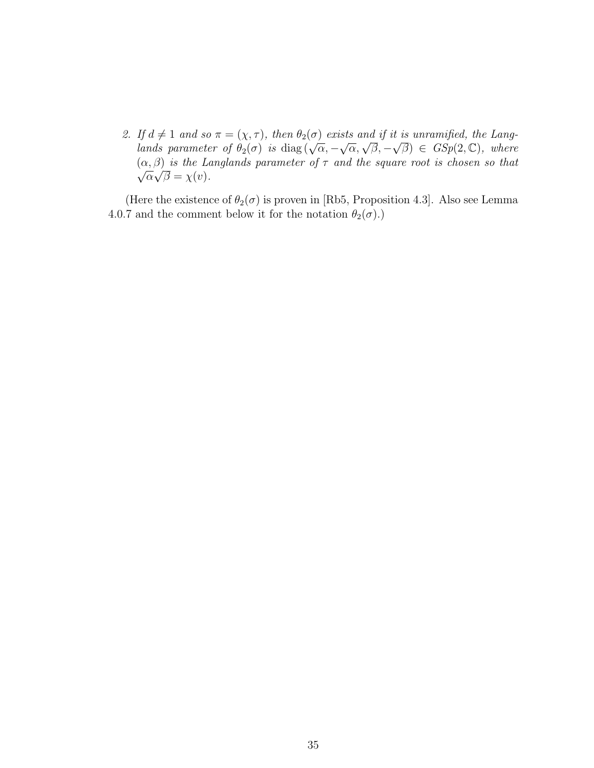2. If  $d \neq 1$  and so  $\pi = (\chi, \tau)$ , then  $\theta_2(\sigma)$  exists and if it is unramified, the Lang- $\lim_{\alpha \to \infty} a \neq 1$  and so  $\pi = (\chi, \tau)$ , then  $\sigma_2(\sigma)$  exists and y it is antamyted, the Lang-<br>lands parameter of  $\theta_2(\sigma)$  is  $\text{diag}(\sqrt{\alpha}, -\sqrt{\alpha}, \sqrt{\beta}, -\sqrt{\beta}) \in GSp(2, \mathbb{C})$ , where  $(\alpha, \beta)$  is the Langlands parameter of  $\tau$  and the square root is chosen so that  $\overline{\alpha}\sqrt{\beta}=\chi(v).$ 

(Here the existence of  $\theta_2(\sigma)$  is proven in [Rb5, Proposition 4.3]. Also see Lemma 4.0.7 and the comment below it for the notation  $\theta_2(\sigma)$ .)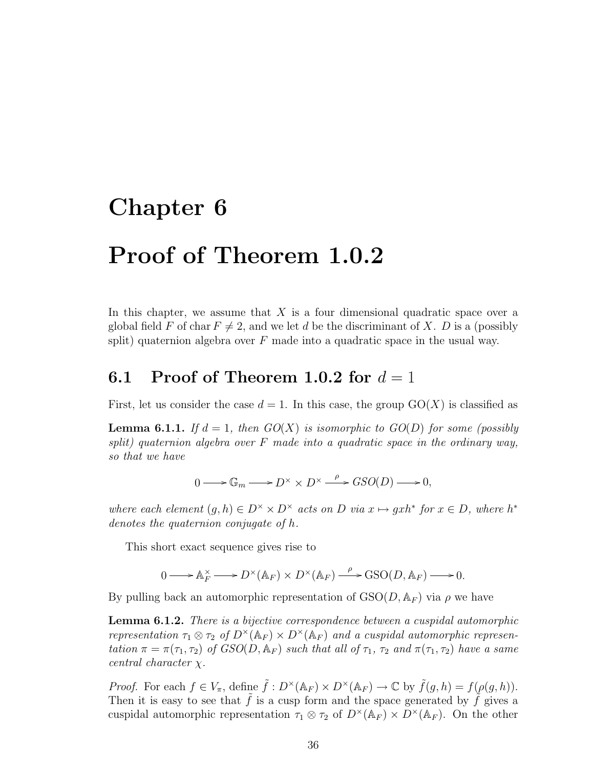### Chapter 6

# Proof of Theorem 1.0.2

In this chapter, we assume that  $X$  is a four dimensional quadratic space over a global field F of char  $F \neq 2$ , and we let d be the discriminant of X. D is a (possibly split) quaternion algebra over  $F$  made into a quadratic space in the usual way.

#### 6.1 Proof of Theorem 1.0.2 for  $d=1$

First, let us consider the case  $d = 1$ . In this case, the group  $GO(X)$  is classified as

**Lemma 6.1.1.** If  $d = 1$ , then  $GO(X)$  is isomorphic to  $GO(D)$  for some (possibly split) quaternion algebra over  $F$  made into a quadratic space in the ordinary way, so that we have

$$
0 \longrightarrow \mathbb{G}_m \longrightarrow D^{\times} \times D^{\times} \stackrel{\rho}{\longrightarrow} GSO(D) \longrightarrow 0,
$$

where each element  $(g, h) \in D^{\times} \times D^{\times}$  acts on D via  $x \mapsto gxh^*$  for  $x \in D$ , where  $h^*$ denotes the quaternion conjugate of h.

This short exact sequence gives rise to

$$
0 \longrightarrow A_F^{\times} \longrightarrow D^{\times}(\mathbb{A}_F) \times D^{\times}(\mathbb{A}_F) \xrightarrow{\rho} \text{GSO}(D, \mathbb{A}_F) \longrightarrow 0.
$$

By pulling back an automorphic representation of  $GSO(D, A_F)$  via  $\rho$  we have

**Lemma 6.1.2.** There is a bijective correspondence between a cuspidal automorphic representation  $\tau_1 \otimes \tau_2$  of  $D^{\times}(\mathbb{A}_F) \times D^{\times}(\mathbb{A}_F)$  and a cuspidal automorphic representation  $\pi = \pi(\tau_1, \tau_2)$  of  $GSO(D, \mathbb{A}_F)$  such that all of  $\tau_1$ ,  $\tau_2$  and  $\pi(\tau_1, \tau_2)$  have a same central character χ.

*Proof.* For each  $f \in V_{\pi}$ , define  $\tilde{f}: D^{\times}(\mathbb{A}_F) \times D^{\times}(\mathbb{A}_F) \to \mathbb{C}$  by  $\tilde{f}(g, h) = f(\rho(g, h)).$ Then it is easy to see that  $\tilde{f}$  is a cusp form and the space generated by  $\tilde{f}$  gives a cuspidal automorphic representation  $\tau_1 \otimes \tau_2$  of  $D^{\times}(\mathbb{A}_F) \times D^{\times}(\mathbb{A}_F)$ . On the other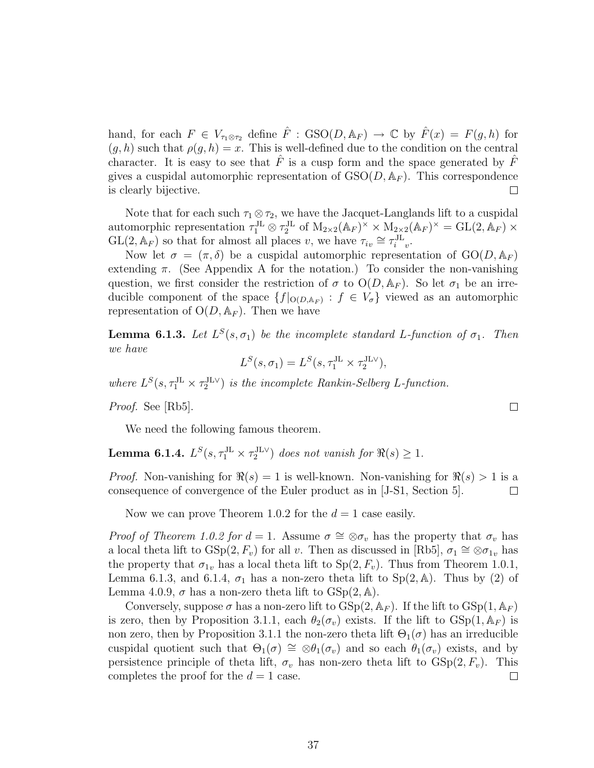hand, for each  $F \in V_{\tau_1 \otimes \tau_2}$  define  $\hat{F}$ :  $\text{GSO}(D, \mathbb{A}_F) \to \mathbb{C}$  by  $\hat{F}(x) = F(g, h)$  for  $(g, h)$  such that  $\rho(g, h) = x$ . This is well-defined due to the condition on the central character. It is easy to see that  $\hat{F}$  is a cusp form and the space generated by  $\hat{F}$ gives a cuspidal automorphic representation of  $GSO(D, A_F)$ . This correspondence is clearly bijective.  $\Box$ 

Note that for each such  $\tau_1 \otimes \tau_2$ , we have the Jacquet-Langlands lift to a cuspidal automorphic representation  $\tau_1^{JL} \otimes \tau_2^{JL}$  of  $M_{2\times 2}(\mathbb{A}_F)^{\times} \times M_{2\times 2}(\mathbb{A}_F)^{\times} = GL(2, \mathbb{A}_F) \times$  $GL(2, \mathbb{A}_F)$  so that for almost all places v, we have  $\tau_{iv} \cong \tau_{i}^{\text{JL}}$ .

Now let  $\sigma = (\pi, \delta)$  be a cuspidal automorphic representation of  $GO(D, A_F)$ extending  $\pi$ . (See Appendix A for the notation.) To consider the non-vanishing question, we first consider the restriction of  $\sigma$  to  $O(D, A_F)$ . So let  $\sigma_1$  be an irreducible component of the space  $\{f|_{O(D, A_F)} : f \in V_{\sigma}\}\$  viewed as an automorphic representation of  $O(D, A_F)$ . Then we have

**Lemma 6.1.3.** Let  $L^{S}(s, \sigma_1)$  be the incomplete standard L-function of  $\sigma_1$ . Then we have

$$
L^S(s, \sigma_1) = L^S(s, \tau_1^{\text{JL}} \times \tau_2^{\text{JLV}}),
$$

where  $L^{S}(s, \tau_1^{\text{JL}} \times \tau_2^{\text{JL}})$  is the incomplete Rankin-Selberg L-function.

Proof. See [Rb5].

We need the following famous theorem.

**Lemma 6.1.4.**  $L^S(s, \tau_1^{\text{JL}} \times \tau_2^{\text{JL}})$  does not vanish for  $\Re(s) \geq 1$ .

*Proof.* Non-vanishing for  $\Re(s) = 1$  is well-known. Non-vanishing for  $\Re(s) > 1$  is a consequence of convergence of the Euler product as in [J-S1, Section 5].  $\Box$ 

Now we can prove Theorem 1.0.2 for the  $d = 1$  case easily.

*Proof of Theorem 1.0.2 for d* = 1. Assume  $\sigma \cong \otimes \sigma_v$  has the property that  $\sigma_v$  has a local theta lift to  $GSp(2, F_v)$  for all v. Then as discussed in [Rb5],  $\sigma_1 \cong \otimes \sigma_{1v}$  has the property that  $\sigma_{1v}$  has a local theta lift to  $Sp(2, F_v)$ . Thus from Theorem 1.0.1, Lemma 6.1.3, and 6.1.4,  $\sigma_1$  has a non-zero theta lift to Sp(2, A). Thus by (2) of Lemma 4.0.9,  $\sigma$  has a non-zero theta lift to  $GSp(2, A)$ .

Conversely, suppose  $\sigma$  has a non-zero lift to  $GSp(2,\mathbb{A}_F)$ . If the lift to  $GSp(1,\mathbb{A}_F)$ is zero, then by Proposition 3.1.1, each  $\theta_2(\sigma_v)$  exists. If the lift to  $GSp(1,\mathbb{A}_F)$  is non zero, then by Proposition 3.1.1 the non-zero theta lift  $\Theta_1(\sigma)$  has an irreducible cuspidal quotient such that  $\Theta_1(\sigma) \cong \otimes \theta_1(\sigma_v)$  and so each  $\theta_1(\sigma_v)$  exists, and by persistence principle of theta lift,  $\sigma_v$  has non-zero theta lift to  $GSp(2, F_v)$ . This completes the proof for the  $d = 1$  case.  $\Box$ 

 $\Box$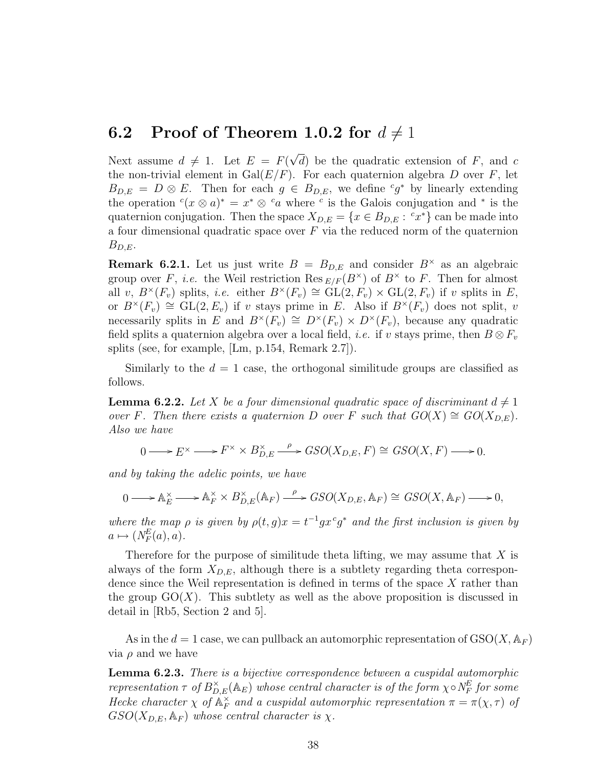#### 6.2 Proof of Theorem 1.0.2 for  $d \neq 1$

Next assume  $d \neq 1$ . Let  $E = F(q)$ √ d) be the quadratic extension of  $F$ , and  $c$ the non-trivial element in  $Gal(E/F)$ . For each quaternion algebra D over F, let  $B_{D,E} = D \otimes E$ . Then for each  $g \in B_{D,E}$ , we define  ${}^c g^*$  by linearly extending the operation  $c(x \otimes a)^* = x^* \otimes c_a$  where c is the Galois conjugation and \* is the quaternion conjugation. Then the space  $X_{D,E} = \{x \in B_{D,E} : c x^*\}$  can be made into a four dimensional quadratic space over  $F$  via the reduced norm of the quaternion  $B_{D.E}.$ 

**Remark 6.2.1.** Let us just write  $B = B_{D,E}$  and consider  $B^{\times}$  as an algebraic group over F, *i.e.* the Weil restriction Res  $_{E/F}(B^{\times})$  of  $B^{\times}$  to F. Then for almost all v,  $B^{\times}(F_v)$  splits, *i.e.* either  $B^{\times}(F_v) \cong GL(2, F_v) \times GL(2, F_v)$  if v splits in E, or  $B^{\times}(F_v) \cong GL(2, E_v)$  if v stays prime in E. Also if  $B^{\times}(F_v)$  does not split, v necessarily splits in E and  $B^{\times}(F_v) \cong D^{\times}(F_v) \times D^{\times}(F_v)$ , because any quadratic field splits a quaternion algebra over a local field, *i.e.* if v stays prime, then  $B \otimes F_v$ splits (see, for example, [Lm, p.154, Remark 2.7]).

Similarly to the  $d = 1$  case, the orthogonal similitude groups are classified as follows.

**Lemma 6.2.2.** Let X be a four dimensional quadratic space of discriminant  $d \neq 1$ over F. Then there exists a quaternion D over F such that  $GO(X) \cong GO(X_{D,F})$ . Also we have

 $0 \longrightarrow E^{\times} \longrightarrow F^{\times} \times B_{D}^{\times}$  $_{D,E}$  $\stackrel{\rho}{\longrightarrow} GSO(X_{D,E}, F) \cong GSO(X, F) \longrightarrow 0.$ 

and by taking the adelic points, we have

$$
0 \longrightarrow A_E^{\times} \longrightarrow A_F^{\times} \times B_{D,E}^{\times}(A_F) \longrightarrow GSO(X_{D,E}, A_F) \cong GSO(X, A_F) \longrightarrow 0,
$$

where the map  $\rho$  is given by  $\rho(t,g)x = t^{-1}gx^c g^*$  and the first inclusion is given by  $a \mapsto (N_F^E(a), a).$ 

Therefore for the purpose of similitude theta lifting, we may assume that  $X$  is always of the form  $X_{D,E}$ , although there is a subtlety regarding theta correspondence since the Weil representation is defined in terms of the space  $X$  rather than the group  $GO(X)$ . This subtlety as well as the above proposition is discussed in detail in [Rb5, Section 2 and 5].

As in the  $d = 1$  case, we can pullback an automorphic representation of  $\text{GSO}(X, \mathbb{A}_F)$ via  $\rho$  and we have

Lemma 6.2.3. There is a bijective correspondence between a cuspidal automorphic representation  $\tau$  of  $B_{D,E}^{\times}(\mathbb{A}_E)$  whose central character is of the form  $\chi \circ N_F^E$  for some Hecke character  $\chi$  of  $\mathbb{A}_F^{\times}$  $_{F}^{\times}$  and a cuspidal automorphic representation  $\pi=\pi(\chi,\tau)$  of  $GSO(X_{D,E}, \mathbb{A}_F)$  whose central character is  $\chi$ .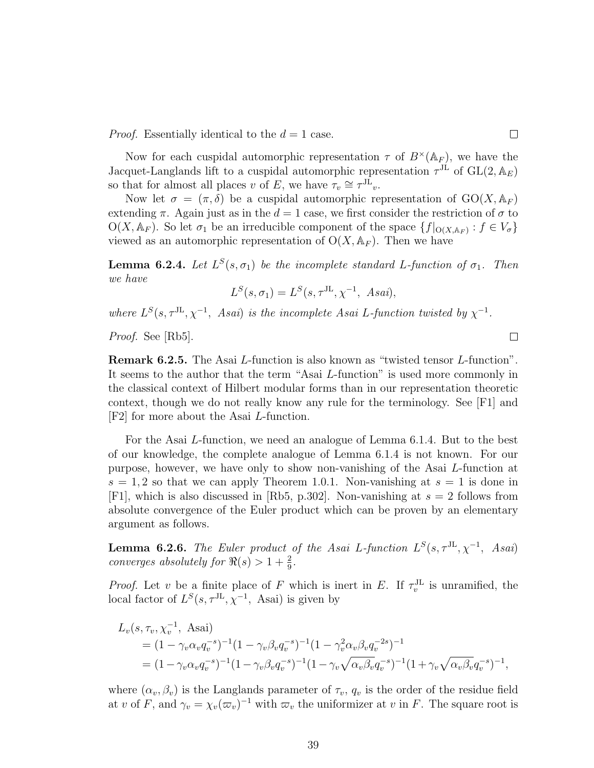*Proof.* Essentially identical to the  $d = 1$  case.

Now for each cuspidal automorphic representation  $\tau$  of  $B^{\times}(\mathbb{A}_F)$ , we have the Jacquet-Langlands lift to a cuspidal automorphic representation  $\tau^{J\dot{L}}$  of  $GL(2, \mathbb{A}_E)$ so that for almost all places v of E, we have  $\tau_v \cong \tau^{J\tilde{L}}_v$ .

Now let  $\sigma = (\pi, \delta)$  be a cuspidal automorphic representation of  $GO(X, \mathbb{A}_F)$ extending  $\pi$ . Again just as in the  $d = 1$  case, we first consider the restriction of  $\sigma$  to  $O(X, \mathbb{A}_F)$ . So let  $\sigma_1$  be an irreducible component of the space  $\{f|_{O(X, \mathbb{A}_F)} : f \in V_{\sigma}\}\$ viewed as an automorphic representation of  $O(X, A_F)$ . Then we have

**Lemma 6.2.4.** Let  $L^{S}(s, \sigma_1)$  be the incomplete standard L-function of  $\sigma_1$ . Then we have

$$
L^S(s, \sigma_1) = L^S(s, \tau^{\text{JL}}, \chi^{-1}, \text{ Asai}),
$$

where  $L^{S}(s, \tau^{\text{JL}}, \chi^{-1},$  Asai) is the incomplete Asai L-function twisted by  $\chi^{-1}$ .

Proof. See [Rb5].

Remark 6.2.5. The Asai L-function is also known as "twisted tensor L-function". It seems to the author that the term "Asai L-function" is used more commonly in the classical context of Hilbert modular forms than in our representation theoretic context, though we do not really know any rule for the terminology. See [F1] and [F2] for more about the Asai L-function.

For the Asai L-function, we need an analogue of Lemma 6.1.4. But to the best of our knowledge, the complete analogue of Lemma 6.1.4 is not known. For our purpose, however, we have only to show non-vanishing of the Asai L-function at  $s = 1, 2$  so that we can apply Theorem 1.0.1. Non-vanishing at  $s = 1$  is done in [F1], which is also discussed in [Rb5, p.302]. Non-vanishing at  $s = 2$  follows from absolute convergence of the Euler product which can be proven by an elementary argument as follows.

**Lemma 6.2.6.** The Euler product of the Asai L-function  $L^{S}(s, \tau^{JL}, \chi^{-1}, A \text{sat})$ converges absolutely for  $\Re(s) > 1 + \frac{2}{9}$ .

*Proof.* Let v be a finite place of F which is inert in E. If  $\tau_v^{\text{JL}}$  is unramified, the local factor of  $L^S(s, \tau^{\text{JL}}, \chi^{-1}, \text{ Asai})$  is given by

$$
L_v(s, \tau_v, \chi_v^{-1}, \text{ Asai})
$$
  
=  $(1 - \gamma_v \alpha_v q_v^{-s})^{-1} (1 - \gamma_v \beta_v q_v^{-s})^{-1} (1 - \gamma_v^2 \alpha_v \beta_v q_v^{-2s})^{-1}$   
=  $(1 - \gamma_v \alpha_v q_v^{-s})^{-1} (1 - \gamma_v \beta_v q_v^{-s})^{-1} (1 - \gamma_v \sqrt{\alpha_v \beta_v} q_v^{-s})^{-1} (1 + \gamma_v \sqrt{\alpha_v \beta_v} q_v^{-s})^{-1},$ 

where  $(\alpha_v, \beta_v)$  is the Langlands parameter of  $\tau_v$ ,  $q_v$  is the order of the residue field at v of F, and  $\gamma_v = \chi_v(\varpi_v)^{-1}$  with  $\varpi_v$  the uniformizer at v in F. The square root is

 $\Box$ 

 $\Box$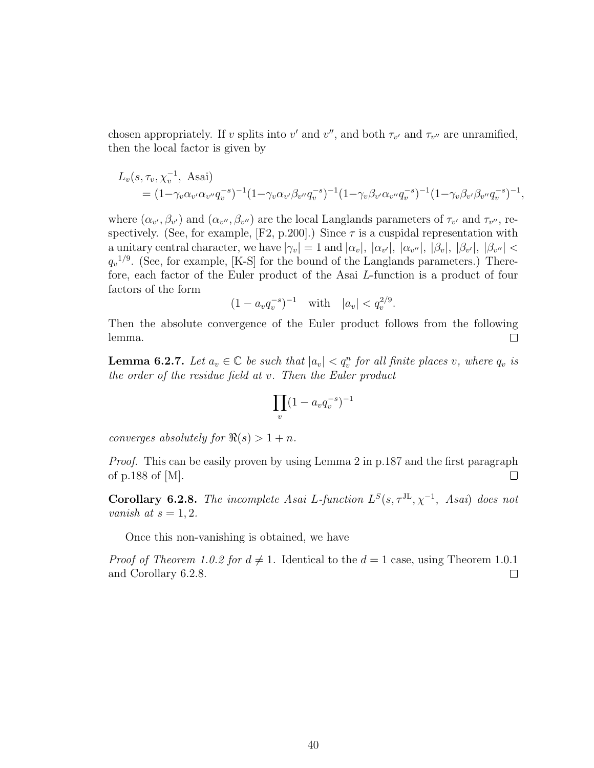chosen appropriately. If v splits into v' and v'', and both  $\tau_{v'}$  and  $\tau_{v''}$  are unramified, then the local factor is given by

$$
L_v(s, \tau_v, \chi_v^{-1}, \text{ Asai})
$$
  
=  $(1-\gamma_v \alpha_{v'} \alpha_{v''} q_v^{-s})^{-1} (1-\gamma_v \alpha_{v'} \beta_{v''} q_v^{-s})^{-1} (1-\gamma_v \beta_{v'} \alpha_{v''} q_v^{-s})^{-1} (1-\gamma_v \beta_{v'} \beta_{v''} q_v^{-s})^{-1},$ 

where  $(\alpha_{v'}, \beta_{v'})$  and  $(\alpha_{v''}, \beta_{v''})$  are the local Langlands parameters of  $\tau_{v'}$  and  $\tau_{v''}$ , respectively. (See, for example,  $[F2, p.200]$ .) Since  $\tau$  is a cuspidal representation with a unitary central character, we have  $|\gamma_v|=1$  and  $|\alpha_v|, |\alpha_{v'}|, |\alpha_{v''}|, |\beta_v|, |\beta_{v''}|, |\beta_{v''}| <$  $q_v^{1/9}$ . (See, for example, [K-S] for the bound of the Langlands parameters.) Therefore, each factor of the Euler product of the Asai L-function is a product of four factors of the form

$$
(1 - a_v q_v^{-s})^{-1} \quad \text{with} \quad |a_v| < q_v^{2/9}.
$$

Then the absolute convergence of the Euler product follows from the following lemma.  $\Box$ 

**Lemma 6.2.7.** Let  $a_v \in \mathbb{C}$  be such that  $|a_v| < q_v^n$  for all finite places v, where  $q_v$  is the order of the residue field at v. Then the Euler product

$$
\prod_v (1 - a_v q_v^{-s})^{-1}
$$

converges absolutely for  $\Re(s) > 1 + n$ .

Proof. This can be easily proven by using Lemma 2 in p.187 and the first paragraph of p.188 of [M].  $\Box$ 

**Corollary 6.2.8.** The incomplete Asai L-function  $L^{S}(s, \tau^{JL}, \chi^{-1}, A s a i)$  does not vanish at  $s = 1, 2$ .

Once this non-vanishing is obtained, we have

*Proof of Theorem 1.0.2 for*  $d \neq 1$ *.* Identical to the  $d = 1$  case, using Theorem 1.0.1 and Corollary 6.2.8.  $\Box$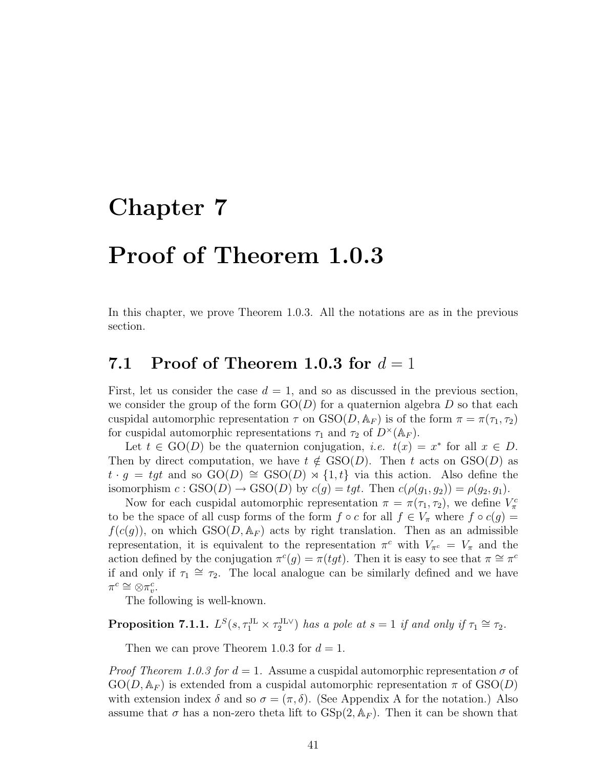# Chapter 7

### Proof of Theorem 1.0.3

In this chapter, we prove Theorem 1.0.3. All the notations are as in the previous section.

#### 7.1 Proof of Theorem 1.0.3 for  $d=1$

First, let us consider the case  $d = 1$ , and so as discussed in the previous section, we consider the group of the form  $GO(D)$  for a quaternion algebra D so that each cuspidal automorphic representation  $\tau$  on  $GSO(D, A_F)$  is of the form  $\pi = \pi(\tau_1, \tau_2)$ for cuspidal automorphic representations  $\tau_1$  and  $\tau_2$  of  $D^{\times}(\mathbb{A}_F)$ .

Let  $t \in GO(D)$  be the quaternion conjugation, *i.e.*  $t(x) = x^*$  for all  $x \in D$ . Then by direct computation, we have  $t \notin \text{GSO}(D)$ . Then t acts on  $\text{GSO}(D)$  as  $t \cdot g = tgt$  and so  $GO(D) \cong GSO(D) \rtimes \{1, t\}$  via this action. Also define the isomorphism  $c : GSO(D) \to GSO(D)$  by  $c(g) = tgt$ . Then  $c(\rho(g_1, g_2)) = \rho(g_2, g_1)$ .

Now for each cuspidal automorphic representation  $\pi = \pi(\tau_1, \tau_2)$ , we define  $V^c_{\pi}$ to be the space of all cusp forms of the form  $f \circ c$  for all  $f \in V_\pi$  where  $f \circ c(g) =$  $f(c(g))$ , on which  $GSO(D, \mathbb{A}_F)$  acts by right translation. Then as an admissible representation, it is equivalent to the representation  $\pi^c$  with  $V_{\pi^c} = V_{\pi}$  and the action defined by the conjugation  $\pi^c(g) = \pi(tgt)$ . Then it is easy to see that  $\pi \cong \pi^c$ if and only if  $\tau_1 \cong \tau_2$ . The local analogue can be similarly defined and we have  $\pi^c \cong \otimes \pi_v^c$ .

The following is well-known.

**Proposition 7.1.1.**  $L^S(s, \tau_1^{\text{JL}} \times \tau_2^{\text{JL} \vee})$  has a pole at  $s = 1$  if and only if  $\tau_1 \cong \tau_2$ .

Then we can prove Theorem 1.0.3 for  $d = 1$ .

*Proof Theorem 1.0.3 for d = 1.* Assume a cuspidal automorphic representation  $\sigma$  of  $GO(D, \mathbb{A}_F)$  is extended from a cuspidal automorphic representation  $\pi$  of  $GSO(D)$ with extension index  $\delta$  and so  $\sigma = (\pi, \delta)$ . (See Appendix A for the notation.) Also assume that  $\sigma$  has a non-zero theta lift to  $GSp(2, \mathbb{A}_F)$ . Then it can be shown that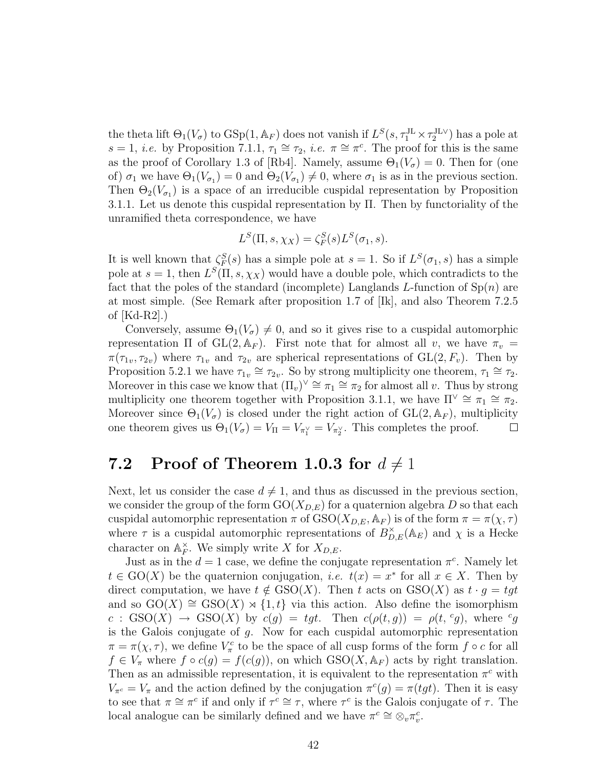the theta lift  $\Theta_1(V_\sigma)$  to  $GSp(1, \mathbb{A}_F)$  does not vanish if  $L^S(s, \tau_1^{\text{JL}} \times \tau_2^{\text{JL}})$  has a pole at  $s = 1$ , *i.e.* by Proposition 7.1.1,  $\tau_1 \cong \tau_2$ , *i.e.*  $\pi \cong \pi^c$ . The proof for this is the same as the proof of Corollary 1.3 of [Rb4]. Namely, assume  $\Theta_1(V_\sigma) = 0$ . Then for (one of)  $\sigma_1$  we have  $\Theta_1(V_{\sigma_1})=0$  and  $\Theta_2(V_{\sigma_1})\neq 0$ , where  $\sigma_1$  is as in the previous section. Then  $\Theta_2(V_{\sigma_1})$  is a space of an irreducible cuspidal representation by Proposition 3.1.1. Let us denote this cuspidal representation by Π. Then by functoriality of the unramified theta correspondence, we have

$$
L^{S}(\Pi, s, \chi_X) = \zeta_F^{S}(s)L^{S}(\sigma_1, s).
$$

It is well known that  $\zeta_F^S(s)$  has a simple pole at  $s=1$ . So if  $L^S(\sigma_1, s)$  has a simple pole at  $s = 1$ , then  $L^{S}(\Pi, s, \chi_X)$  would have a double pole, which contradicts to the fact that the poles of the standard (incomplete) Langlands L-function of  $\text{Sp}(n)$  are at most simple. (See Remark after proposition 1.7 of [Ik], and also Theorem 7.2.5 of [Kd-R2].)

Conversely, assume  $\Theta_1(V_{\sigma}) \neq 0$ , and so it gives rise to a cuspidal automorphic representation  $\Pi$  of  $GL(2, \mathbb{A}_F)$ . First note that for almost all v, we have  $\pi_v =$  $\pi(\tau_{1v}, \tau_{2v})$  where  $\tau_{1v}$  and  $\tau_{2v}$  are spherical representations of  $GL(2, F_v)$ . Then by Proposition 5.2.1 we have  $\tau_{1v} \cong \tau_{2v}$ . So by strong multiplicity one theorem,  $\tau_1 \cong \tau_2$ . Moreover in this case we know that  $(\Pi_v)^\vee \cong \pi_1 \cong \pi_2$  for almost all v. Thus by strong multiplicity one theorem together with Proposition 3.1.1, we have  $\Pi^{\vee} \cong \pi_1 \cong \pi_2$ . Moreover since  $\Theta_1(V_{\sigma})$  is closed under the right action of  $GL(2, \mathbb{A}_F)$ , multiplicity one theorem gives us  $\Theta_1(V_\sigma) = V_\Pi = V_{\pi_1^\vee} = V_{\pi_2^\vee}$ . This completes the proof.  $\Box$ 

### 7.2 Proof of Theorem 1.0.3 for  $d \neq 1$

Next, let us consider the case  $d \neq 1$ , and thus as discussed in the previous section, we consider the group of the form  $GO(X_{D,E})$  for a quaternion algebra D so that each cuspidal automorphic representation  $\pi$  of  $GSO(X_{D,E}, \mathbb{A}_F)$  is of the form  $\pi = \pi(\chi, \tau)$ where  $\tau$  is a cuspidal automorphic representations of  $B_{D,E}^{\times}(\mathbb{A}_E)$  and  $\chi$  is a Hecke character on  $\mathbb{A}_F^{\times}$  $_{F}^{\times}$ . We simply write X for  $X_{D,E}$ .

Just as in the  $d = 1$  case, we define the conjugate representation  $\pi^c$ . Namely let  $t \in \text{GO}(X)$  be the quaternion conjugation, *i.e.*  $t(x) = x^*$  for all  $x \in X$ . Then by direct computation, we have  $t \notin GSO(X)$ . Then t acts on  $GSO(X)$  as  $t \cdot g = tgt$ and so  $GO(X) \cong GSO(X) \rtimes \{1,t\}$  via this action. Also define the isomorphism  $c : GSO(X) \rightarrow GSO(X)$  by  $c(g) = tgt$ . Then  $c(\rho(t,g)) = \rho(t, g)$ , where  $g$ is the Galois conjugate of  $g$ . Now for each cuspidal automorphic representation  $\pi = \pi(\chi, \tau)$ , we define  $V_{\pi}^{c}$  to be the space of all cusp forms of the form  $f \circ c$  for all  $f \in V_{\pi}$  where  $f \circ c(g) = f(c(g))$ , on which  $GSO(X, \mathbb{A}_F)$  acts by right translation. Then as an admissible representation, it is equivalent to the representation  $\pi^c$  with  $V_{\pi^c} = V_{\pi}$  and the action defined by the conjugation  $\pi^c(g) = \pi(tgt)$ . Then it is easy to see that  $\pi \cong \pi^c$  if and only if  $\tau^c \cong \tau$ , where  $\tau^c$  is the Galois conjugate of  $\tau$ . The local analogue can be similarly defined and we have  $\pi^c \cong \otimes_v \pi_v^c$ .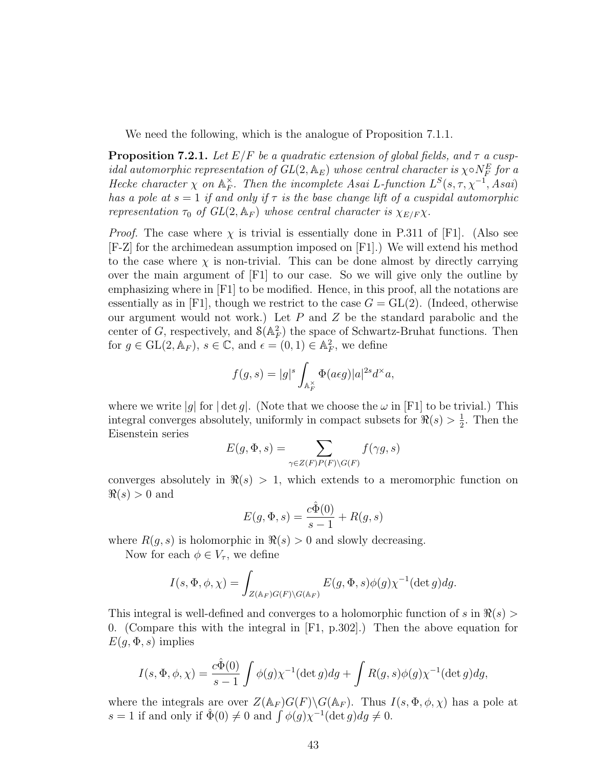We need the following, which is the analogue of Proposition 7.1.1.

**Proposition 7.2.1.** Let  $E/F$  be a quadratic extension of global fields, and  $\tau$  a cuspidal automorphic representation of  $GL(2,\mathbb{A}_E)$  whose central character is  $\chi \circ N_F^E$  for a Hecke character  $\chi$  on  $\mathbb{A}_F^{\times}$  $E_F^{\times}$ . Then the incomplete Asai L-function  $L^S(s, \tau, \chi^{-1}, Asai)$ has a pole at  $s = 1$  if and only if  $\tau$  is the base change lift of a cuspidal automorphic representation  $\tau_0$  of  $GL(2, \mathbb{A}_F)$  whose central character is  $\chi_{E/F} \chi$ .

*Proof.* The case where  $\chi$  is trivial is essentially done in P.311 of [F1]. (Also see [F-Z] for the archimedean assumption imposed on [F1].) We will extend his method to the case where  $\chi$  is non-trivial. This can be done almost by directly carrying over the main argument of [F1] to our case. So we will give only the outline by emphasizing where in [F1] to be modified. Hence, in this proof, all the notations are essentially as in [F1], though we restrict to the case  $G = GL(2)$ . (Indeed, otherwise our argument would not work.) Let  $P$  and  $Z$  be the standard parabolic and the center of G, respectively, and  $\mathcal{S}(\mathbb{A}_F^2)$  the space of Schwartz-Bruhat functions. Then for  $g \in GL(2, \mathbb{A}_F)$ ,  $s \in \mathbb{C}$ , and  $\epsilon = (0, 1) \in \mathbb{A}_F^2$ , we define

$$
f(g,s) = |g|^s \int_{\mathbb{A}_F^\times} \Phi(a\epsilon g) |a|^{2s} d^\times a,
$$

where we write |q| for | det q|. (Note that we choose the  $\omega$  in [F1] to be trivial.) This integral converges absolutely, uniformly in compact subsets for  $\Re(s) > \frac{1}{2}$  $\frac{1}{2}$ . Then the Eisenstein series

$$
E(g, \Phi, s) = \sum_{\gamma \in Z(F)P(F)\backslash G(F)} f(\gamma g, s)
$$

converges absolutely in  $\Re(s) > 1$ , which extends to a meromorphic function on  $\Re(s) > 0$  and

$$
E(g, \Phi, s) = \frac{c\hat{\Phi}(0)}{s-1} + R(g, s)
$$

where  $R(g, s)$  is holomorphic in  $\Re(s) > 0$  and slowly decreasing.

Now for each  $\phi \in V_{\tau}$ , we define

$$
I(s, \Phi, \phi, \chi) = \int_{Z(\mathbb{A}_F)G(F)\backslash G(\mathbb{A}_F)} E(g, \Phi, s)\phi(g)\chi^{-1}(\det g)dg.
$$

This integral is well-defined and converges to a holomorphic function of s in  $\Re(s)$ 0. (Compare this with the integral in [F1, p.302].) Then the above equation for  $E(q, \Phi, s)$  implies

$$
I(s, \Phi, \phi, \chi) = \frac{c\hat{\Phi}(0)}{s-1} \int \phi(g) \chi^{-1}(\det g) dg + \int R(g, s)\phi(g) \chi^{-1}(\det g) dg,
$$

where the integrals are over  $Z(\mathbb{A}_F)G(F)\backslash G(\mathbb{A}_F)$ . Thus  $I(s, \Phi, \phi, \chi)$  has a pole at s = 1 if and only if  $\hat{\Phi}(0) \neq 0$  and  $\int \phi(g) \chi^{-1}(\det g) dg \neq 0$ .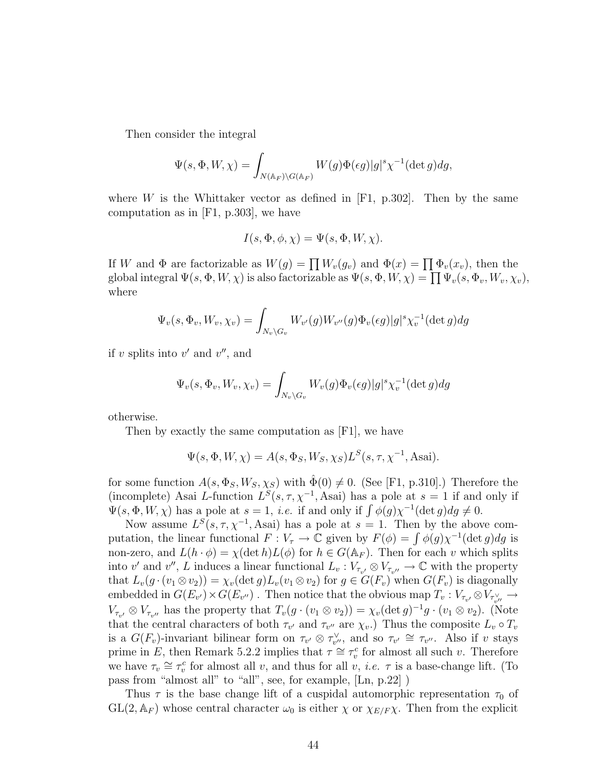Then consider the integral

$$
\Psi(s, \Phi, W, \chi) = \int_{N(\mathbb{A}_F)\backslash G(\mathbb{A}_F)} W(g) \Phi(\epsilon g) |g|^s \chi^{-1}(\det g) dg,
$$

where W is the Whittaker vector as defined in  $[F1, p.302]$ . Then by the same computation as in [F1, p.303], we have

$$
I(s, \Phi, \phi, \chi) = \Psi(s, \Phi, W, \chi).
$$

If W and  $\Phi$  are factorizable as  $W(g) = \prod W_v(g_v)$  and  $\Phi(x) = \prod \Phi_v(x_v)$ , then the global integral  $\Psi(s, \Phi, W, \chi)$  is also factorizable as  $\Psi(s, \Phi, W, \chi) = \prod \Psi_v(s, \Phi_v, W_v, \chi_v)$ , where

$$
\Psi_v(s, \Phi_v, W_v, \chi_v) = \int_{N_v \backslash G_v} W_{v'}(g) W_{v''}(g) \Phi_v(\epsilon g) |g|^s \chi_v^{-1}(\det g) dg
$$

if v splits into  $v'$  and  $v''$ , and

$$
\Psi_v(s, \Phi_v, W_v, \chi_v) = \int_{N_v \backslash G_v} W_v(g) \Phi_v(\epsilon g) |g|^s \chi_v^{-1}(\det g) dg
$$

otherwise.

Then by exactly the same computation as [F1], we have

$$
\Psi(s, \Phi, W, \chi) = A(s, \Phi_S, W_S, \chi_S) L^S(s, \tau, \chi^{-1}, \text{Asai}).
$$

for some function  $A(s, \Phi_S, W_S, \chi_S)$  with  $\hat{\Phi}(0) \neq 0$ . (See [F1, p.310].) Therefore the (incomplete) Asai L-function  $L^{S}(s, \tau, \chi^{-1}, A \text{sai})$  has a pole at  $s = 1$  if and only if  $\Psi(s, \Phi, W, \chi)$  has a pole at  $s = 1$ , *i.e.* if and only if  $\int \phi(g) \chi^{-1}(\det g) dg \neq 0$ .

Now assume  $L^{S}(s, \tau, \chi^{-1},$  Asai) has a pole at  $s = 1$ . Then by the above computation, the linear functional  $F: V_\tau \to \mathbb{C}$  given by  $F(\phi) = \int \phi(g) \chi^{-1}(\det g) dg$  is non-zero, and  $L(h \cdot \phi) = \chi(\det h)L(\phi)$  for  $h \in G(\mathbb{A}_F)$ . Then for each v which splits into v' and v'', L induces a linear functional  $L_v: V_{\tau_{v'}} \otimes V_{\tau_{v''}} \to \mathbb{C}$  with the property that  $L_v(g \cdot (v_1 \otimes v_2)) = \chi_v(\det g) L_v(v_1 \otimes v_2)$  for  $g \in G(F_v)$  when  $G(F_v)$  is diagonally embedded in  $G(E_{v'})\times G(E_{v''})$ . Then notice that the obvious map  $T_v:V_{\tau_{v'}}\otimes V_{\tau_{v''}^\vee}\to$  $V_{\tau_{v'}} \otimes V_{\tau_{v''}}$  has the property that  $T_v(g \cdot (v_1 \otimes v_2)) = \chi_v(\det g)^{-1} g \cdot (v_1 \otimes v_2)$ . (Note that the central characters of both  $\tau_{v'}$  and  $\tau_{v''}$  are  $\chi_{v}$ .) Thus the composite  $L_v \circ T_v$ is a  $G(F_v)$ -invariant bilinear form on  $\tau_{v'} \otimes \tau_{v''}^{\vee}$ , and so  $\tau_{v'} \cong \tau_{v''}$ . Also if v stays prime in E, then Remark 5.2.2 implies that  $\tau \cong \tau_v^c$  for almost all such v. Therefore we have  $\tau_v \cong \tau_v^c$  for almost all v, and thus for all v, *i.e.*  $\tau$  is a base-change lift. (To pass from "almost all" to "all", see, for example, [Ln, p.22] )

Thus  $\tau$  is the base change lift of a cuspidal automorphic representation  $\tau_0$  of  $GL(2, \mathbb{A}_F)$  whose central character  $\omega_0$  is either  $\chi$  or  $\chi_{E/F}\chi$ . Then from the explicit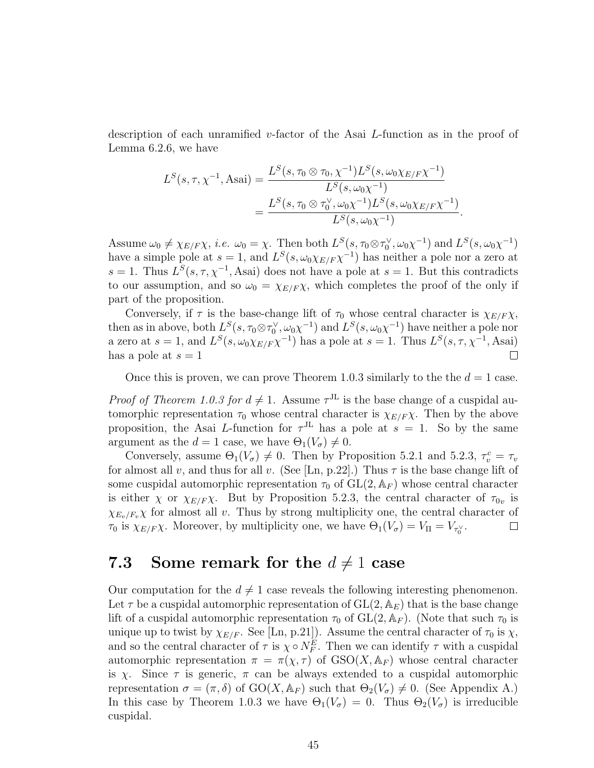description of each unramified v-factor of the Asai L-function as in the proof of Lemma 6.2.6, we have

$$
L^{S}(s, \tau, \chi^{-1}, \text{Asai}) = \frac{L^{S}(s, \tau_{0} \otimes \tau_{0}, \chi^{-1})L^{S}(s, \omega_{0}\chi_{E/F}\chi^{-1})}{L^{S}(s, \omega_{0}\chi^{-1})}
$$
  
= 
$$
\frac{L^{S}(s, \tau_{0} \otimes \tau_{0}^{\vee}, \omega_{0}\chi^{-1})L^{S}(s, \omega_{0}\chi_{E/F}\chi^{-1})}{L^{S}(s, \omega_{0}\chi^{-1})}.
$$

Assume  $\omega_0 \neq \chi_{E/F} \chi$ , *i.e.*  $\omega_0 = \chi$ . Then both  $L^S(s, \tau_0 \otimes \tau_0^{\vee}, \omega_0 \chi^{-1})$  and  $L^S(s, \omega_0 \chi^{-1})$ have a simple pole at  $s = 1$ , and  $L^{S}(s, \omega_0 \chi_{E/F} \chi^{-1})$  has neither a pole nor a zero at s = 1. Thus  $L^{S}(s, \tau, \chi^{-1},$  Asai) does not have a pole at s = 1. But this contradicts to our assumption, and so  $\omega_0 = \chi_{E/F} \chi$ , which completes the proof of the only if part of the proposition.

Conversely, if  $\tau$  is the base-change lift of  $\tau_0$  whose central character is  $\chi_{E/F} \chi$ , then as in above, both  $L^S(s, \tau_0 \otimes \tau_0^{\vee}, \omega_0 \chi^{-1})$  and  $L^S(s, \omega_0 \chi^{-1})$  have neither a pole nor a zero at  $s = 1$ , and  $L^{S}(s, \omega_0 \chi_{E/F} \chi^{-1})$  has a pole at  $s = 1$ . Thus  $L^{S}(s, \tau, \chi^{-1}, A \text{sai})$ has a pole at  $s = 1$  $\Box$ 

Once this is proven, we can prove Theorem 1.0.3 similarly to the the  $d = 1$  case.

*Proof of Theorem 1.0.3 for*  $d \neq 1$ *.* Assume  $\tau^{JL}$  is the base change of a cuspidal automorphic representation  $\tau_0$  whose central character is  $\chi_{E/F} \chi$ . Then by the above proposition, the Asai L-function for  $\tau^{JL}$  has a pole at  $s = 1$ . So by the same argument as the  $d = 1$  case, we have  $\Theta_1(V_\sigma) \neq 0$ .

Conversely, assume  $\Theta_1(V_{\sigma}) \neq 0$ . Then by Proposition 5.2.1 and 5.2.3,  $\tau_v^c = \tau_v$ for almost all v, and thus for all v. (See [Ln, p.22].) Thus  $\tau$  is the base change lift of some cuspidal automorphic representation  $\tau_0$  of  $GL(2, \mathbb{A}_F)$  whose central character is either  $\chi$  or  $\chi_{E/F} \chi$ . But by Proposition 5.2.3, the central character of  $\tau_{0v}$  is  $\chi_{E_v/F_v}\chi$  for almost all v. Thus by strong multiplicity one, the central character of  $\tau_0$  is  $\chi_{E/F} \chi$ . Moreover, by multiplicity one, we have  $\Theta_1(V_\sigma) = V_\Pi = V_{\tau_0} \chi$ .  $\Box$ 

#### 7.3 Some remark for the  $d \neq 1$  case

Our computation for the  $d \neq 1$  case reveals the following interesting phenomenon. Let  $\tau$  be a cuspidal automorphic representation of  $GL(2, \mathbb{A}_E)$  that is the base change lift of a cuspidal automorphic representation  $\tau_0$  of  $GL(2, \mathbb{A}_F)$ . (Note that such  $\tau_0$  is unique up to twist by  $\chi_{E/F}$ . See [Ln, p.21]). Assume the central character of  $\tau_0$  is  $\chi$ , and so the central character of  $\tau$  is  $\chi \circ N_F^E$ . Then we can identify  $\tau$  with a cuspidal automorphic representation  $\pi = \pi(\chi, \tau)$  of  $GSO(X, \mathbb{A}_F)$  whose central character is  $\chi$ . Since  $\tau$  is generic,  $\pi$  can be always extended to a cuspidal automorphic representation  $\sigma = (\pi, \delta)$  of GO(X,  $\mathbb{A}_F$ ) such that  $\Theta_2(V_\sigma) \neq 0$ . (See Appendix A.) In this case by Theorem 1.0.3 we have  $\Theta_1(V_{\sigma}) = 0$ . Thus  $\Theta_2(V_{\sigma})$  is irreducible cuspidal.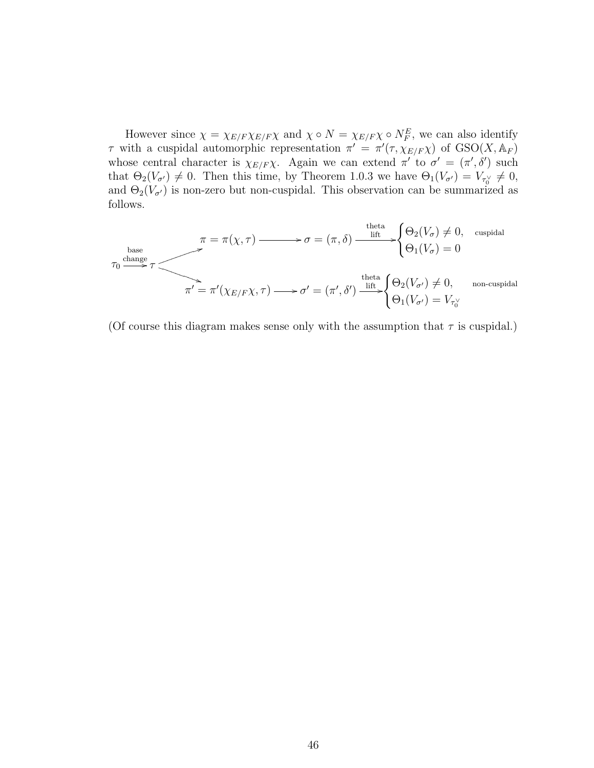However since  $\chi = \chi_{E/F} \chi_{E/F} \chi$  and  $\chi \circ N = \chi_{E/F} \chi \circ N_F^E$ , we can also identify τ with a cuspidal automorphic representation  $\pi' = \pi'(\tau, \chi_{E/F} \chi)$  of  $GSO(X, A_F)$ whose central character is  $\chi_{E/F}\chi$ . Again we can extend  $\pi'$  to  $\sigma' = (\pi', \delta')$  such that  $\Theta_2(V_{\sigma'}) \neq 0$ . Then this time, by Theorem 1.0.3 we have  $\Theta_1(V_{\sigma'}) = V_{\tau_0} \neq 0$ , and  $\Theta_2(V_{\sigma'})$  is non-zero but non-cuspidal. This observation can be summarized as follows.

$$
\pi = \pi(\chi, \tau) \longrightarrow \sigma = (\pi, \delta) \xrightarrow{\text{theta}} \begin{cases} \Theta_2(V_{\sigma}) \neq 0, & \text{cuspidal} \\ \Theta_1(V_{\sigma}) = 0 \end{cases}
$$
  

$$
\pi' = \pi'(\chi_{E/F}\chi, \tau) \longrightarrow \sigma' = (\pi', \delta') \xrightarrow{\text{theta}} \begin{cases} \Theta_2(V_{\sigma}) \neq 0, & \text{non-cuspidal} \\ \Theta_1(V_{\sigma'}) = V_{\tau_0} \end{cases}
$$

(Of course this diagram makes sense only with the assumption that  $\tau$  is cuspidal.)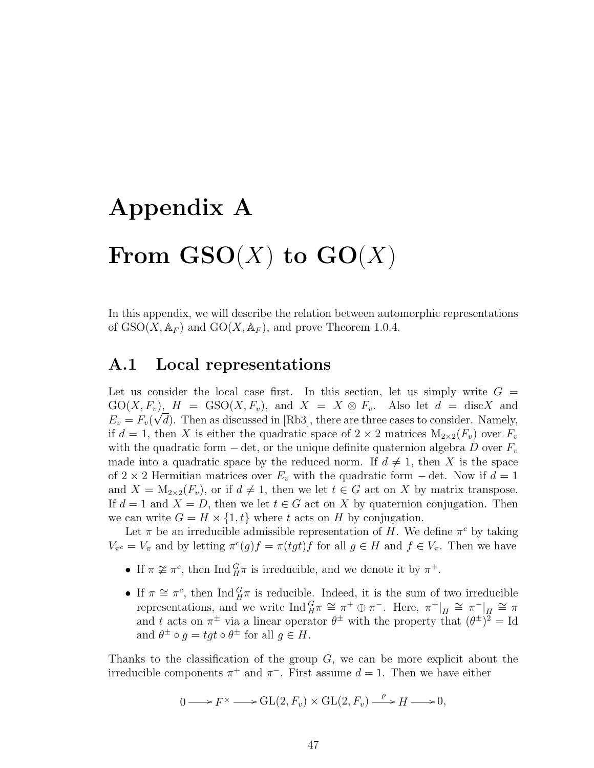# Appendix A From  $\mathbf{GSO}(X)$  to  $\mathbf{GO}(X)$

In this appendix, we will describe the relation between automorphic representations of  $GSO(X, \mathbb{A}_F)$  and  $GO(X, \mathbb{A}_F)$ , and prove Theorem 1.0.4.

#### A.1 Local representations

Let us consider the local case first. In this section, let us simply write  $G =$  $G_O(X, F_v)$ ,  $H = GSO(X, F_v)$ , and  $X = X \otimes F_v$ . Also let  $d = \text{disc}X$  and  $E_v = F_v(\sqrt{d})$ . Then as discussed in [Rb3], there are three cases to consider. Namely, if  $d = 1$ , then X is either the quadratic space of  $2 \times 2$  matrices  $M_{2 \times 2}(F_v)$  over  $F_v$ with the quadratic form  $-\det$ , or the unique definite quaternion algebra D over  $F_v$ made into a quadratic space by the reduced norm. If  $d \neq 1$ , then X is the space of 2 × 2 Hermitian matrices over  $E_v$  with the quadratic form – det. Now if  $d = 1$ and  $X = M_{2 \times 2}(F_v)$ , or if  $d \neq 1$ , then we let  $t \in G$  act on X by matrix transpose. If  $d = 1$  and  $X = D$ , then we let  $t \in G$  act on X by quaternion conjugation. Then we can write  $G = H \rtimes \{1, t\}$  where t acts on H by conjugation.

Let  $\pi$  be an irreducible admissible representation of H. We define  $\pi^c$  by taking  $V_{\pi^c} = V_{\pi}$  and by letting  $\pi^c(g)f = \pi(tgt)f$  for all  $g \in H$  and  $f \in V_{\pi}$ . Then we have

- If  $\pi \not\cong \pi^c$ , then  $\text{Ind}_{H}^G \pi$  is irreducible, and we denote it by  $\pi^+$ .
- If  $\pi \cong \pi^c$ , then  $\text{Ind}_{H}^G \pi$  is reducible. Indeed, it is the sum of two irreducible representations, and we write  $\text{Ind}_{H}^{G} \pi \cong \pi^{+} \oplus \pi^{-}$ . Here,  $\pi^{+}|_{H} \cong \pi^{-}|_{H} \cong \pi$ and t acts on  $\pi^{\pm}$  via a linear operator  $\theta^{\pm}$  with the property that  $(\theta^{\pm})^2 = \text{Id}$ and  $\theta^{\pm} \circ g = tgt \circ \theta^{\pm}$  for all  $g \in H$ .

Thanks to the classification of the group  $G$ , we can be more explicit about the irreducible components  $\pi^+$  and  $\pi^-$ . First assume  $d=1$ . Then we have either

$$
0 \longrightarrow F^{\times} \longrightarrow GL(2, F_v) \times GL(2, F_v) \xrightarrow{\rho} H \longrightarrow 0,
$$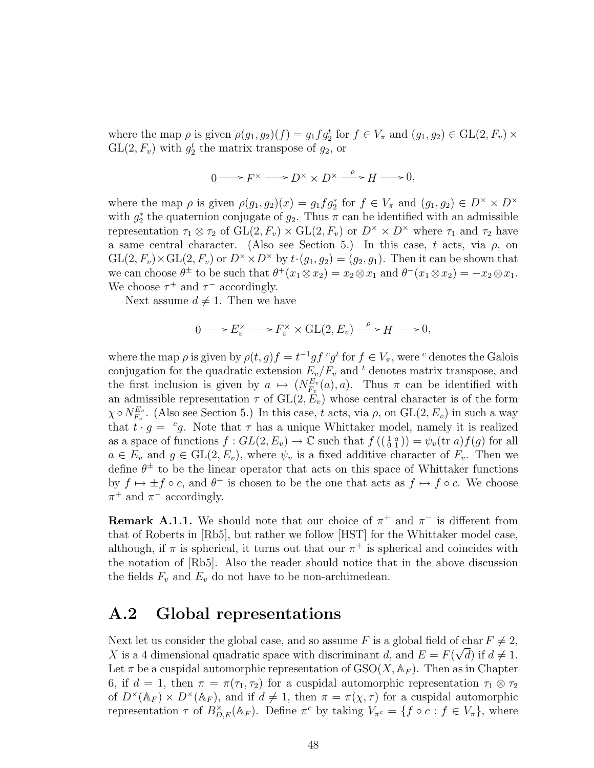where the map  $\rho$  is given  $\rho(g_1, g_2)(f) = g_1 f g_2^t$  for  $f \in V_\pi$  and  $(g_1, g_2) \in GL(2, F_v) \times$  $GL(2, F_v)$  with  $g_2^t$  the matrix transpose of  $g_2$ , or

$$
0 \longrightarrow F^{\times} \longrightarrow D^{\times} \times D^{\times} \xrightarrow{\rho} H \longrightarrow 0,
$$

where the map  $\rho$  is given  $\rho(g_1, g_2)(x) = g_1 f g_2^*$  for  $f \in V_\pi$  and  $(g_1, g_2) \in D^\times \times D^\times$ with  $g_2^*$  the quaternion conjugate of  $g_2$ . Thus  $\pi$  can be identified with an admissible representation  $\tau_1 \otimes \tau_2$  of  $GL(2, F_v) \times GL(2, F_v)$  or  $D^{\times} \times D^{\times}$  where  $\tau_1$  and  $\tau_2$  have a same central character. (Also see Section 5.) In this case, t acts, via  $\rho$ , on  $GL(2, F_v) \times GL(2, F_v)$  or  $D^{\times} \times D^{\times}$  by  $t \cdot (g_1, g_2) = (g_2, g_1)$ . Then it can be shown that we can choose  $\theta^{\pm}$  to be such that  $\theta^{+}(x_1 \otimes x_2) = x_2 \otimes x_1$  and  $\theta^{-}(x_1 \otimes x_2) = -x_2 \otimes x_1$ . We choose  $\tau^+$  and  $\tau^-$  accordingly.

Next assume  $d \neq 1$ . Then we have

$$
0 \longrightarrow E_v^{\times} \longrightarrow F_v^{\times} \times \operatorname{GL}(2, E_v) \xrightarrow{\rho} H \longrightarrow 0,
$$

where the map  $\rho$  is given by  $\rho(t,g)f = t^{-1}gf^c g^t$  for  $f \in V_\pi$ , were <sup>c</sup> denotes the Galois conjugation for the quadratic extension  $E_v/F_v$  and <sup>t</sup> denotes matrix transpose, and the first inclusion is given by  $a \mapsto (N_{F_n}^{E_v})$  $E_v^{E_v}(a)$ , a). Thus  $\pi$  can be identified with an admissible representation  $\tau$  of  $GL(2, E_v)$  whose central character is of the form  $\chi\circ N_{F_{v}}^{E_{v}}$  $E_v^{E_v}$ . (Also see Section 5.) In this case, t acts, via  $\rho$ , on  $GL(2, E_v)$  in such a way that  $t \cdot g = c g$ . Note that  $\tau$  has a unique Whittaker model, namely it is realized as a space of functions  $f: GL(2, E_v) \to \mathbb{C}$  such that  $f((\begin{smallmatrix} 1 & a \\ 0 & 1 \end{smallmatrix})) = \psi_v(\text{tr } a) f(g)$  for all  $a \in E_v$  and  $g \in GL(2, E_v)$ , where  $\psi_v$  is a fixed additive character of  $F_v$ . Then we define  $\theta^{\pm}$  to be the linear operator that acts on this space of Whittaker functions by  $f \mapsto \pm f \circ c$ , and  $\theta^+$  is chosen to be the one that acts as  $f \mapsto f \circ c$ . We choose  $\pi^+$  and  $\pi^-$  accordingly.

**Remark A.1.1.** We should note that our choice of  $\pi^+$  and  $\pi^-$  is different from that of Roberts in [Rb5], but rather we follow [HST] for the Whittaker model case, although, if  $\pi$  is spherical, it turns out that our  $\pi^+$  is spherical and coincides with the notation of [Rb5]. Also the reader should notice that in the above discussion the fields  $F_v$  and  $E_v$  do not have to be non-archimedean.

#### A.2 Global representations

Next let us consider the global case, and so assume F is a global field of char  $F \neq 2$ , X is a 4 dimensional quadratic space with discriminant d, and  $E = F(\sqrt{d})$  if  $d \neq 1$ . Let  $\pi$  be a cuspidal automorphic representation of  $GSO(X, \mathbb{A}_F)$ . Then as in Chapter 6, if  $d = 1$ , then  $\pi = \pi(\tau_1, \tau_2)$  for a cuspidal automorphic representation  $\tau_1 \otimes \tau_2$ of  $D^{\times}(\mathbb{A}_F) \times D^{\times}(\mathbb{A}_F)$ , and if  $d \neq 1$ , then  $\pi = \pi(\chi, \tau)$  for a cuspidal automorphic representation  $\tau$  of  $B_{D,E}^{\times}(\mathbb{A}_F)$ . Define  $\pi^c$  by taking  $V_{\pi^c} = \{f \circ c : f \in V_{\pi}\}\$ , where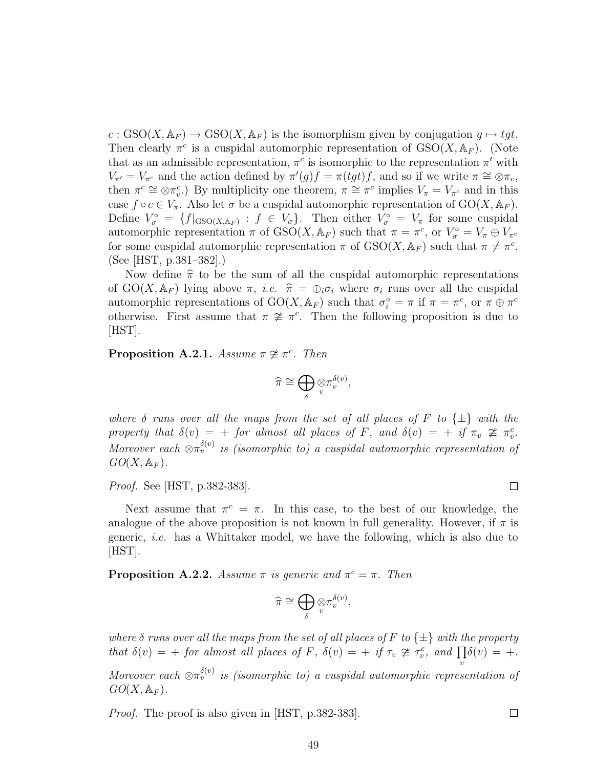$c : GSO(X, \mathbb{A}_F) \to GSO(X, \mathbb{A}_F)$  is the isomorphism given by conjugation  $q \mapsto tqt$ . Then clearly  $\pi^c$  is a cuspidal automorphic representation of  $GSO(X, \mathbb{A}_F)$ . (Note that as an admissible representation,  $\pi^c$  is isomorphic to the representation  $\pi'$  with  $V_{\pi'} = V_{\pi^c}$  and the action defined by  $\pi'(g)f = \pi(tgt)f$ , and so if we write  $\pi \cong \otimes \pi_v$ , then  $\pi^c \cong \otimes \pi_v^c$ .) By multiplicity one theorem,  $\pi \cong \pi^c$  implies  $V_\pi = V_{\pi^c}$  and in this case  $f \circ c \in V_{\pi}$ . Also let  $\sigma$  be a cuspidal automorphic representation of  $GO(X, \mathbb{A}_F)$ . Define  $V_{\sigma}^{\circ} = \{f|_{\text{GSO}(X,\mathbb{A}_F)} : f \in V_{\sigma}\}\$ . Then either  $V_{\sigma}^{\circ} = V_{\pi}$  for some cuspidal automorphic representation  $\pi$  of  $\text{GSO}(X, \mathbb{A}_F)$  such that  $\pi = \pi^c$ , or  $V^{\circ}_{\sigma} = V_{\pi} \oplus V_{\pi^c}$ for some cuspidal automorphic representation  $\pi$  of  $GSO(X, \mathbb{A}_F)$  such that  $\pi \neq \pi^c$ . (See [HST, p.381–382].)

Now define  $\hat{\pi}$  to be the sum of all the cuspidal automorphic representations of GO(X,  $\mathbb{A}_F$ ) lying above  $\pi$ , *i.e.*  $\hat{\pi} = \bigoplus_i \sigma_i$  where  $\sigma_i$  runs over all the cuspidal automorphic representations of  $GO(X, \mathbb{A}_F)$  such that  $\sigma_i^{\circ} = \pi$  if  $\pi = \pi^c$ , or  $\pi \oplus \pi^c$ otherwise. First assume that  $\pi \not\cong \pi^c$ . Then the following proposition is due to [HST].

**Proposition A.2.1.** Assume  $\pi \not\cong \pi^c$ . Then

$$
\widehat{\pi} \cong \bigoplus_{\delta} \mathop{\otimes}\limits_v \pi_v^{\delta(v)},
$$

where  $\delta$  runs over all the maps from the set of all places of F to  $\{\pm\}$  with the property that  $\delta(v) = +$  for almost all places of F, and  $\delta(v) = +$  if  $\pi_v \ncong \pi_v^c$ . Moreover each  $\otimes \pi_v^{\delta(v)}$  is (isomorphic to) a cuspidal automorphic representation of  $GO(X, \mathbb{A}_F).$ 

Proof. See [HST, p.382-383].

Next assume that  $\pi^c = \pi$ . In this case, to the best of our knowledge, the analogue of the above proposition is not known in full generality. However, if  $\pi$  is generic, i.e. has a Whittaker model, we have the following, which is also due to [HST].

**Proposition A.2.2.** Assume  $\pi$  is generic and  $\pi^c = \pi$ . Then

$$
\widehat{\pi} \cong \bigoplus_\delta \otimes \pi_v^{\delta(v)},
$$

where  $\delta$  runs over all the maps from the set of all places of F to  $\{\pm\}$  with the property that  $\delta(v) = +$  for almost all places of F,  $\delta(v) = +$  if  $\tau_v \not\cong \tau_v^c$ , and  $\prod \delta(v) = +$ . v

Moreover each  $\otimes \pi_v^{\delta(v)}$  is (isomorphic to) a cuspidal automorphic representation of  $GO(X, \mathbb{A}_F).$ 

*Proof.* The proof is also given in [HST, p.382-383].

 $\Box$ 

 $\Box$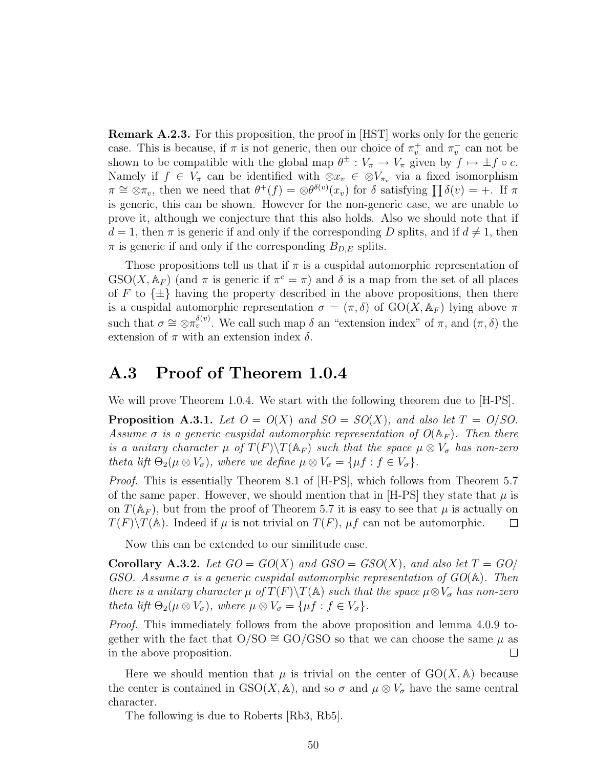Remark A.2.3. For this proposition, the proof in [HST] works only for the generic case. This is because, if  $\pi$  is not generic, then our choice of  $\pi_v^+$  and  $\pi_v^-$  can not be shown to be compatible with the global map  $\theta^{\pm}: V_{\pi} \to V_{\pi}$  given by  $f \mapsto \pm f \circ c$ . Namely if  $f \in V_{\pi}$  can be identified with  $\otimes x_v \in \otimes V_{\pi_v}$  via a fixed isomorphism  $\pi \cong \overline{\otimes} \pi_v$ , then we need that  $\theta^+(f) = \overline{\otimes} \theta^{\delta(v)}(x_v)$  for  $\delta$  satisfying  $\prod \delta(v) = +$ . If  $\pi$ is generic, this can be shown. However for the non-generic case, we are unable to prove it, although we conjecture that this also holds. Also we should note that if  $d = 1$ , then  $\pi$  is generic if and only if the corresponding D splits, and if  $d \neq 1$ , then  $\pi$  is generic if and only if the corresponding  $B_{D,E}$  splits.

Those propositions tell us that if  $\pi$  is a cuspidal automorphic representation of  $GSO(X, \mathbb{A}_F)$  (and  $\pi$  is generic if  $\pi^c = \pi$ ) and  $\delta$  is a map from the set of all places of F to  $\{\pm\}$  having the property described in the above propositions, then there is a cuspidal automorphic representation  $\sigma = (\pi, \delta)$  of  $GO(X, A_F)$  lying above  $\pi$ such that  $\sigma \cong \otimes \pi_v^{\delta(v)}$ . We call such map  $\delta$  an "extension index" of  $\pi$ , and  $(\pi, \delta)$  the extension of  $\pi$  with an extension index  $\delta$ .

#### A.3 Proof of Theorem 1.0.4

We will prove Theorem 1.0.4. We start with the following theorem due to [H-PS].

**Proposition A.3.1.** Let  $O = O(X)$  and  $SO = SO(X)$ , and also let  $T = O/SO$ . Assume  $\sigma$  is a generic cuspidal automorphic representation of  $O(\mathbb{A}_F)$ . Then there is a unitary character  $\mu$  of  $T(F)\T(\mathbb{A}_F)$  such that the space  $\mu \otimes V_{\sigma}$  has non-zero theta lift  $\Theta_2(\mu \otimes V_{\sigma})$ , where we define  $\mu \otimes V_{\sigma} = {\mu f : f \in V_{\sigma}}$ .

*Proof.* This is essentially Theorem 8.1 of [H-PS], which follows from Theorem 5.7 of the same paper. However, we should mention that in [H-PS] they state that  $\mu$  is on  $T(\mathbb{A}_F)$ , but from the proof of Theorem 5.7 it is easy to see that  $\mu$  is actually on  $T(F)\setminus T(A)$ . Indeed if  $\mu$  is not trivial on  $T(F)$ ,  $\mu f$  can not be automorphic.  $\Box$ 

Now this can be extended to our similitude case.

**Corollary A.3.2.** Let  $GO = GO(X)$  and  $GSO = GSO(X)$ , and also let  $T = GO/$ GSO. Assume  $\sigma$  is a generic cuspidal automorphic representation of  $GO(A)$ . Then there is a unitary character  $\mu$  of  $T(F)\T(\mathbb{A})$  such that the space  $\mu \otimes V_{\sigma}$  has non-zero theta lift  $\Theta_2(\mu \otimes V_{\sigma})$ , where  $\mu \otimes V_{\sigma} = {\mu f : f \in V_{\sigma}}$ .

Proof. This immediately follows from the above proposition and lemma 4.0.9 together with the fact that  $O/SO \cong GO/GSO$  so that we can choose the same  $\mu$  as in the above proposition.  $\Box$ 

Here we should mention that  $\mu$  is trivial on the center of  $GO(X, A)$  because the center is contained in GSO(X, A), and so  $\sigma$  and  $\mu \otimes V_{\sigma}$  have the same central character.

The following is due to Roberts [Rb3, Rb5].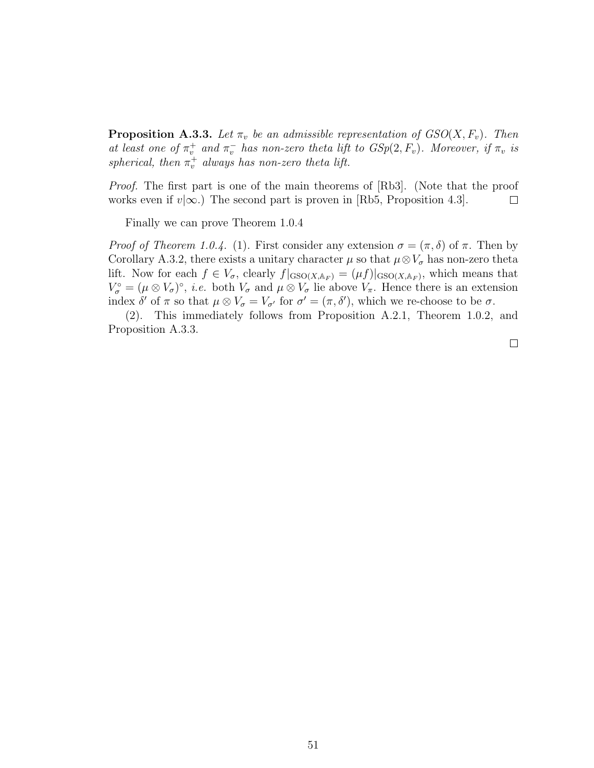**Proposition A.3.3.** Let  $\pi_v$  be an admissible representation of  $GSO(X, F_v)$ . Then at least one of  $\pi_v^+$  and  $\pi_v^-$  has non-zero theta lift to  $GSp(2, F_v)$ . Moreover, if  $\pi_v$  is spherical, then  $\pi_v^+$  always has non-zero theta lift.

Proof. The first part is one of the main theorems of [Rb3]. (Note that the proof works even if  $v|\infty$ .) The second part is proven in [Rb5, Proposition 4.3].  $\Box$ 

Finally we can prove Theorem 1.0.4

Proof of Theorem 1.0.4. (1). First consider any extension  $\sigma = (\pi, \delta)$  of  $\pi$ . Then by Corollary A.3.2, there exists a unitary character  $\mu$  so that  $\mu \otimes V_{\sigma}$  has non-zero theta lift. Now for each  $f \in V_{\sigma}$ , clearly  $f|_{\text{GSO}(X, \mathbb{A}_F)} = (\mu f)|_{\text{GSO}(X, \mathbb{A}_F)}$ , which means that  $V_{\sigma}^{\circ} = (\mu \otimes V_{\sigma})^{\circ}, i.e.$  both  $V_{\sigma}$  and  $\mu \otimes V_{\sigma}$  lie above  $V_{\pi}$ . Hence there is an extension index  $\delta'$  of  $\pi$  so that  $\mu \otimes V_{\sigma} = V_{\sigma'}$  for  $\sigma' = (\pi, \delta')$ , which we re-choose to be  $\sigma$ .

(2). This immediately follows from Proposition A.2.1, Theorem 1.0.2, and Proposition A.3.3.

 $\Box$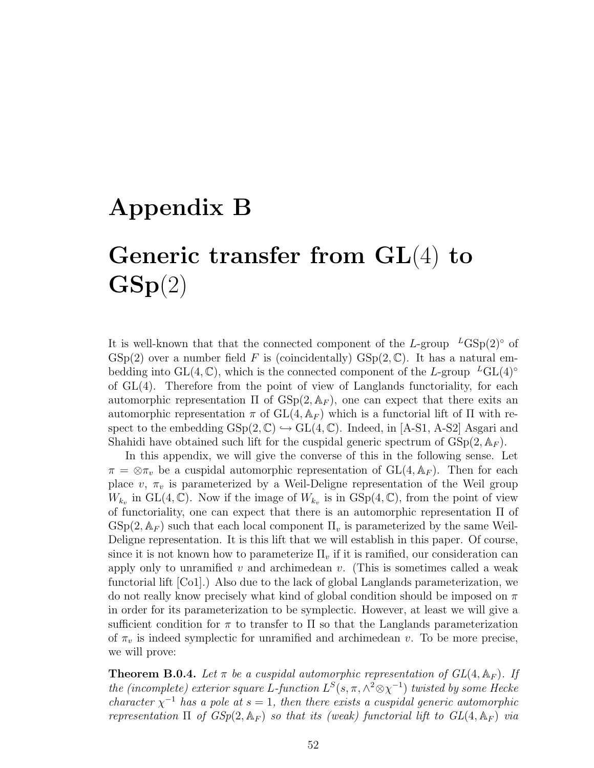# Appendix B

# Generic transfer from GL(4) to  $\textbf{GSp}(2)$

It is well-known that that the connected component of the L-group  $^L$ GSp(2)<sup>°</sup> of  $GSp(2)$  over a number field F is (coincidentally)  $GSp(2,\mathbb{C})$ . It has a natural embedding into GL(4, C), which is the connected component of the L-group  $^LGL(4)^\circ$ of  $GL(4)$ . Therefore from the point of view of Langlands functoriality, for each automorphic representation  $\Pi$  of  $GSp(2, \mathbb{A}_F)$ , one can expect that there exits an automorphic representation π of  $GL(4, A_F)$  which is a functorial lift of Π with respect to the embedding  $GSp(2,\mathbb{C}) \hookrightarrow GL(4,\mathbb{C})$ . Indeed, in [A-S1, A-S2] Asgari and Shahidi have obtained such lift for the cuspidal generic spectrum of  $GSp(2, \mathbb{A}_F)$ .

In this appendix, we will give the converse of this in the following sense. Let  $\pi = \otimes \pi_v$  be a cuspidal automorphic representation of  $GL(4, \mathbb{A}_F)$ . Then for each place v,  $\pi_v$  is parameterized by a Weil-Deligne representation of the Weil group  $W_{k_v}$  in GL(4, C). Now if the image of  $W_{k_v}$  is in GSp(4, C), from the point of view of functoriality, one can expect that there is an automorphic representation Π of  $GSp(2, \mathbb{A}_F)$  such that each local component  $\Pi_v$  is parameterized by the same Weil-Deligne representation. It is this lift that we will establish in this paper. Of course, since it is not known how to parameterize  $\Pi_v$  if it is ramified, our consideration can apply only to unramified v and archimedean v. (This is sometimes called a weak functorial lift [Co1].) Also due to the lack of global Langlands parameterization, we do not really know precisely what kind of global condition should be imposed on  $\pi$ in order for its parameterization to be symplectic. However, at least we will give a sufficient condition for  $\pi$  to transfer to  $\Pi$  so that the Langlands parameterization of  $\pi_v$  is indeed symplectic for unramified and archimedean v. To be more precise, we will prove:

**Theorem B.0.4.** Let  $\pi$  be a cuspidal automorphic representation of  $GL(4, \mathbb{A}_F)$ . If the (incomplete) exterior square L-function  $L^{S}(s, \pi, \wedge^{2} \otimes \chi^{-1})$  twisted by some Hecke character  $\chi^{-1}$  has a pole at  $s = 1$ , then there exists a cuspidal generic automorphic representation  $\Pi$  of  $GSp(2, \mathbb{A}_F)$  so that its (weak) functorial lift to  $GL(4, \mathbb{A}_F)$  via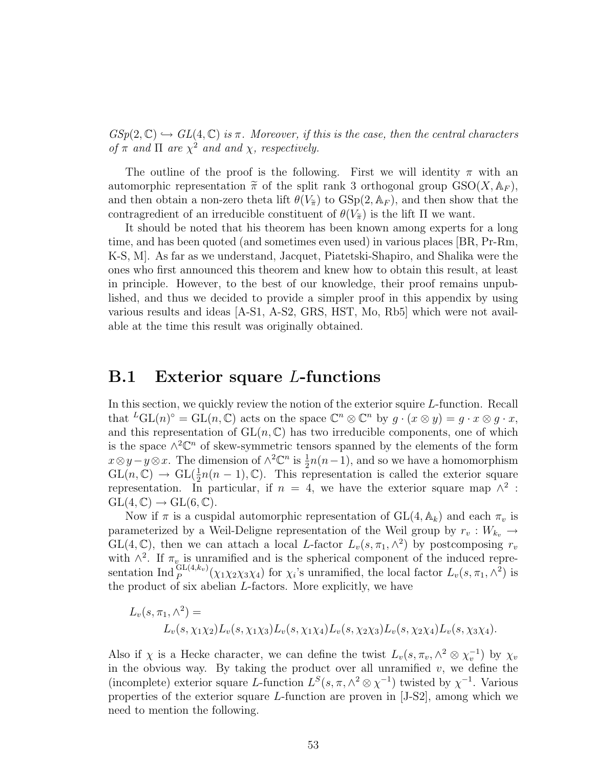$GSp(2,\mathbb{C}) \hookrightarrow GL(4,\mathbb{C})$  is  $\pi$ . Moreover, if this is the case, then the central characters of  $\pi$  and  $\Pi$  are  $\chi^2$  and and  $\chi$ , respectively.

The outline of the proof is the following. First we will identity  $\pi$  with an automorphic representation  $\tilde{\pi}$  of the split rank 3 orthogonal group  $GSO(X, \mathbb{A}_F)$ , and then obtain a non-zero theta lift  $\theta(V_{\tilde{\pi}})$  to  $GSp(2, \mathbb{A}_F)$ , and then show that the contragredient of an irreducible constituent of  $\theta(V_{\tilde{\pi}})$  is the lift  $\Pi$  we want.

It should be noted that his theorem has been known among experts for a long time, and has been quoted (and sometimes even used) in various places [BR, Pr-Rm, K-S, M]. As far as we understand, Jacquet, Piatetski-Shapiro, and Shalika were the ones who first announced this theorem and knew how to obtain this result, at least in principle. However, to the best of our knowledge, their proof remains unpublished, and thus we decided to provide a simpler proof in this appendix by using various results and ideas [A-S1, A-S2, GRS, HST, Mo, Rb5] which were not available at the time this result was originally obtained.

#### B.1 Exterior square L-functions

In this section, we quickly review the notion of the exterior squire L-function. Recall that  ${}^LGL(n)^\circ = GL(n,\mathbb{C})$  acts on the space  $\mathbb{C}^n \otimes \mathbb{C}^n$  by  $g \cdot (x \otimes y) = g \cdot x \otimes g \cdot x$ , and this representation of  $GL(n, \mathbb{C})$  has two irreducible components, one of which is the space  $\wedge^2 \mathbb{C}^n$  of skew-symmetric tensors spanned by the elements of the form  $x \otimes y - y \otimes x$ . The dimension of  $\wedge^2 \mathbb{C}^n$  is  $\frac{1}{2}n(n-1)$ , and so we have a homomorphism  $GL(n,\mathbb{C}) \to GL(\frac{1}{2}n(n-1),\mathbb{C})$ . This representation is called the exterior square representation. In particular, if  $n = 4$ , we have the exterior square map  $\wedge^2$ :  $GL(4,\mathbb{C})\rightarrow GL(6,\mathbb{C}).$ 

Now if  $\pi$  is a cuspidal automorphic representation of  $GL(4, \mathbb{A}_k)$  and each  $\pi_v$  is parameterized by a Weil-Deligne representation of the Weil group by  $r_v : W_{k_v} \rightarrow$  $GL(4,\mathbb{C})$ , then we can attach a local L-factor  $L_v(s,\pi_1,\wedge^2)$  by postcomposing  $r_v$ with  $\wedge^2$ . If  $\pi_{v}$  is unramified and is the spherical component of the induced representation Ind<sup>GL(4,kv</sup>)( $\chi_1\chi_2\chi_3\chi_4$ ) for  $\chi_i$ 's unramified, the local factor  $L_v(s,\pi_1,\wedge^2)$  is the product of six abelian L-factors. More explicitly, we have

$$
L_v(s, \pi_1, \wedge^2) =
$$
  

$$
L_v(s, \chi_1 \chi_2) L_v(s, \chi_1 \chi_3) L_v(s, \chi_1 \chi_4) L_v(s, \chi_2 \chi_3) L_v(s, \chi_2 \chi_4) L_v(s, \chi_3 \chi_4).
$$

Also if  $\chi$  is a Hecke character, we can define the twist  $L_v(s, \pi_v, \wedge^2 \otimes \chi_v^{-1})$  by  $\chi_v$ in the obvious way. By taking the product over all unramified  $v$ , we define the (incomplete) exterior square L-function  $L^S(s, \pi, \wedge^2 \otimes \chi^{-1})$  twisted by  $\chi^{-1}$ . Various properties of the exterior square L-function are proven in [J-S2], among which we need to mention the following.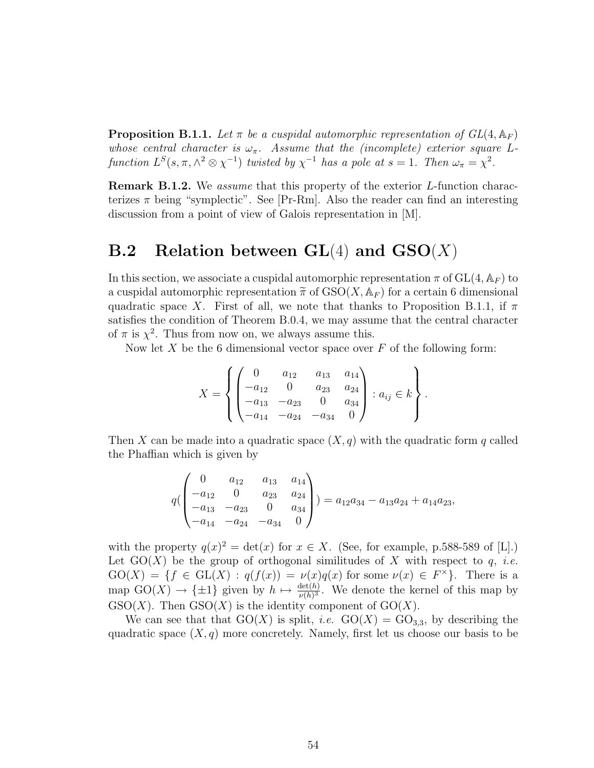**Proposition B.1.1.** Let  $\pi$  be a cuspidal automorphic representation of  $GL(4, \mathbb{A}_F)$ whose central character is  $\omega_{\pi}$ . Assume that the (incomplete) exterior square Lfunction  $L^{S}(s, \pi, \wedge^{2} \otimes \chi^{-1})$  twisted by  $\chi^{-1}$  has a pole at  $s = 1$ . Then  $\omega_{\pi} = \chi^{2}$ .

Remark B.1.2. We *assume* that this property of the exterior *L*-function characterizes  $\pi$  being "symplectic". See [Pr-Rm]. Also the reader can find an interesting discussion from a point of view of Galois representation in [M].

### **B.2** Relation between  $GL(4)$  and  $GSO(X)$

In this section, we associate a cuspidal automorphic representation  $\pi$  of  $GL(4, \mathbb{A}_F)$  to a cuspidal automorphic representation  $\tilde{\pi}$  of  $GSO(X, \mathbb{A}_F)$  for a certain 6 dimensional quadratic space X. First of all, we note that thanks to Proposition B.1.1, if  $\pi$ satisfies the condition of Theorem B.0.4, we may assume that the central character of  $\pi$  is  $\chi^2$ . Thus from now on, we always assume this.

Now let  $X$  be the 6 dimensional vector space over  $F$  of the following form:

$$
X = \left\{ \begin{pmatrix} 0 & a_{12} & a_{13} & a_{14} \\ -a_{12} & 0 & a_{23} & a_{24} \\ -a_{13} & -a_{23} & 0 & a_{34} \\ -a_{14} & -a_{24} & -a_{34} & 0 \end{pmatrix} : a_{ij} \in k \right\}.
$$

Then X can be made into a quadratic space  $(X, q)$  with the quadratic form q called the Phaffian which is given by

$$
q\begin{pmatrix} 0 & a_{12} & a_{13} & a_{14} \\ -a_{12} & 0 & a_{23} & a_{24} \\ -a_{13} & -a_{23} & 0 & a_{34} \\ -a_{14} & -a_{24} & -a_{34} & 0 \end{pmatrix} = a_{12}a_{34} - a_{13}a_{24} + a_{14}a_{23},
$$

with the property  $q(x)^2 = \det(x)$  for  $x \in X$ . (See, for example, p.588-589 of [L].) Let  $GO(X)$  be the group of orthogonal similitudes of X with respect to q, *i.e.*  $GO(X) = \{f \in GL(X) : q(f(x)) = \nu(x)q(x) \text{ for some } \nu(x) \in F^{\times}\}.$  There is a map  $GO(X) \to {\pm 1}$  given by  $h \mapsto \frac{\det(h)}{\nu(h)^3}$ . We denote the kernel of this map by  $GSO(X)$ . Then  $GSO(X)$  is the identity component of  $GO(X)$ .

We can see that that  $GO(X)$  is split, *i.e.*  $GO(X) = GO_{3,3}$ , by describing the quadratic space  $(X, q)$  more concretely. Namely, first let us choose our basis to be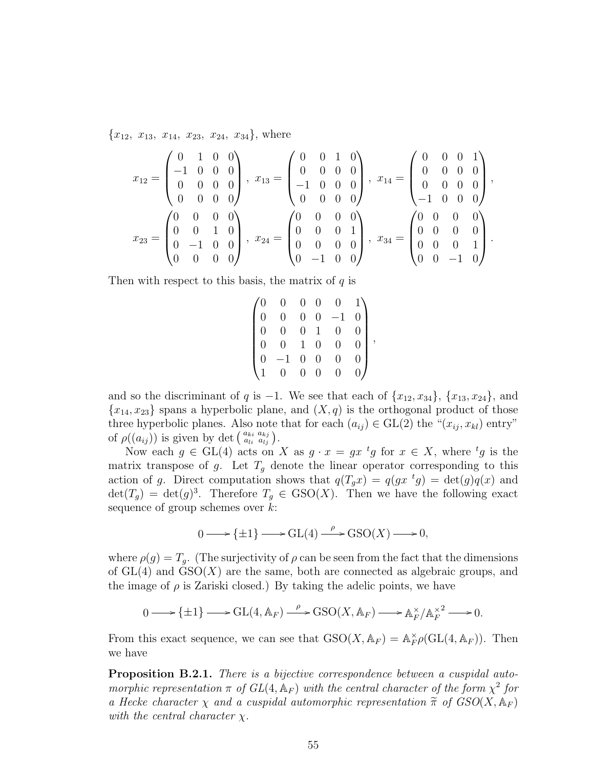${x_{12}, x_{13}, x_{14}, x_{23}, x_{24}, x_{34}},$  where

$$
x_{12} = \begin{pmatrix} 0 & 1 & 0 & 0 \\ -1 & 0 & 0 & 0 \\ 0 & 0 & 0 & 0 \\ 0 & 0 & 0 & 0 \end{pmatrix}, x_{13} = \begin{pmatrix} 0 & 0 & 1 & 0 \\ 0 & 0 & 0 & 0 \\ -1 & 0 & 0 & 0 \\ 0 & 0 & 0 & 0 \end{pmatrix}, x_{14} = \begin{pmatrix} 0 & 0 & 0 & 1 \\ 0 & 0 & 0 & 0 \\ 0 & 0 & 0 & 0 \\ -1 & 0 & 0 & 0 \end{pmatrix}, x_{24} = \begin{pmatrix} 0 & 0 & 0 & 0 \\ 0 & 0 & 0 & 0 \\ 0 & 0 & 0 & 1 \\ 0 & 0 & 0 & 0 \end{pmatrix}, x_{34} = \begin{pmatrix} 0 & 0 & 0 & 0 \\ 0 & 0 & 0 & 0 \\ 0 & 0 & 0 & 1 \\ 0 & 0 & 0 & 1 \\ 0 & 0 & -1 & 0 \end{pmatrix}.
$$

Then with respect to this basis, the matrix of  $q$  is

|                |                | $\overline{0}$                                 |                                              | $\theta$       |                          |
|----------------|----------------|------------------------------------------------|----------------------------------------------|----------------|--------------------------|
|                |                |                                                | $\begin{matrix} 0 & 0 \\ 0 & 0 \end{matrix}$ |                |                          |
|                |                | $\overline{0}$                                 | $\overline{1}$                               |                |                          |
| $\overline{0}$ | $\overline{0}$ | $\begin{array}{cc} 1 & 0 \\ 0 & 0 \end{array}$ |                                              | $\overline{0}$ | $\overline{\phantom{a}}$ |
|                |                |                                                |                                              | ∩              |                          |
|                |                |                                                | $0 \quad 0$                                  |                |                          |

and so the discriminant of q is -1. We see that each of  $\{x_{12}, x_{34}\}, \{x_{13}, x_{24}\},\$  and  ${x_{14}, x_{23}}$  spans a hyperbolic plane, and  $(X, q)$  is the orthogonal product of those three hyperbolic planes. Also note that for each  $(a_{ij}) \in GL(2)$  the " $(x_{ij}, x_{kl})$  entry" of  $\rho((a_{ij}))$  is given by det  $\left(\begin{smallmatrix} a_{ki} & a_{kj} \\ a_{li} & a_{lj} \end{smallmatrix}\right)$ .

Now each  $g \in GL(4)$  acts on X as  $g \cdot x = gx \,^t g$  for  $x \in X$ , where  $^t g$  is the matrix transpose of g. Let  $T<sub>q</sub>$  denote the linear operator corresponding to this action of g. Direct computation shows that  $q(T_gx) = q(gx^{-t}g) = \det(g)q(x)$  and  $\det(T_g) = \det(g)^3$ . Therefore  $T_g \in \text{GSO}(X)$ . Then we have the following exact sequence of group schemes over  $k$ :

$$
0 \longrightarrow {\pm 1} \longrightarrow GL(4) \stackrel{\rho}{\longrightarrow} GSO(X) \longrightarrow 0,
$$

where  $\rho(g) = T_g$ . (The surjectivity of  $\rho$  can be seen from the fact that the dimensions of  $GL(4)$  and  $GSO(X)$  are the same, both are connected as algebraic groups, and the image of  $\rho$  is Zariski closed.) By taking the adelic points, we have

$$
0 \longrightarrow {\pm 1} \longrightarrow GL(4, \mathbb{A}_F) \longrightarrow GSO(X, \mathbb{A}_F) \longrightarrow \mathbb{A}_F^{\times}/\mathbb{A}_F^{\times^2} \longrightarrow 0.
$$

From this exact sequence, we can see that  $GSO(X, \mathbb{A}_F) = \mathbb{A}_F^{\times}$  $_{F}^{\times}\rho(\mathrm{GL}(4,\mathbb{A}_F)).$  Then we have

**Proposition B.2.1.** There is a bijective correspondence between a cuspidal automorphic representation  $\pi$  of  $GL(4,\mathbb{A}_F)$  with the central character of the form  $\chi^2$  for a Hecke character  $\chi$  and a cuspidal automorphic representation  $\tilde{\pi}$  of  $GSO(X, \mathbb{A}_F)$ with the central character  $\chi$ .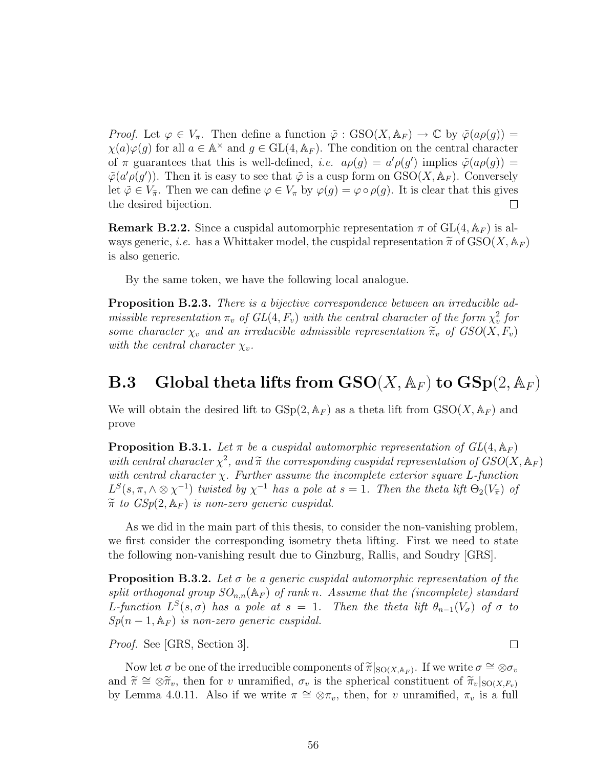*Proof.* Let  $\varphi \in V_{\pi}$ . Then define a function  $\tilde{\varphi}$  :  $GSO(X, \mathbb{A}_F) \to \mathbb{C}$  by  $\tilde{\varphi}(a\rho(g)) =$  $\chi(a)\varphi(g)$  for all  $a \in \mathbb{A}^{\times}$  and  $g \in GL(4, \mathbb{A}_F)$ . The condition on the central character of  $\pi$  guarantees that this is well-defined, *i.e.*  $a\rho(g) = a'\rho(g')$  implies  $\tilde{\varphi}(a\rho(g)) =$  $\tilde{\varphi}(a'\rho(g'))$ . Then it is easy to see that  $\tilde{\varphi}$  is a cusp form on  $GSO(X, \mathbb{A}_F)$ . Conversely let  $\tilde{\varphi} \in V_{\tilde{\pi}}$ . Then we can define  $\varphi \in V_{\pi}$  by  $\varphi(g) = \varphi \circ \rho(g)$ . It is clear that this gives the desired bijection. the desired bijection.

**Remark B.2.2.** Since a cuspidal automorphic representation  $\pi$  of  $GL(4, \mathbb{A}_F)$  is always generic, i.e. has a Whittaker model, the cuspidal representation  $\tilde{\pi}$  of  $\text{GSO}(X, \mathbb{A}_F)$ is also generic.

By the same token, we have the following local analogue.

**Proposition B.2.3.** There is a bijective correspondence between an irreducible admissible representation  $\pi_v$  of  $GL(4, F_v)$  with the central character of the form  $\chi_v^2$  for some character  $\chi_v$  and an irreducible admissible representation  $\tilde{\pi}_v$  of  $GSO(X, F_v)$ with the central character  $\chi_v$ .

### **B.3** Global theta lifts from  $\text{GSO}(X, \mathbb{A}_F)$  to  $\text{GSp}(2, \mathbb{A}_F)$

We will obtain the desired lift to  $GSp(2, \mathbb{A}_F)$  as a theta lift from  $GSO(X, \mathbb{A}_F)$  and prove

**Proposition B.3.1.** Let  $\pi$  be a cuspidal automorphic representation of  $GL(4, \mathbb{A}_F)$ with central character  $\chi^2$ , and  $\tilde{\pi}$  the corresponding cuspidal representation of  $GSO(X, \mathbb{A}_F)$ <br>with central character  $\chi$ . Further assume the incomplete exterior square L function with central character  $\chi$ . Further assume the incomplete exterior square L-function  $L^{S}(s,\pi,\wedge\otimes\chi^{-1})$  twisted by  $\chi^{-1}$  has a pole at  $s=1$ . Then the theta lift  $\Theta_2(V_{\widetilde{\pi}})$  of  $\widetilde{\pi}$  to  $GSp(2, \mathbb{A}_F)$  is non-zero generic cuspidal.

As we did in the main part of this thesis, to consider the non-vanishing problem, we first consider the corresponding isometry theta lifting. First we need to state the following non-vanishing result due to Ginzburg, Rallis, and Soudry [GRS].

**Proposition B.3.2.** Let  $\sigma$  be a generic cuspidal automorphic representation of the split orthogonal group  $SO_{n,n}(\mathbb{A}_F)$  of rank n. Assume that the (incomplete) standard L-function  $L^{S}(s, \sigma)$  has a pole at  $s = 1$ . Then the theta lift  $\theta_{n-1}(V_{\sigma})$  of  $\sigma$  to  $Sp(n-1, \mathbb{A}_F)$  is non-zero generic cuspidal.

Proof. See [GRS, Section 3].

Now let  $\sigma$  be one of the irreducible components of  $\tilde{\pi}|_{\mathcal{S}(\mathcal{X},\mathbb{A}_F)}$ . If we write  $\sigma \cong \otimes \sigma_v$ <br> $\tilde{\pi} \cong \tilde{\pi}$  then for a unramified  $\sigma$  is the spherical constituent of  $\tilde{\pi}$  lasses and  $\widetilde{\pi} \cong \otimes \widetilde{\pi}_v$ , then for v unramified,  $\sigma_v$  is the spherical constituent of  $\widetilde{\pi}_v|_{\text{SO}(X,F_v)}$ by Lemma 4.0.11. Also if we write  $\pi \cong \otimes \pi_v$ , then, for v unramified,  $\pi_v$  is a full

 $\Box$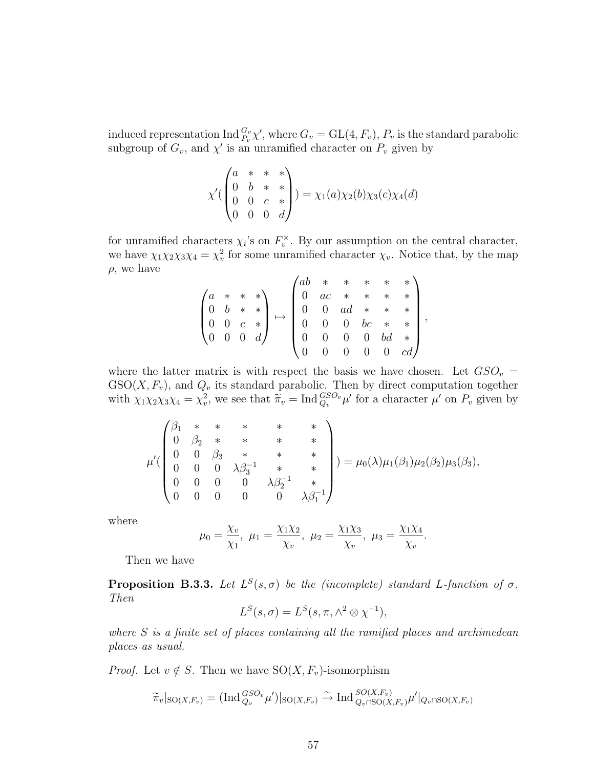induced representation  $\text{Ind}_{P_v}^{G_v}\chi'$ , where  $G_v = \text{GL}(4, F_v)$ ,  $P_v$  is the standard parabolic subgroup of  $G_v$ , and  $\chi'$  is an unramified character on  $P_v$  given by

$$
\chi'(\begin{pmatrix} a & * & * & * \\ 0 & b & * & * \\ 0 & 0 & c & * \\ 0 & 0 & 0 & d \end{pmatrix}) = \chi_1(a)\chi_2(b)\chi_3(c)\chi_4(d)
$$

for unramified characters  $\chi_i$ 's on  $F_v^{\times}$ . By our assumption on the central character, we have  $\chi_1 \chi_2 \chi_3 \chi_4 = \chi_v^2$  for some unramified character  $\chi_v$ . Notice that, by the map  $\rho$ , we have

$$
\begin{pmatrix} a & * & * & * \\ 0 & b & * & * \\ 0 & 0 & c & * \\ 0 & 0 & 0 & d \end{pmatrix} \mapsto \begin{pmatrix} ab & * & * & * & * & * \\ 0 & ac & * & * & * & * \\ 0 & 0 & ad & * & * & * \\ 0 & 0 & 0 & bc & * & * \\ 0 & 0 & 0 & 0 & bd & * \\ 0 & 0 & 0 & 0 & 0 & cd \end{pmatrix}
$$

,

where the latter matrix is with respect the basis we have chosen. Let  $GSO_v =$  $GSO(X, F_v)$ , and  $Q_v$  its standard parabolic. Then by direct computation together with  $\chi_1 \chi_2 \chi_3 \chi_4 = \chi_v^2$ , we see that  $\tilde{\pi}_v = \text{Ind}_{Q_v}^{GSO_v} \mu'$  for a character  $\mu'$  on  $P_v$  given by

$$
\mu'(\begin{pmatrix} \beta_1 & * & * & * & * & * \\ 0 & \beta_2 & * & * & * & * \\ 0 & 0 & \beta_3 & * & * & * \\ 0 & 0 & 0 & \lambda \beta_3^{-1} & * & * \\ 0 & 0 & 0 & 0 & \lambda \beta_2^{-1} & * \\ 0 & 0 & 0 & 0 & 0 & \lambda \beta_1^{-1} \end{pmatrix}) = \mu_0(\lambda)\mu_1(\beta_1)\mu_2(\beta_2)\mu_3(\beta_3),
$$

where

$$
\mu_0 = \frac{\chi_v}{\chi_1}, \ \mu_1 = \frac{\chi_1 \chi_2}{\chi_v}, \ \mu_2 = \frac{\chi_1 \chi_3}{\chi_v}, \ \mu_3 = \frac{\chi_1 \chi_4}{\chi_v}.
$$

Then we have

**Proposition B.3.3.** Let  $L^{S}(s, \sigma)$  be the (incomplete) standard L-function of  $\sigma$ . Then

$$
L^{S}(s,\sigma) = L^{S}(s,\pi,\wedge^{2} \otimes \chi^{-1}),
$$

where  $S$  is a finite set of places containing all the ramified places and archimedean places as usual.

*Proof.* Let  $v \notin S$ . Then we have  $SO(X, F_v)$ -isomorphism

$$
\widetilde{\pi}_v|_{\mathrm{SO}(X,F_v)} = (\mathrm{Ind}_{Q_v}^{GSO_v}\mu')|_{\mathrm{SO}(X,F_v)} \xrightarrow{\sim} \mathrm{Ind}_{Q_v \cap \mathrm{SO}(X,F_v)}^{SO(X,F_v)}\mu'|_{Q_v \cap \mathrm{SO}(X,F_v)}
$$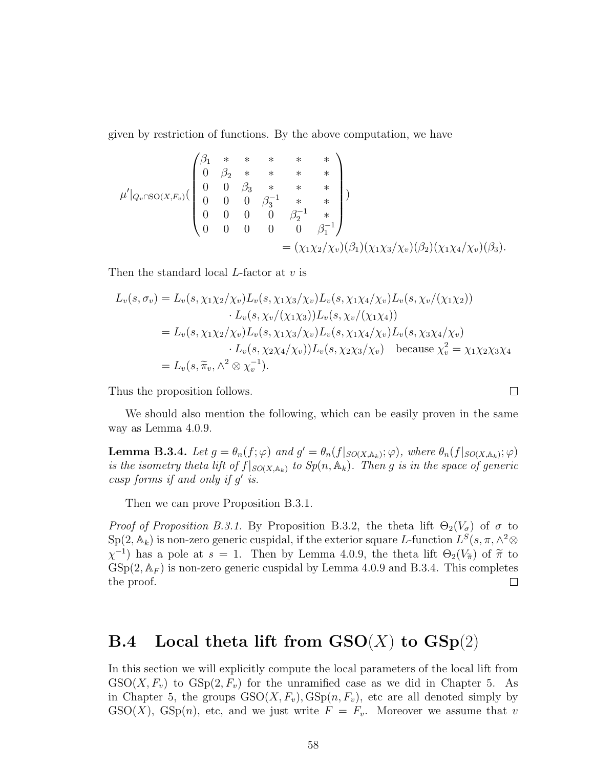given by restriction of functions. By the above computation, we have

$$
\mu'|_{Q_v \cap SO(X,F_v)} \begin{pmatrix} \beta_1 & * & * & * & * & * \\ 0 & \beta_2 & * & * & * & * \\ 0 & 0 & \beta_3 & * & * & * \\ 0 & 0 & 0 & \beta_3^{-1} & * & * \\ 0 & 0 & 0 & 0 & \beta_2^{-1} & * \\ 0 & 0 & 0 & 0 & 0 & \beta_1^{-1} \end{pmatrix}
$$
  
=  $(\chi_1 \chi_2/\chi_v)(\beta_1)(\chi_1 \chi_3/\chi_v)(\beta_2)(\chi_1 \chi_4/\chi_v)(\beta_3).$ 

Then the standard local L-factor at v is

$$
L_v(s, \sigma_v) = L_v(s, \chi_1 \chi_2/\chi_v) L_v(s, \chi_1 \chi_3/\chi_v) L_v(s, \chi_1 \chi_4/\chi_v) L_v(s, \chi_v/(\chi_1 \chi_2))
$$
  
\n
$$
\cdot L_v(s, \chi_v/(\chi_1 \chi_3)) L_v(s, \chi_v/(\chi_1 \chi_4))
$$
  
\n
$$
= L_v(s, \chi_1 \chi_2/\chi_v) L_v(s, \chi_1 \chi_3/\chi_v) L_v(s, \chi_1 \chi_4/\chi_v) L_v(s, \chi_3 \chi_4/\chi_v)
$$
  
\n
$$
\cdot L_v(s, \chi_2 \chi_4/\chi_v)) L_v(s, \chi_2 \chi_3/\chi_v) \text{ because } \chi_v^2 = \chi_1 \chi_2 \chi_3 \chi_4
$$
  
\n
$$
= L_v(s, \widetilde{\pi}_v, \wedge^2 \otimes \chi_v^{-1}).
$$

Thus the proposition follows.

We should also mention the following, which can be easily proven in the same way as Lemma 4.0.9.

 $\Box$ 

**Lemma B.3.4.** Let  $g = \theta_n(f; \varphi)$  and  $g' = \theta_n(f|_{SO(X, \mathbb{A}_k)}; \varphi)$ , where  $\theta_n(f|_{SO(X, \mathbb{A}_k)}; \varphi)$ is the isometry theta lift of  $f|_{SO(X,\mathbb{A}_k)}$  to  $Sp(n,\mathbb{A}_k)$ . Then g is in the space of generic cusp forms if and only if  $g'$  is.

Then we can prove Proposition B.3.1.

Proof of Proposition B.3.1. By Proposition B.3.2, the theta lift  $\Theta_2(V_{\sigma})$  of  $\sigma$  to  $\mathrm{Sp}(2,\mathbb{A}_k)$  is non-zero generic cuspidal, if the exterior square L-function  $L^S(s,\pi,\wedge^2\otimes^2)$  $\chi^{-1}$ ) has a pole at  $s = 1$ . Then by Lemma 4.0.9, the theta lift  $\Theta_2(V_{\tilde{\pi}})$  of  $\tilde{\pi}$  to  $CSp(2, \mathbb{A}_{\geq 1})$  is non-zero congrise quandel by Lemma 4.0.9 and B.3.4. This completes  $GSp(2, \mathbb{A}_F)$  is non-zero generic cuspidal by Lemma 4.0.9 and B.3.4. This completes the proof.  $\Box$ 

### **B.4** Local theta lift from  $GSO(X)$  to  $GSp(2)$

In this section we will explicitly compute the local parameters of the local lift from  $GSO(X, F_v)$  to  $GSp(2, F_v)$  for the unramified case as we did in Chapter 5. As in Chapter 5, the groups  $GSO(X, F_v), GSp(n, F_v)$ , etc are all denoted simply by  $GSO(X)$ ,  $GSp(n)$ , etc, and we just write  $F = F_v$ . Moreover we assume that v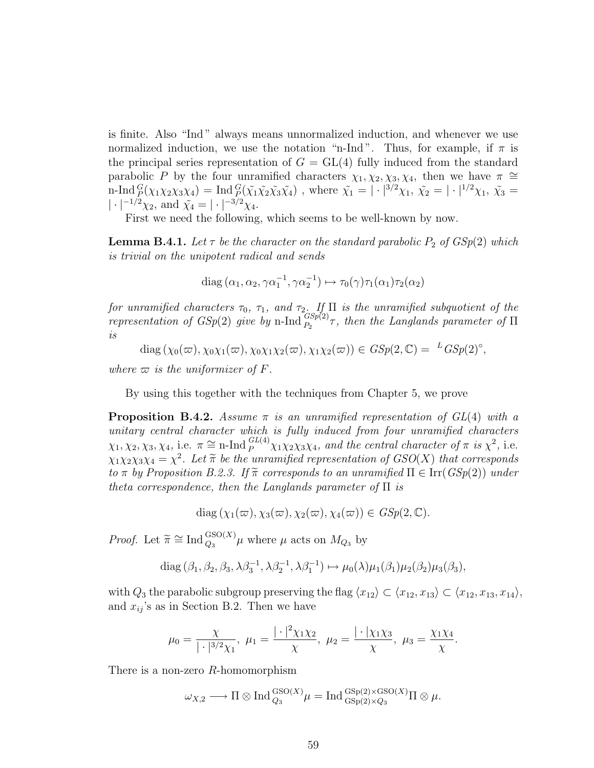is finite. Also "Ind " always means unnormalized induction, and whenever we use normalized induction, we use the notation "n-Ind". Thus, for example, if  $\pi$  is the principal series representation of  $G = GL(4)$  fully induced from the standard parabolic P by the four unramified characters  $\chi_1, \chi_2, \chi_3, \chi_4$ , then we have  $\pi \cong$ n-Ind  ${}_{P}^{G}(\chi_1\chi_2\chi_3\chi_4) = \text{Ind}_{P}^{G}(\tilde{\chi_1}\tilde{\chi_2}\tilde{\chi_3}\tilde{\chi_4})$ , where  $\tilde{\chi_1} = |\cdot|^{3/2}\chi_1$ ,  $\tilde{\chi_2} = |\cdot|^{1/2}\chi_1$ ,  $\tilde{\chi_3} =$  $|\cdot|^{-1/2}\chi_2$ , and  $\tilde{\chi}_4 = |\cdot|^{-3/2}\chi_4$ .

First we need the following, which seems to be well-known by now.

**Lemma B.4.1.** Let  $\tau$  be the character on the standard parabolic  $P_2$  of  $GSp(2)$  which is trivial on the unipotent radical and sends

diag 
$$
(\alpha_1, \alpha_2, \gamma \alpha_1^{-1}, \gamma \alpha_2^{-1}) \mapsto \tau_0(\gamma) \tau_1(\alpha_1) \tau_2(\alpha_2)
$$

for unramified characters  $\tau_0$ ,  $\tau_1$ , and  $\tau_2$ . If  $\Pi$  is the unramified subquotient of the representation of  $GSp(2)$  give by n-Ind  ${}_{P_2}^{Gsp(2)}\tau$ , then the Langlands parameter of  $\Pi$ is

 $diag(\chi_0(\varpi), \chi_0\chi_1(\varpi), \chi_0\chi_1\chi_2(\varpi), \chi_1\chi_2(\varpi)) \in GSp(2, \mathbb{C}) = {}^{L}GSp(2)^\circ,$ 

where  $\varpi$  is the uniformizer of F.

By using this together with the techniques from Chapter 5, we prove

**Proposition B.4.2.** Assume  $\pi$  is an unramified representation of  $GL(4)$  with a unitary central character which is fully induced from four unramified characters  $\chi_1, \chi_2, \chi_3, \chi_4$ , i.e.  $\pi \cong \text{n-Ind}_{P}^{GL(4)} \chi_1 \chi_2 \chi_3 \chi_4$ , and the central character of  $\pi$  is  $\chi^2$ , i.e.  $\chi_1 \chi_2 \chi_3 \chi_4 = \chi^2$ . Let  $\widetilde{\pi}$  be the unramified representation of  $GSO(X)$  that corresponds<br>to  $\pi$  by Proposition B, 2, 2, If  $\widetilde{\pi}$  corresponds to an unramified  $\Pi \subset \text{Irr}(CS_2(\mathbb{R}))$  under to  $\pi$  by Proposition B.2.3. If  $\widetilde{\pi}$  corresponds to an unramified  $\Pi \in \text{Irr}(GSp(2))$  under theta correspondence, then the Langlands parameter of  $\Pi$  is

$$
diag(\chi_1(\varpi), \chi_3(\varpi), \chi_2(\varpi), \chi_4(\varpi)) \in GSp(2, \mathbb{C}).
$$

*Proof.* Let  $\widetilde{\pi} \cong \text{Ind}_{Q_3}^{\text{GSO}(X)} \mu$  where  $\mu$  acts on  $M_{Q_3}$  by

diag 
$$
(\beta_1, \beta_2, \beta_3, \lambda \beta_3^{-1}, \lambda \beta_2^{-1}, \lambda \beta_1^{-1}) \mapsto \mu_0(\lambda)\mu_1(\beta_1)\mu_2(\beta_2)\mu_3(\beta_3)
$$
,

with  $Q_3$  the parabolic subgroup preserving the flag  $\langle x_{12} \rangle \subset \langle x_{12}, x_{13} \rangle \subset \langle x_{12}, x_{13}, x_{14} \rangle$ , and  $x_{ij}$ 's as in Section B.2. Then we have

$$
\mu_0 = \frac{\chi}{|\cdot|^{3/2}\chi_1}, \ \mu_1 = \frac{|\cdot|^2 \chi_1 \chi_2}{\chi}, \ \mu_2 = \frac{|\cdot|\chi_1 \chi_3}{\chi}, \ \mu_3 = \frac{\chi_1 \chi_4}{\chi}.
$$

There is a non-zero R-homomorphism

$$
\omega_{X,2} \longrightarrow \Pi \otimes \operatorname{Ind}_{Q_3}^{\operatorname{GSO}(X)} \mu = \operatorname{Ind}_{\operatorname{GSp}(2)\times Q_3}^{\operatorname{GSp}(2)\times \operatorname{GSO}(X)} \Pi \otimes \mu.
$$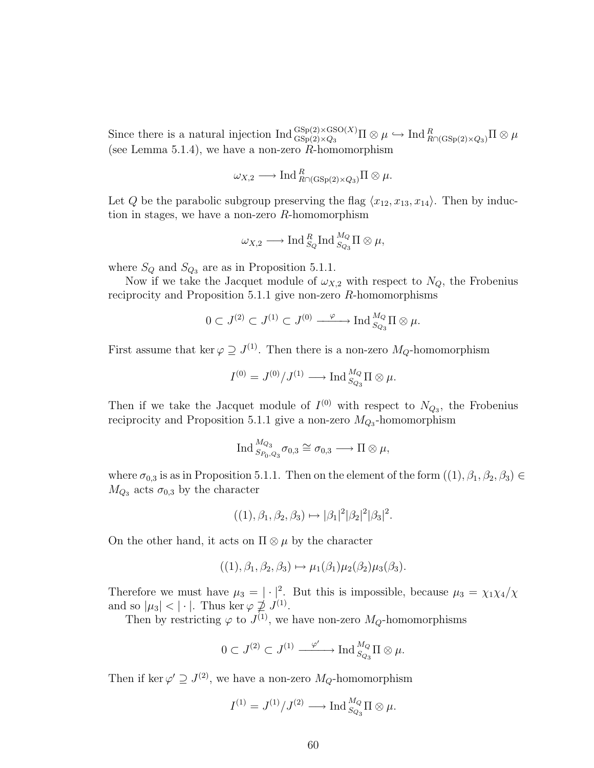Since there is a natural injection  $\text{Ind }_{\text{GSp}(2)\times Q_3}^{\text{GSp}(2)\times\text{GSO}(X)}\Pi\otimes \mu \hookrightarrow \text{Ind }_{R\cap(\text{GSp}(2)\times Q_3)}^R\Pi\otimes \mu$ (see Lemma 5.1.4), we have a non-zero  $R$ -homomorphism

$$
\omega_{X,2}\longrightarrow \text{Ind}_{R\cap(\text{GSp}(2)\times Q_3)}^R\Pi\otimes\mu.
$$

Let Q be the parabolic subgroup preserving the flag  $\langle x_{12}, x_{13}, x_{14} \rangle$ . Then by induction in stages, we have a non-zero  $R$ -homomorphism

$$
\omega_{X,2} \longrightarrow \text{Ind}_{S_Q}^R \text{Ind}_{S_{Q_3}}^{M_Q} \Pi \otimes \mu,
$$

where  $S_Q$  and  $S_{Q_3}$  are as in Proposition 5.1.1.

Now if we take the Jacquet module of  $\omega_{X,2}$  with respect to  $N_Q$ , the Frobenius reciprocity and Proposition 5.1.1 give non-zero R-homomorphisms

$$
0\subset J^{(2)}\subset J^{(1)}\subset J^{(0)}\xrightarrow{\quad \varphi\quad\quad \text{Ind}_{S_{Q_3}}^{M_Q}\Pi\otimes\mu.
$$

First assume that ker  $\varphi \supseteq J^{(1)}$ . Then there is a non-zero  $M_Q$ -homomorphism

$$
I^{(0)} = J^{(0)}/J^{(1)} \longrightarrow \text{Ind}_{S_{Q_3}}^{M_Q} \Pi \otimes \mu.
$$

Then if we take the Jacquet module of  $I^{(0)}$  with respect to  $N_{Q_3}$ , the Frobenius reciprocity and Proposition 5.1.1 give a non-zero  $M_{Q_3}$ -homomorphism

$$
\operatorname{Ind}_{S_{P_0,Q_3}}^{M_{Q_3}} \sigma_{0,3} \cong \sigma_{0,3} \longrightarrow \Pi \otimes \mu,
$$

where  $\sigma_{0,3}$  is as in Proposition 5.1.1. Then on the element of the form  $((1), \beta_1, \beta_2, \beta_3) \in$  $M_{Q_3}$  acts  $\sigma_{0,3}$  by the character

$$
((1), \beta_1, \beta_2, \beta_3) \mapsto |\beta_1|^2 |\beta_2|^2 |\beta_3|^2.
$$

On the other hand, it acts on  $\Pi \otimes \mu$  by the character

$$
((1), \beta_1, \beta_2, \beta_3) \mapsto \mu_1(\beta_1)\mu_2(\beta_2)\mu_3(\beta_3).
$$

Therefore we must have  $\mu_3 = |\cdot|^2$ . But this is impossible, because  $\mu_3 = \chi_1 \chi_4/\chi_3$ and so  $|\mu_3| < |\cdot|$ . Thus ker  $\varphi \not\supseteq J^{(1)}$ .

Then by restricting  $\varphi$  to  $J^{(1)}$ , we have non-zero  $M_Q$ -homomorphisms

$$
0\subset J^{(2)}\subset J^{(1)}\xrightarrow{\quad\varphi'} \operatorname{Ind}_{S_{Q_3}}^{M_Q}\Pi\otimes\mu.
$$

Then if ker  $\varphi' \supseteq J^{(2)}$ , we have a non-zero  $M_Q$ -homomorphism

$$
I^{(1)} = J^{(1)}/J^{(2)} \longrightarrow \text{Ind}_{S_{Q_3}}^{M_Q} \Pi \otimes \mu.
$$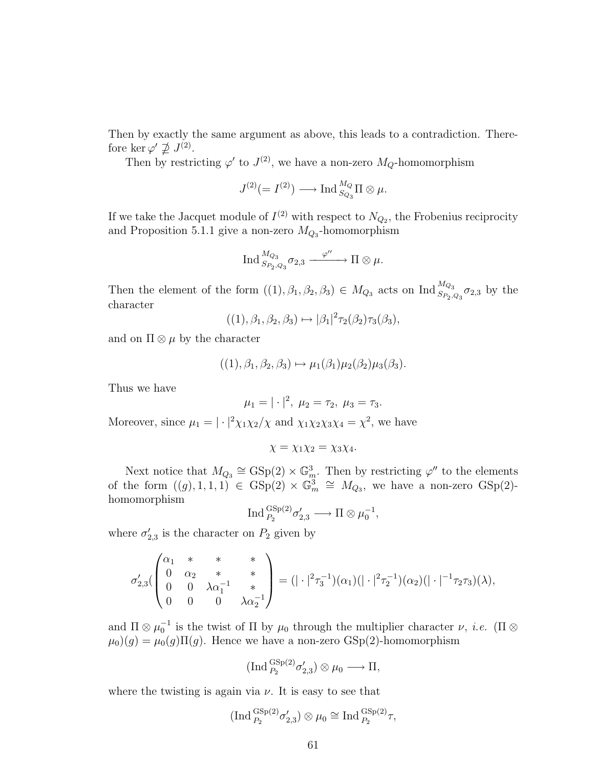Then by exactly the same argument as above, this leads to a contradiction. Therefore ker  $\varphi' \not\supseteq J^{(2)}$ .

Then by restricting  $\varphi'$  to  $J^{(2)}$ , we have a non-zero  $M_Q$ -homomorphism

$$
J^{(2)}(=I^{(2)}) \longrightarrow {\rm Ind\,}_{S_{Q_3}}^{M_Q}\Pi\otimes \mu.
$$

If we take the Jacquet module of  $I^{(2)}$  with respect to  $N_{Q_2}$ , the Frobenius reciprocity and Proposition 5.1.1 give a non-zero  $M_{Q_3}$ -homomorphism

$$
{\rm Ind\,}_{S_{P_2,Q_3}}^{M_{Q_3}} \sigma_{2,3}\xrightarrow{\phantom{Q_3}} \Pi\otimes\mu.
$$

Then the element of the form  $((1), \beta_1, \beta_2, \beta_3) \in M_{Q_3}$  acts on  $\text{Ind}_{S_{P_2,Q_3}}^{M_{Q_3}} \sigma_{2,3}$  by the character

$$
((1), \beta_1, \beta_2, \beta_3) \mapsto |\beta_1|^2 \tau_2(\beta_2) \tau_3(\beta_3),
$$

and on  $\Pi \otimes \mu$  by the character

$$
((1), \beta_1, \beta_2, \beta_3) \mapsto \mu_1(\beta_1)\mu_2(\beta_2)\mu_3(\beta_3).
$$

Thus we have

$$
\mu_1=|\cdot|^2, \ \mu_2=\tau_2, \ \mu_3=\tau_3.
$$

Moreover, since  $\mu_1 = |\cdot|^2 \chi_1 \chi_2/\chi$  and  $\chi_1 \chi_2 \chi_3 \chi_4 = \chi^2$ , we have

$$
\chi = \chi_1 \chi_2 = \chi_3 \chi_4.
$$

Next notice that  $M_{Q_3} \cong \text{GSp}(2) \times \mathbb{G}_m^3$ . Then by restricting  $\varphi''$  to the elements of the form  $((g), 1, 1, 1) \in \text{GSp}(2) \times \mathbb{G}_m^3 \cong M_{Q_3}$ , we have a non-zero  $\text{GSp}(2)$ homomorphism

$$
\operatorname{Ind}_{P_2}^{\operatorname{GSp}(2)} \sigma'_{2,3} \longrightarrow \Pi \otimes \mu_0^{-1},
$$

where  $\sigma'_{2,3}$  is the character on  $P_2$  given by

$$
\sigma'_{2,3}(\begin{pmatrix} \alpha_1 & * & * & * \\ 0 & \alpha_2 & * & * \\ 0 & 0 & \lambda \alpha_1^{-1} & * \\ 0 & 0 & 0 & \lambda \alpha_2^{-1} \end{pmatrix}) = (|\cdot|^2 \tau_3^{-1})(\alpha_1)(|\cdot|^2 \tau_2^{-1})(\alpha_2)(|\cdot|^{-1} \tau_2 \tau_3)(\lambda),
$$

and  $\Pi \otimes \mu_0^{-1}$  is the twist of  $\Pi$  by  $\mu_0$  through the multiplier character  $\nu$ , *i.e.* ( $\Pi \otimes$  $\mu_0(g) = \mu_0(g) \Pi(g)$ . Hence we have a non-zero GSp(2)-homomorphism

$$
(\text{Ind}_{P_2}^{\text{GSp}(2)} \sigma'_{2,3}) \otimes \mu_0 \longrightarrow \Pi,
$$

where the twisting is again via  $\nu$ . It is easy to see that

$$
(\text{Ind}_{P_2}^{\text{GSp}(2)} \sigma'_{2,3}) \otimes \mu_0 \cong \text{Ind}_{P_2}^{\text{GSp}(2)} \tau,
$$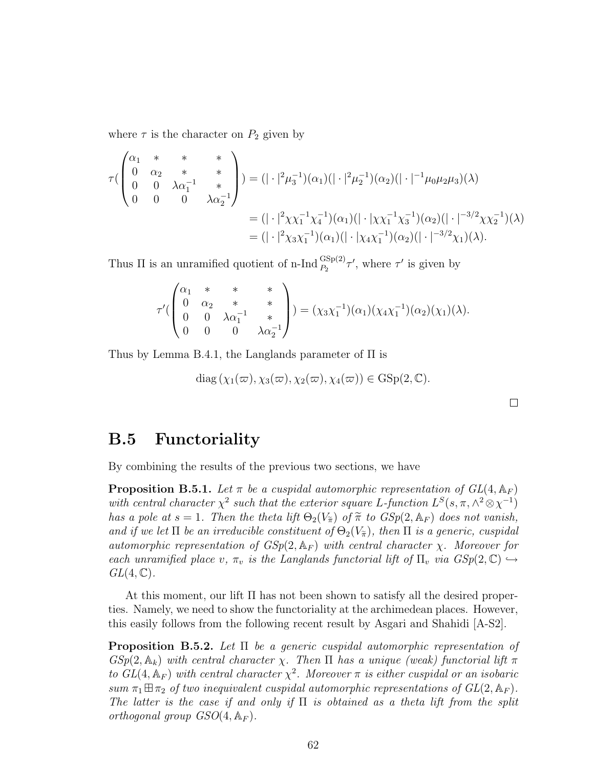where  $\tau$  is the character on  $P_2$  given by

$$
\tau\begin{pmatrix}\n\alpha_1 & * & * & * \\
0 & \alpha_2 & * & * \\
0 & 0 & \lambda \alpha_1^{-1} & * \\
0 & 0 & 0 & \lambda \alpha_2^{-1}\n\end{pmatrix} = (|\cdot|^2 \mu_3^{-1})(\alpha_1)(|\cdot|^2 \mu_2^{-1})(\alpha_2)(|\cdot|^{-1} \mu_0 \mu_2 \mu_3)(\lambda)
$$
  
\n
$$
= (|\cdot|^2 \chi \chi_1^{-1} \chi_4^{-1})(\alpha_1)(|\cdot| \chi \chi_1^{-1} \chi_3^{-1})(\alpha_2)(|\cdot|^{-3/2} \chi \chi_2^{-1})(\lambda)
$$
  
\n
$$
= (|\cdot|^2 \chi_3 \chi_1^{-1})(\alpha_1)(|\cdot| \chi_4 \chi_1^{-1})(\alpha_2)(|\cdot|^{-3/2} \chi_1)(\lambda).
$$

Thus  $\Pi$  is an unramified quotient of n-Ind  $_{P_2}^{\text{GSp}(2)} \tau'$ , where  $\tau'$  is given by

$$
\tau'(\begin{pmatrix} \alpha_1 & * & * & * \\ 0 & \alpha_2 & * & * \\ 0 & 0 & \lambda \alpha_1^{-1} & * \\ 0 & 0 & 0 & \lambda \alpha_2^{-1} \end{pmatrix}) = (\chi_3 \chi_1^{-1})(\alpha_1)(\chi_4 \chi_1^{-1})(\alpha_2)(\chi_1)(\lambda).
$$

Thus by Lemma B.4.1, the Langlands parameter of Π is

$$
diag(\chi_1(\varpi), \chi_3(\varpi), \chi_2(\varpi), \chi_4(\varpi)) \in GSp(2, \mathbb{C}).
$$

 $\Box$ 

#### B.5 Functoriality

By combining the results of the previous two sections, we have

**Proposition B.5.1.** Let  $\pi$  be a cuspidal automorphic representation of  $GL(4, \mathbb{A}_F)$ with central character  $\chi^2$  such that the exterior square L-function  $L^S(s, \pi, \wedge^2 \otimes \chi^{-1})$ has a pole at  $s = 1$ . Then the theta lift  $\Theta_2(V_{\widetilde{\pi}})$  of  $\widetilde{\pi}$  to  $GSp(2, \mathbb{A}_F)$  does not vanish, and if we let  $\Pi$  be an irreducible constituent of  $\Theta_2(V_{\widetilde{\pi}})$ , then  $\Pi$  is a generic, cuspidal automorphic representation of  $GSp(2, \mathbb{A}_F)$  with central character  $\chi$ . Moreover for each unramified place v,  $\pi_v$  is the Langlands functorial lift of  $\Pi_v$  via  $GSp(2,\mathbb{C}) \hookrightarrow$  $GL(4,\mathbb{C})$ .

At this moment, our lift Π has not been shown to satisfy all the desired properties. Namely, we need to show the functoriality at the archimedean places. However, this easily follows from the following recent result by Asgari and Shahidi [A-S2].

**Proposition B.5.2.** Let  $\Pi$  be a generic cuspidal automorphic representation of  $GSp(2, \mathbb{A}_k)$  with central character  $\chi$ . Then  $\Pi$  has a unique (weak) functorial lift  $\pi$ to  $GL(4,\mathbb{A}_F)$  with central character  $\chi^2$ . Moreover  $\pi$  is either cuspidal or an isobaric sum  $\pi_1 \boxplus \pi_2$  of two inequivalent cuspidal automorphic representations of  $GL(2, \mathbb{A}_F)$ . The latter is the case if and only if  $\Pi$  is obtained as a theta lift from the split orthogonal group  $GSO(4, \mathbb{A}_F)$ .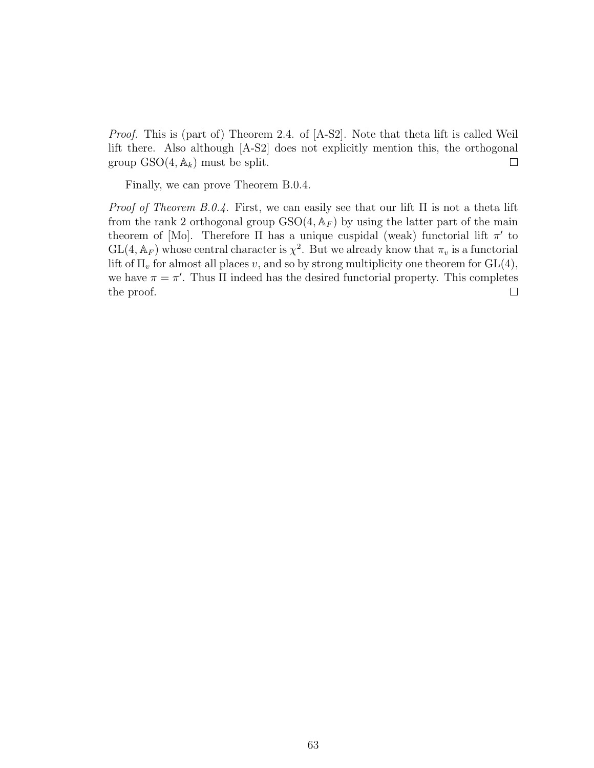Proof. This is (part of) Theorem 2.4. of [A-S2]. Note that theta lift is called Weil lift there. Also although [A-S2] does not explicitly mention this, the orthogonal group  $GSO(4, \mathbb{A}_k)$  must be split.  $\Box$ 

Finally, we can prove Theorem B.0.4.

*Proof of Theorem B.0.4.* First, we can easily see that our lift  $\Pi$  is not a theta lift from the rank 2 orthogonal group  $GSO(4, A_F)$  by using the latter part of the main theorem of [Mo]. Therefore  $\Pi$  has a unique cuspidal (weak) functorial lift  $\pi'$  to  $GL(4, \mathbb{A}_F)$  whose central character is  $\chi^2$ . But we already know that  $\pi_v$  is a functorial lift of  $\Pi_v$  for almost all places v, and so by strong multiplicity one theorem for  $GL(4)$ , we have  $\pi = \pi'$ . Thus  $\Pi$  indeed has the desired functorial property. This completes the proof.  $\Box$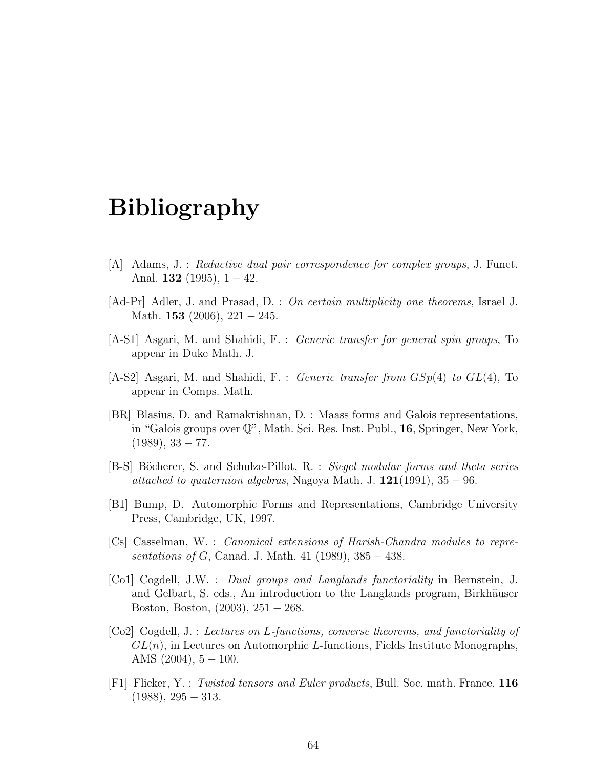# Bibliography

- [A] Adams, J. : Reductive dual pair correspondence for complex groups, J. Funct. Anal. 132 (1995),  $1 - 42$ .
- [Ad-Pr] Adler, J. and Prasad, D. : On certain multiplicity one theorems, Israel J. Math. 153  $(2006)$ , 221 – 245.
- [A-S1] Asgari, M. and Shahidi, F. : Generic transfer for general spin groups, To appear in Duke Math. J.
- [A-S2] Asgari, M. and Shahidi, F. : Generic transfer from  $GSp(4)$  to  $GL(4)$ , To appear in Comps. Math.
- [BR] Blasius, D. and Ramakrishnan, D. : Maass forms and Galois representations, in "Galois groups over Q", Math. Sci. Res. Inst. Publ., 16, Springer, New York,  $(1989), 33 - 77.$
- [B-S] Böcherer, S. and Schulze-Pillot, R. : Siegel modular forms and theta series attached to quaternion algebras, Nagoya Math. J.  $121(1991)$ ,  $35 - 96$ .
- [B1] Bump, D. Automorphic Forms and Representations, Cambridge University Press, Cambridge, UK, 1997.
- [Cs] Casselman, W. : Canonical extensions of Harish-Chandra modules to representations of G, Canad. J. Math. 41 (1989),  $385 - 438$ .
- [Co1] Cogdell, J.W. : Dual groups and Langlands functoriality in Bernstein, J. and Gelbart, S. eds., An introduction to the Langlands program, Birkhäuser Boston, Boston, (2003), 251 − 268.
- [Co2] Cogdell, J. : Lectures on L-functions, converse theorems, and functoriality of  $GL(n)$ , in Lectures on Automorphic L-functions, Fields Institute Monographs, AMS  $(2004)$ ,  $5 - 100$ .
- [F1] Flicker, Y. : Twisted tensors and Euler products, Bull. Soc. math. France. 116  $(1988), 295 - 313.$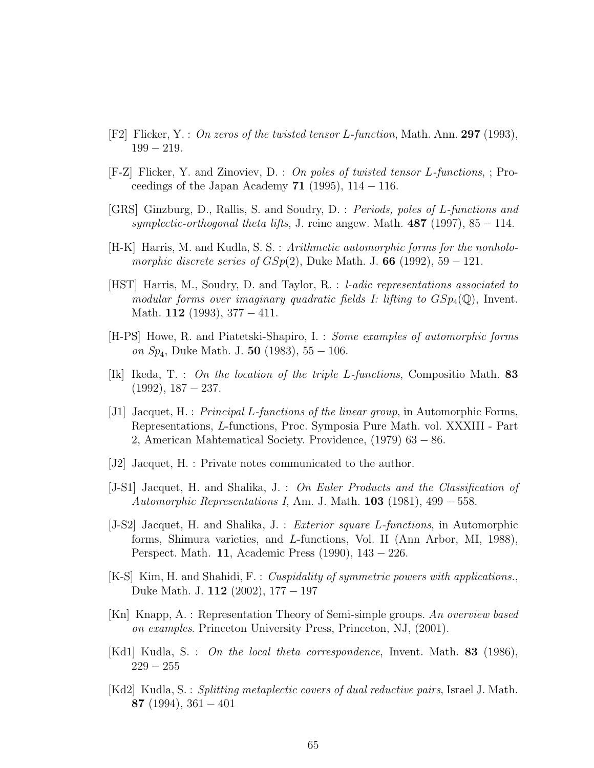- [F2] Flicker, Y. : On zeros of the twisted tensor L-function, Math. Ann. 297 (1993), 199 − 219.
- [F-Z] Flicker, Y. and Zinoviev, D. : On poles of twisted tensor L-functions, ; Proceedings of the Japan Academy 71 (1995),  $114 - 116$ .
- [GRS] Ginzburg, D., Rallis, S. and Soudry, D. : Periods, poles of L-functions and symplectic-orthogonal theta lifts, J. reine angew. Math.  $487$  (1997), 85 − 114.
- [H-K] Harris, M. and Kudla, S. S. : Arithmetic automorphic forms for the nonholomorphic discrete series of  $GSp(2)$ , Duke Math. J. 66 (1992), 59 – 121.
- [HST] Harris, M., Soudry, D. and Taylor, R. : l-adic representations associated to modular forms over imaginary quadratic fields I: lifting to  $GSp_4(\mathbb{Q})$ , Invent. Math. 112 (1993),  $377 - 411$ .
- [H-PS] Howe, R. and Piatetski-Shapiro, I. : Some examples of automorphic forms on  $Sp_4$ , Duke Math. J. 50 (1983), 55 – 106.
- [Ik] Ikeda, T. : On the location of the triple L-functions, Compositio Math. 83  $(1992), 187 - 237.$
- [J1] Jacquet, H. : Principal L-functions of the linear group, in Automorphic Forms, Representations, L-functions, Proc. Symposia Pure Math. vol. XXXIII - Part 2, American Mahtematical Society. Providence, (1979) 63 − 86.
- [J2] Jacquet, H. : Private notes communicated to the author.
- [J-S1] Jacquet, H. and Shalika, J. : On Euler Products and the Classification of Automorphic Representations I, Am. J. Math.  $103$  (1981), 499 – 558.
- [J-S2] Jacquet, H. and Shalika, J. : Exterior square L-functions, in Automorphic forms, Shimura varieties, and L-functions, Vol. II (Ann Arbor, MI, 1988), Perspect. Math. 11, Academic Press (1990), 143 − 226.
- [K-S] Kim, H. and Shahidi, F. : Cuspidality of symmetric powers with applications., Duke Math. J. 112 (2002), 177 − 197
- [Kn] Knapp, A. : Representation Theory of Semi-simple groups. An overview based on examples. Princeton University Press, Princeton, NJ, (2001).
- [Kd1] Kudla, S. : On the local theta correspondence, Invent. Math. 83 (1986),  $229 - 255$
- $[Kd2]$  Kudla, S. : Splitting metaplectic covers of dual reductive pairs, Israel J. Math. 87 (1994), 361 − 401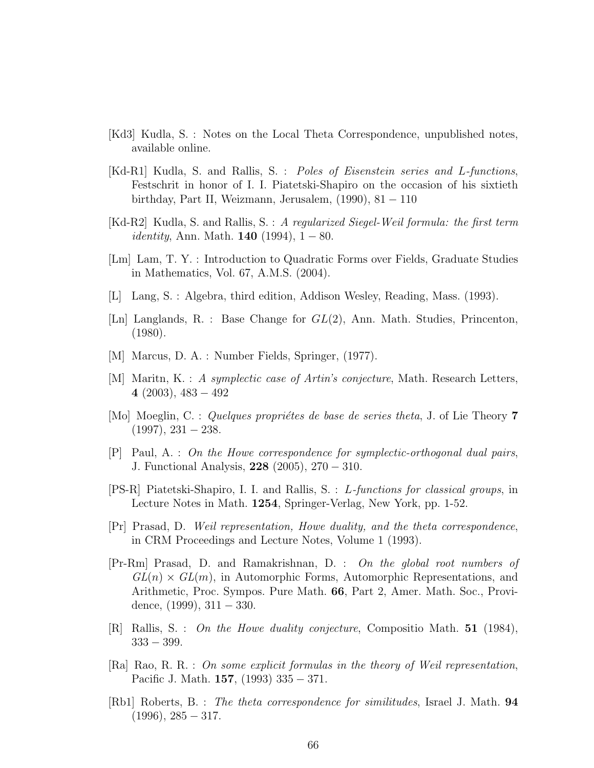- [Kd3] Kudla, S. : Notes on the Local Theta Correspondence, unpublished notes, available online.
- [Kd-R1] Kudla, S. and Rallis, S. : Poles of Eisenstein series and L-functions, Festschrit in honor of I. I. Piatetski-Shapiro on the occasion of his sixtieth birthday, Part II, Weizmann, Jerusalem,  $(1990)$ , 81 – 110
- [Kd-R2] Kudla, S. and Rallis, S. : A regularized Siegel-Weil formula: the first term *identity*, Ann. Math. **140** (1994),  $1 - 80$ .
- [Lm] Lam, T. Y. : Introduction to Quadratic Forms over Fields, Graduate Studies in Mathematics, Vol. 67, A.M.S. (2004).
- [L] Lang, S. : Algebra, third edition, Addison Wesley, Reading, Mass. (1993).
- [Ln] Langlands, R. : Base Change for GL(2), Ann. Math. Studies, Princenton, (1980).
- [M] Marcus, D. A. : Number Fields, Springer, (1977).
- [M] Maritn, K. : A symplectic case of Artin's conjecture, Math. Research Letters, 4  $(2003)$ ,  $483 - 492$
- [Mo] Moeglin, C. : Quelques propriétes de base de series theta, J. of Lie Theory  $7$  $(1997), 231 - 238.$
- [P] Paul, A. : On the Howe correspondence for symplectic-orthogonal dual pairs, J. Functional Analysis, 228 (2005), 270 − 310.
- [PS-R] Piatetski-Shapiro, I. I. and Rallis, S. : L-functions for classical groups, in Lecture Notes in Math. 1254, Springer-Verlag, New York, pp. 1-52.
- [Pr] Prasad, D. Weil representation, Howe duality, and the theta correspondence, in CRM Proceedings and Lecture Notes, Volume 1 (1993).
- [Pr-Rm] Prasad, D. and Ramakrishnan, D. : On the global root numbers of  $GL(n) \times GL(m)$ , in Automorphic Forms, Automorphic Representations, and Arithmetic, Proc. Sympos. Pure Math. 66, Part 2, Amer. Math. Soc., Providence,  $(1999)$ ,  $311 - 330$ .
- [R] Rallis, S. : On the Howe duality conjecture, Compositio Math. 51 (1984),  $333 - 399.$
- [Ra] Rao, R. R. : On some explicit formulas in the theory of Weil representation, Pacific J. Math. 157, (1993) 335 − 371.
- [Rb1] Roberts, B. : The theta correspondence for similitudes, Israel J. Math. 94  $(1996), 285 - 317.$